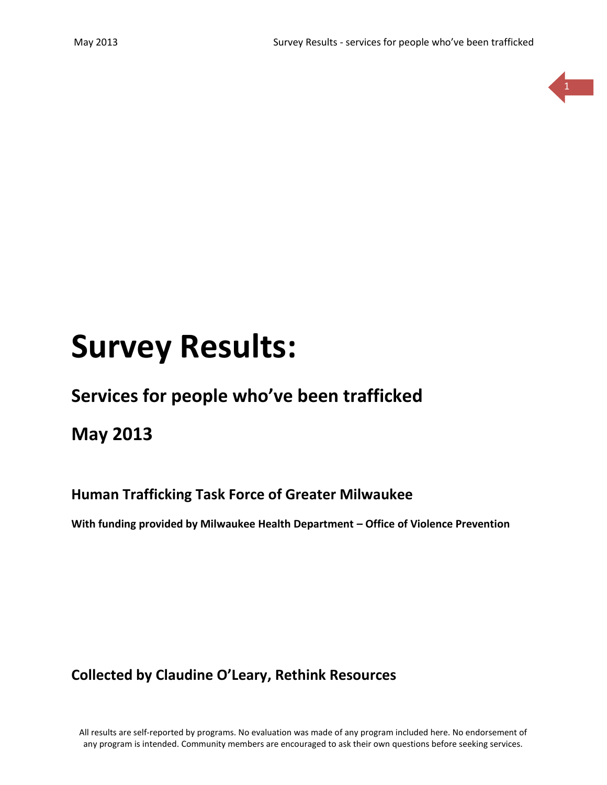

# **Survey Results:**

# **Services for people who've been trafficked**

**May 2013**

# **Human Trafficking Task Force of Greater Milwaukee**

**With funding provided by Milwaukee Health Department – Office of Violence Prevention**

**Collected by Claudine O'Leary, Rethink Resources**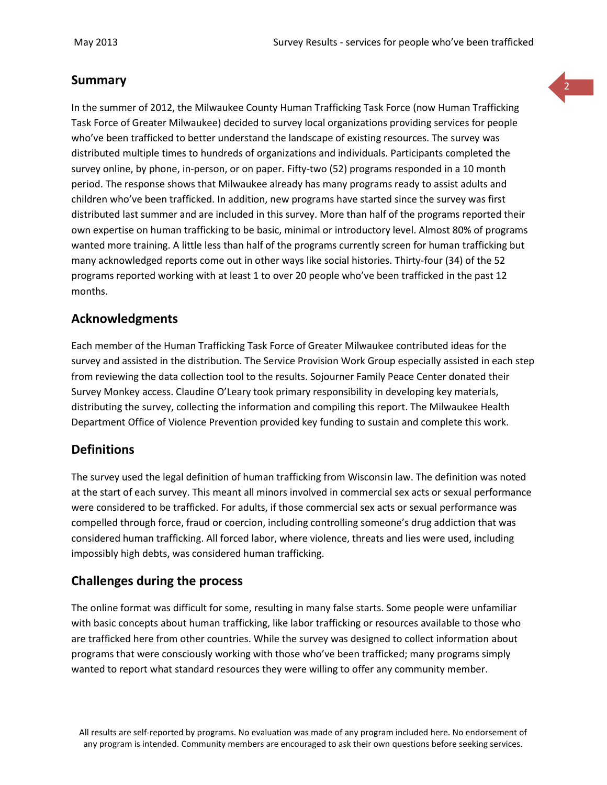#### **Summary**

In the summer of 2012, the Milwaukee County Human Trafficking Task Force (now Human Trafficking Task Force of Greater Milwaukee) decided to survey local organizations providing services for people who've been trafficked to better understand the landscape of existing resources. The survey was distributed multiple times to hundreds of organizations and individuals. Participants completed the survey online, by phone, in-person, or on paper. Fifty-two (52) programs responded in a 10 month period. The response shows that Milwaukee already has many programs ready to assist adults and children who've been trafficked. In addition, new programs have started since the survey was first distributed last summer and are included in this survey. More than half of the programs reported their own expertise on human trafficking to be basic, minimal or introductory level. Almost 80% of programs wanted more training. A little less than half of the programs currently screen for human trafficking but many acknowledged reports come out in other ways like social histories. Thirty-four (34) of the 52 programs reported working with at least 1 to over 20 people who've been trafficked in the past 12 months.

# **Acknowledgments**

Each member of the Human Trafficking Task Force of Greater Milwaukee contributed ideas for the survey and assisted in the distribution. The Service Provision Work Group especially assisted in each step from reviewing the data collection tool to the results. Sojourner Family Peace Center donated their Survey Monkey access. Claudine O'Leary took primary responsibility in developing key materials, distributing the survey, collecting the information and compiling this report. The Milwaukee Health Department Office of Violence Prevention provided key funding to sustain and complete this work.

#### **Definitions**

The survey used the legal definition of human trafficking from Wisconsin law. The definition was noted at the start of each survey. This meant all minors involved in commercial sex acts or sexual performance were considered to be trafficked. For adults, if those commercial sex acts or sexual performance was compelled through force, fraud or coercion, including controlling someone's drug addiction that was considered human trafficking. All forced labor, where violence, threats and lies were used, including impossibly high debts, was considered human trafficking.

# **Challenges during the process**

The online format was difficult for some, resulting in many false starts. Some people were unfamiliar with basic concepts about human trafficking, like labor trafficking or resources available to those who are trafficked here from other countries. While the survey was designed to collect information about programs that were consciously working with those who've been trafficked; many programs simply wanted to report what standard resources they were willing to offer any community member.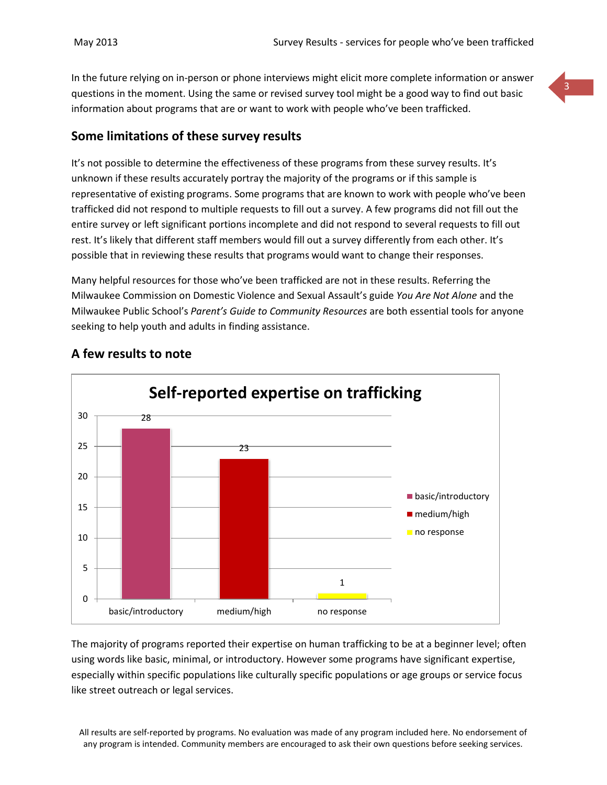In the future relying on in-person or phone interviews might elicit more complete information or answer questions in the moment. Using the same or revised survey tool might be a good way to find out basic information about programs that are or want to work with people who've been trafficked.

#### **Some limitations of these survey results**

It's not possible to determine the effectiveness of these programs from these survey results. It's unknown if these results accurately portray the majority of the programs or if this sample is representative of existing programs. Some programs that are known to work with people who've been trafficked did not respond to multiple requests to fill out a survey. A few programs did not fill out the entire survey or left significant portions incomplete and did not respond to several requests to fill out rest. It's likely that different staff members would fill out a survey differently from each other. It's possible that in reviewing these results that programs would want to change their responses.

Many helpful resources for those who've been trafficked are not in these results. Referring the Milwaukee Commission on Domestic Violence and Sexual Assault's guide *You Are Not Alone* and the Milwaukee Public School's *Parent's Guide to Community Resources* are both essential tools for anyone seeking to help youth and adults in finding assistance.



# **A few results to note**

The majority of programs reported their expertise on human trafficking to be at a beginner level; often using words like basic, minimal, or introductory. However some programs have significant expertise, especially within specific populations like culturally specific populations or age groups or service focus like street outreach or legal services.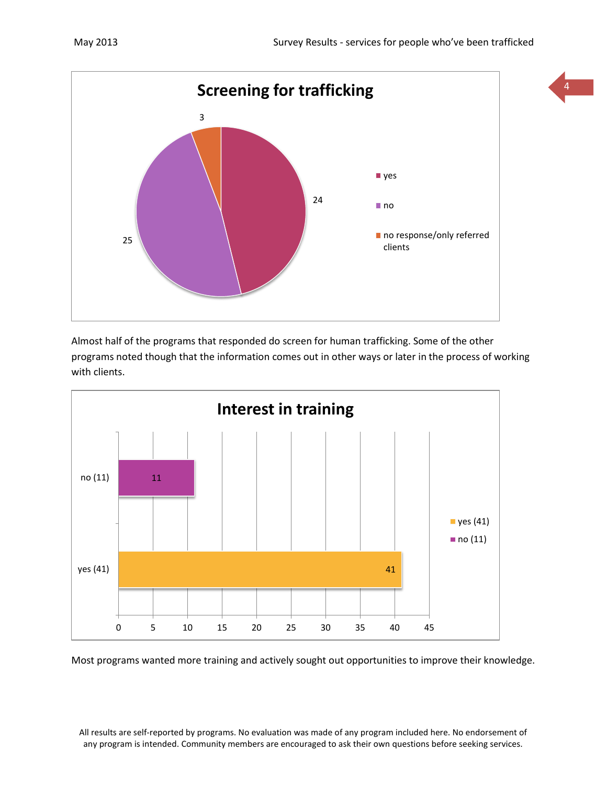

Almost half of the programs that responded do screen for human trafficking. Some of the other programs noted though that the information comes out in other ways or later in the process of working with clients.



Most programs wanted more training and actively sought out opportunities to improve their knowledge.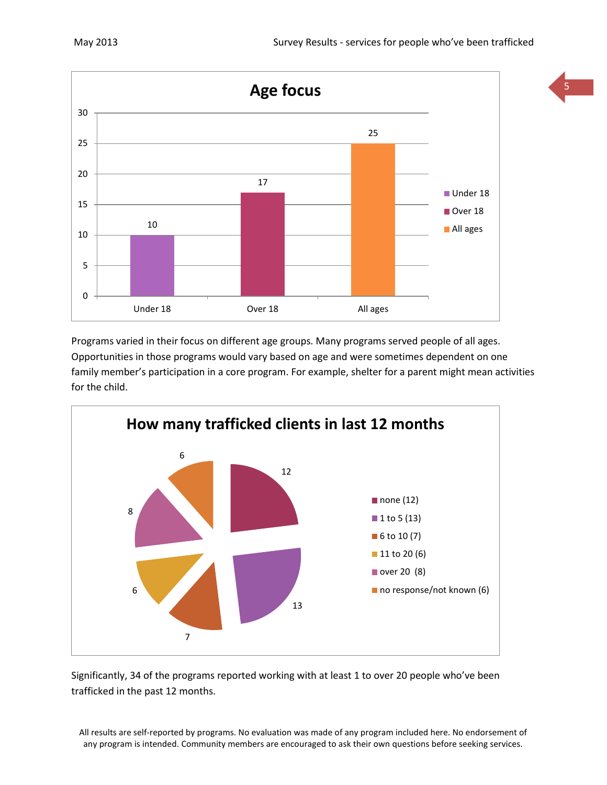

Programs varied in their focus on different age groups. Many programs served people of all ages. Opportunities in those programs would vary based on age and were sometimes dependent on one family member's participation in a core program. For example, shelter for a parent might mean activities for the child.



Significantly, 34 of the programs reported working with at least 1 to over 20 people who've been trafficked in the past 12 months.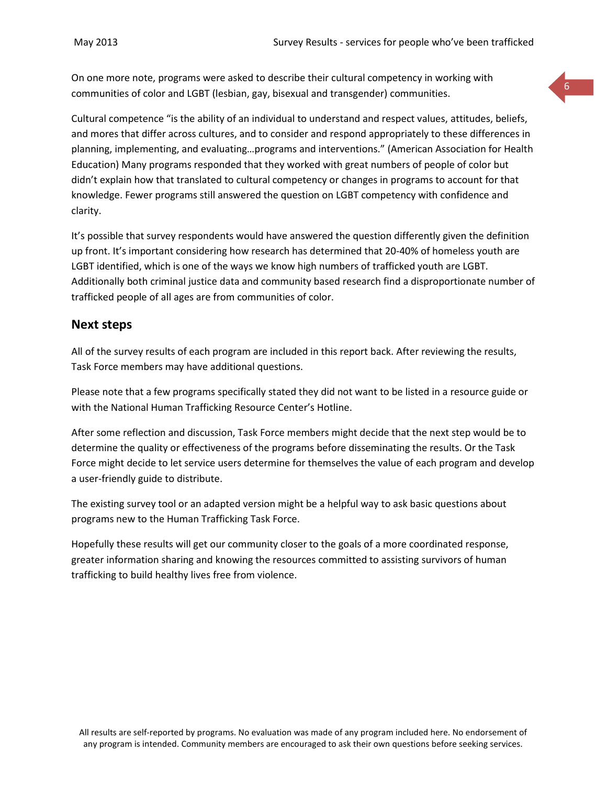On one more note, programs were asked to describe their cultural competency in working with communities of color and LGBT (lesbian, gay, bisexual and transgender) communities.

Cultural competence "is the ability of an individual to understand and respect values, attitudes, beliefs, and mores that differ across cultures, and to consider and respond appropriately to these differences in planning, implementing, and evaluating…programs and interventions." (American Association for Health Education) Many programs responded that they worked with great numbers of people of color but didn't explain how that translated to cultural competency or changes in programs to account for that knowledge. Fewer programs still answered the question on LGBT competency with confidence and clarity.

It's possible that survey respondents would have answered the question differently given the definition up front. It's important considering how research has determined that 20-40% of homeless youth are LGBT identified, which is one of the ways we know high numbers of trafficked youth are LGBT. Additionally both criminal justice data and community based research find a disproportionate number of trafficked people of all ages are from communities of color.

#### **Next steps**

All of the survey results of each program are included in this report back. After reviewing the results, Task Force members may have additional questions.

Please note that a few programs specifically stated they did not want to be listed in a resource guide or with the National Human Trafficking Resource Center's Hotline.

After some reflection and discussion, Task Force members might decide that the next step would be to determine the quality or effectiveness of the programs before disseminating the results. Or the Task Force might decide to let service users determine for themselves the value of each program and develop a user-friendly guide to distribute.

The existing survey tool or an adapted version might be a helpful way to ask basic questions about programs new to the Human Trafficking Task Force.

Hopefully these results will get our community closer to the goals of a more coordinated response, greater information sharing and knowing the resources committed to assisting survivors of human trafficking to build healthy lives free from violence.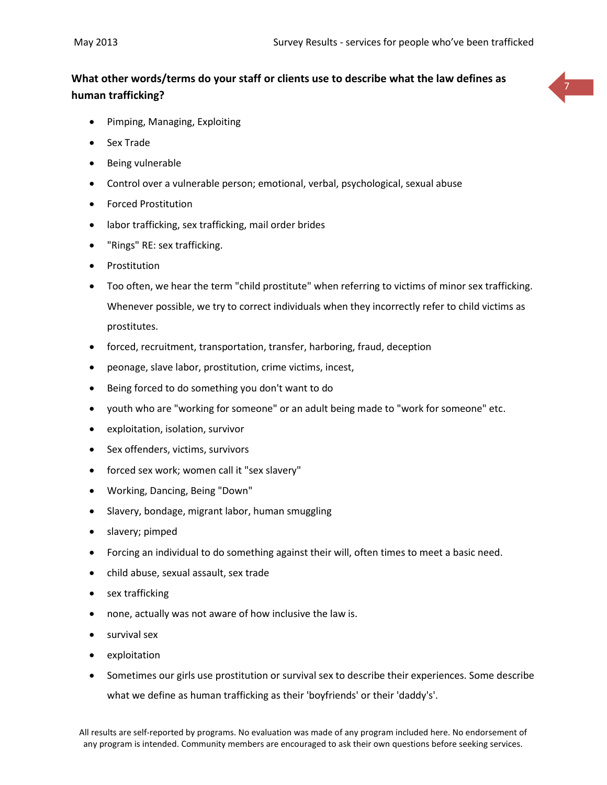# **What other words/terms do your staff or clients use to describe what the law defines as human trafficking?**



- Pimping, Managing, Exploiting
- Sex Trade
- Being vulnerable
- Control over a vulnerable person; emotional, verbal, psychological, sexual abuse
- Forced Prostitution
- labor trafficking, sex trafficking, mail order brides
- "Rings" RE: sex trafficking.
- Prostitution
- Too often, we hear the term "child prostitute" when referring to victims of minor sex trafficking. Whenever possible, we try to correct individuals when they incorrectly refer to child victims as prostitutes.
- forced, recruitment, transportation, transfer, harboring, fraud, deception
- peonage, slave labor, prostitution, crime victims, incest,
- Being forced to do something you don't want to do
- youth who are "working for someone" or an adult being made to "work for someone" etc.
- exploitation, isolation, survivor
- Sex offenders, victims, survivors
- forced sex work; women call it "sex slavery"
- Working, Dancing, Being "Down"
- Slavery, bondage, migrant labor, human smuggling
- slavery; pimped
- Forcing an individual to do something against their will, often times to meet a basic need.
- child abuse, sexual assault, sex trade
- sex trafficking
- none, actually was not aware of how inclusive the law is.
- survival sex
- exploitation
- Sometimes our girls use prostitution or survival sex to describe their experiences. Some describe what we define as human trafficking as their 'boyfriends' or their 'daddy's'.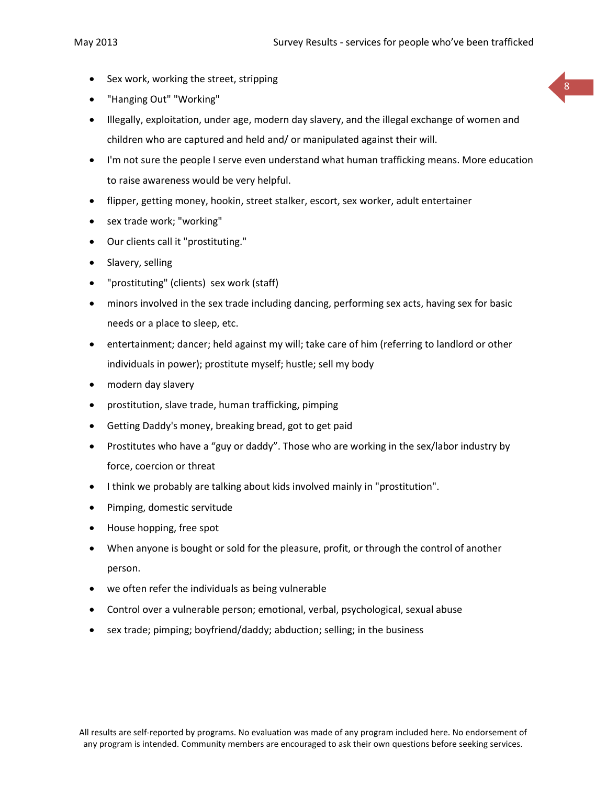- Sex work, working the street, stripping
- "Hanging Out" "Working"
- Illegally, exploitation, under age, modern day slavery, and the illegal exchange of women and children who are captured and held and/ or manipulated against their will.
- I'm not sure the people I serve even understand what human trafficking means. More education to raise awareness would be very helpful.
- flipper, getting money, hookin, street stalker, escort, sex worker, adult entertainer
- sex trade work; "working"
- Our clients call it "prostituting."
- Slavery, selling
- "prostituting" (clients) sex work (staff)
- minors involved in the sex trade including dancing, performing sex acts, having sex for basic needs or a place to sleep, etc.
- entertainment; dancer; held against my will; take care of him (referring to landlord or other individuals in power); prostitute myself; hustle; sell my body
- modern day slavery
- prostitution, slave trade, human trafficking, pimping
- Getting Daddy's money, breaking bread, got to get paid
- Prostitutes who have a "guy or daddy". Those who are working in the sex/labor industry by force, coercion or threat
- I think we probably are talking about kids involved mainly in "prostitution".
- Pimping, domestic servitude
- House hopping, free spot
- When anyone is bought or sold for the pleasure, profit, or through the control of another person.
- we often refer the individuals as being vulnerable
- Control over a vulnerable person; emotional, verbal, psychological, sexual abuse
- sex trade; pimping; boyfriend/daddy; abduction; selling; in the business

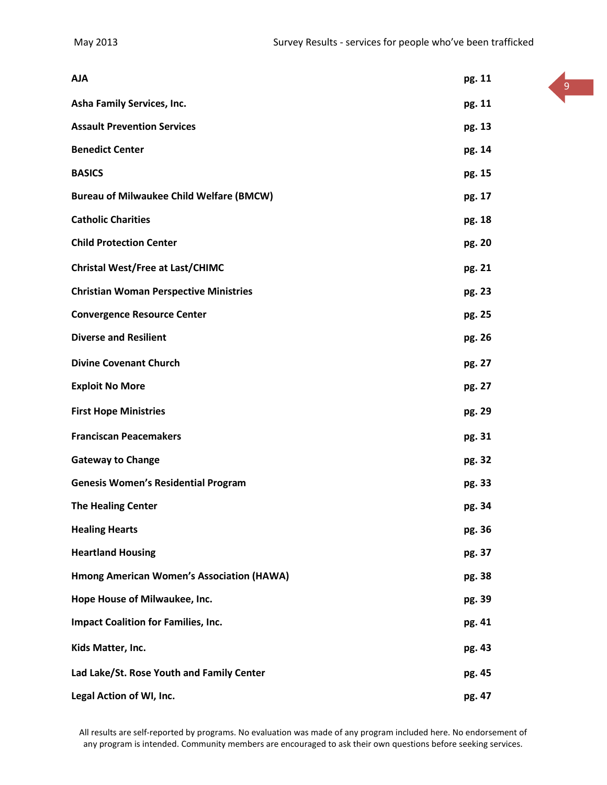| <b>AJA</b>                                       | pg. 11 |
|--------------------------------------------------|--------|
| Asha Family Services, Inc.                       | pg. 11 |
| <b>Assault Prevention Services</b>               | pg. 13 |
| <b>Benedict Center</b>                           | pg. 14 |
| <b>BASICS</b>                                    | pg. 15 |
| <b>Bureau of Milwaukee Child Welfare (BMCW)</b>  | pg. 17 |
| <b>Catholic Charities</b>                        | pg. 18 |
| <b>Child Protection Center</b>                   | pg. 20 |
| <b>Christal West/Free at Last/CHIMC</b>          | pg. 21 |
| <b>Christian Woman Perspective Ministries</b>    | pg. 23 |
| <b>Convergence Resource Center</b>               | pg. 25 |
| <b>Diverse and Resilient</b>                     | pg. 26 |
| <b>Divine Covenant Church</b>                    | pg. 27 |
| <b>Exploit No More</b>                           | pg. 27 |
| <b>First Hope Ministries</b>                     | pg. 29 |
| <b>Franciscan Peacemakers</b>                    | pg. 31 |
| <b>Gateway to Change</b>                         | pg. 32 |
| <b>Genesis Women's Residential Program</b>       | pg. 33 |
| <b>The Healing Center</b>                        | pg. 34 |
| <b>Healing Hearts</b>                            | pg. 36 |
| <b>Heartland Housing</b>                         | pg. 37 |
| <b>Hmong American Women's Association (HAWA)</b> | pg. 38 |
| Hope House of Milwaukee, Inc.                    | pg. 39 |
| <b>Impact Coalition for Families, Inc.</b>       | pg. 41 |
| Kids Matter, Inc.                                | pg. 43 |
| Lad Lake/St. Rose Youth and Family Center        | pg. 45 |
| Legal Action of WI, Inc.                         | pg. 47 |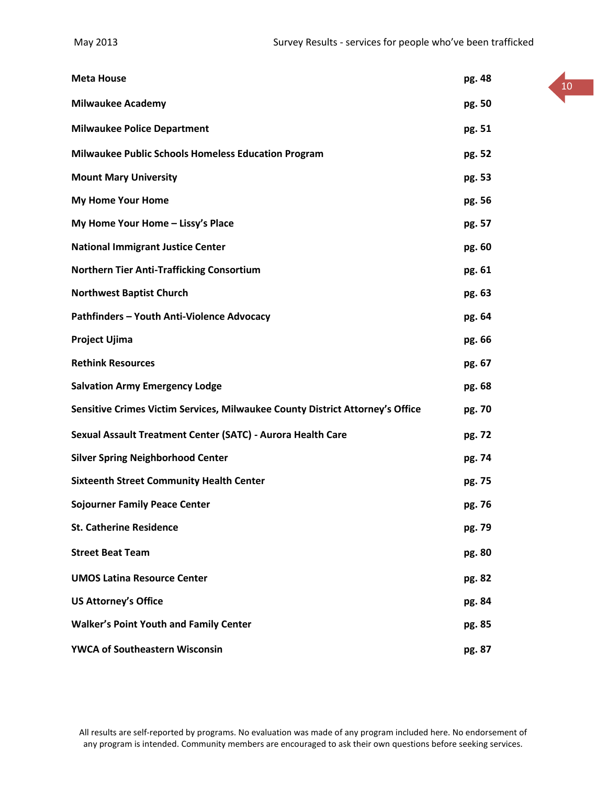| <b>Meta House</b>                                                             | pg. 48 |
|-------------------------------------------------------------------------------|--------|
| <b>Milwaukee Academy</b>                                                      | pg. 50 |
| <b>Milwaukee Police Department</b>                                            | pg. 51 |
| <b>Milwaukee Public Schools Homeless Education Program</b>                    | pg. 52 |
| <b>Mount Mary University</b>                                                  | pg. 53 |
| <b>My Home Your Home</b>                                                      | pg. 56 |
| My Home Your Home - Lissy's Place                                             | pg. 57 |
| <b>National Immigrant Justice Center</b>                                      | pg. 60 |
| <b>Northern Tier Anti-Trafficking Consortium</b>                              | pg. 61 |
| <b>Northwest Baptist Church</b>                                               | pg. 63 |
| Pathfinders - Youth Anti-Violence Advocacy                                    | pg. 64 |
| Project Ujima                                                                 | pg. 66 |
| <b>Rethink Resources</b>                                                      | pg. 67 |
| <b>Salvation Army Emergency Lodge</b>                                         | pg. 68 |
| Sensitive Crimes Victim Services, Milwaukee County District Attorney's Office | pg. 70 |
| Sexual Assault Treatment Center (SATC) - Aurora Health Care                   | pg. 72 |
| <b>Silver Spring Neighborhood Center</b>                                      | pg. 74 |
| <b>Sixteenth Street Community Health Center</b>                               | pg. 75 |
| <b>Sojourner Family Peace Center</b>                                          | pg. 76 |
| <b>St. Catherine Residence</b>                                                | pg. 79 |
| <b>Street Beat Team</b>                                                       | pg. 80 |
| <b>UMOS Latina Resource Center</b>                                            | pg. 82 |
| <b>US Attorney's Office</b>                                                   | pg. 84 |
| <b>Walker's Point Youth and Family Center</b>                                 | pg. 85 |
| <b>YWCA of Southeastern Wisconsin</b>                                         | pg. 87 |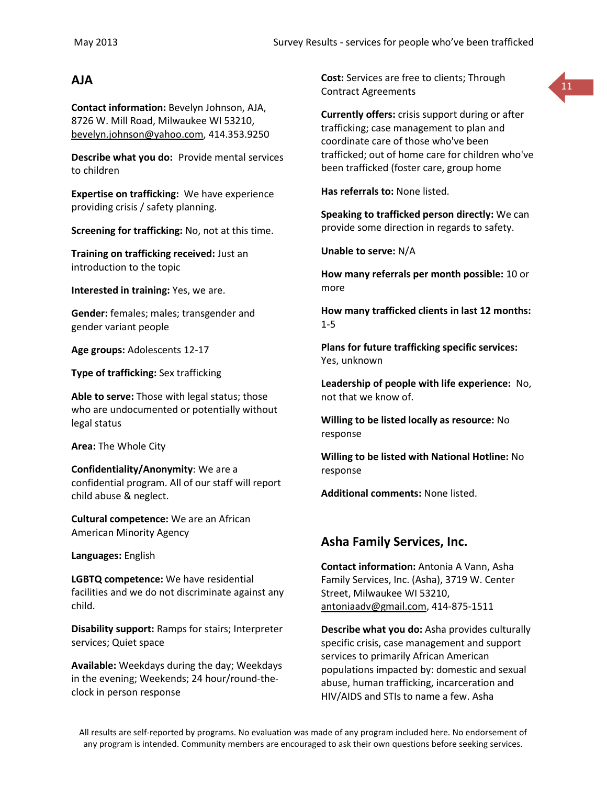**Contact information:** Bevelyn Johnson, AJA, 8726 W. Mill Road, Milwaukee WI 53210, [bevelyn.johnson@yahoo.com,](mailto:bevelyn.johnson@yahoo.com) 414.353.9250

**Describe what you do:** Provide mental services to children

**Expertise on trafficking:** We have experience providing crisis / safety planning.

**Screening for trafficking:** No, not at this time.

**Training on trafficking received:** Just an introduction to the topic

**Interested in training:** Yes, we are.

**Gender:** females; males; transgender and gender variant people

**Age groups:** Adolescents 12-17

**Type of trafficking:** Sex trafficking

**Able to serve:** Those with legal status; those who are undocumented or potentially without legal status

**Area:** The Whole City

**Confidentiality/Anonymity**: We are a confidential program. All of our staff will report child abuse & neglect.

**Cultural competence:** We are an African American Minority Agency

**Languages:** English

**LGBTQ competence:** We have residential facilities and we do not discriminate against any child.

**Disability support:** Ramps for stairs; Interpreter services; Quiet space

**Available:** Weekdays during the day; Weekdays in the evening; Weekends; 24 hour/round-theclock in person response

**AJA**<br> **Cost:** Services are free to clients; Through **11** and the contract Agreements Contract Agreements



**Currently offers:** crisis support during or after trafficking; case management to plan and coordinate care of those who've been trafficked; out of home care for children who've been trafficked (foster care, group home

**Has referrals to:** None listed.

**Speaking to trafficked person directly:** We can provide some direction in regards to safety.

**Unable to serve:** N/A

**How many referrals per month possible:** 10 or more

**How many trafficked clients in last 12 months:** 1-5

**Plans for future trafficking specific services:** Yes, unknown

**Leadership of people with life experience:** No, not that we know of.

**Willing to be listed locally as resource:** No response

**Willing to be listed with National Hotline:** No response

**Additional comments:** None listed.

# **Asha Family Services, Inc.**

**Contact information:** Antonia A Vann, Asha Family Services, Inc. (Asha), 3719 W. Center Street, Milwaukee WI 53210, [antoniaadv@gmail.com,](mailto:antoniaadv@gmail.com) 414-875-1511

**Describe what you do:** Asha provides culturally specific crisis, case management and support services to primarily African American populations impacted by: domestic and sexual abuse, human trafficking, incarceration and HIV/AIDS and STIs to name a few. Asha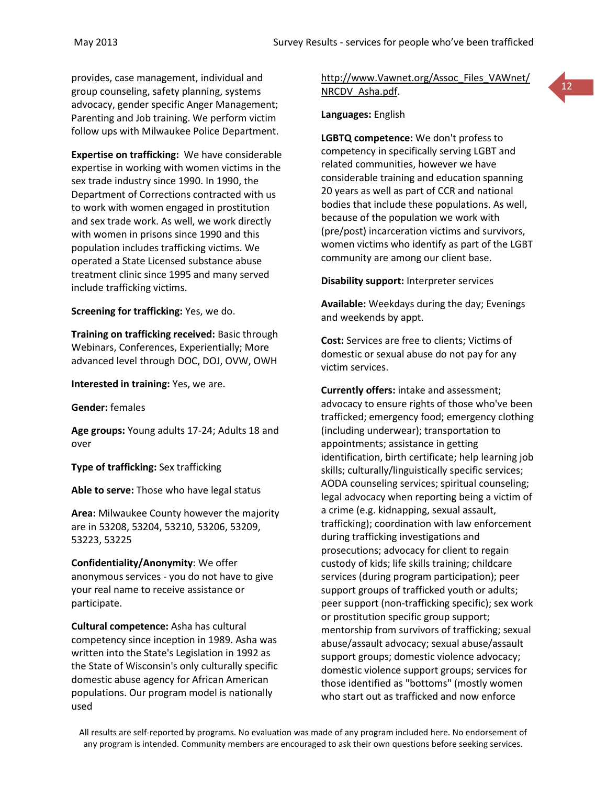provides, case management, individual and group counseling, safety planning, systems advocacy, gender specific Anger Management; Parenting and Job training. We perform victim follow ups with Milwaukee Police Department.

**Expertise on trafficking:** We have considerable expertise in working with women victims in the sex trade industry since 1990. In 1990, the Department of Corrections contracted with us to work with women engaged in prostitution and sex trade work. As well, we work directly with women in prisons since 1990 and this population includes trafficking victims. We operated a State Licensed substance abuse treatment clinic since 1995 and many served include trafficking victims.

**Screening for trafficking:** Yes, we do.

**Training on trafficking received:** Basic through Webinars, Conferences, Experientially; More advanced level through DOC, DOJ, OVW, OWH

**Interested in training:** Yes, we are.

**Gender:** females

**Age groups:** Young adults 17-24; Adults 18 and over

**Type of trafficking:** Sex trafficking

**Able to serve:** Those who have legal status

**Area:** Milwaukee County however the majority are in 53208, 53204, 53210, 53206, 53209, 53223, 53225

**Confidentiality/Anonymity**: We offer anonymous services - you do not have to give your real name to receive assistance or participate.

**Cultural competence:** Asha has cultural competency since inception in 1989. Asha was written into the State's Legislation in 1992 as the State of Wisconsin's only culturally specific domestic abuse agency for African American populations. Our program model is nationally used

[http://www.Vawnet.org/Assoc\\_Files\\_VAWnet/](http://www.vawnet.org/Assoc_Files_VAWnet/NRCDV_Asha.pdf) [NRCDV\\_Asha.pdf.](http://www.vawnet.org/Assoc_Files_VAWnet/NRCDV_Asha.pdf)

12

**Languages:** English

**LGBTQ competence:** We don't profess to competency in specifically serving LGBT and related communities, however we have considerable training and education spanning 20 years as well as part of CCR and national bodies that include these populations. As well, because of the population we work with (pre/post) incarceration victims and survivors, women victims who identify as part of the LGBT community are among our client base.

**Disability support:** Interpreter services

**Available:** Weekdays during the day; Evenings and weekends by appt.

**Cost:** Services are free to clients; Victims of domestic or sexual abuse do not pay for any victim services.

**Currently offers:** intake and assessment; advocacy to ensure rights of those who've been trafficked; emergency food; emergency clothing (including underwear); transportation to appointments; assistance in getting identification, birth certificate; help learning job skills; culturally/linguistically specific services; AODA counseling services; spiritual counseling; legal advocacy when reporting being a victim of a crime (e.g. kidnapping, sexual assault, trafficking); coordination with law enforcement during trafficking investigations and prosecutions; advocacy for client to regain custody of kids; life skills training; childcare services (during program participation); peer support groups of trafficked youth or adults; peer support (non-trafficking specific); sex work or prostitution specific group support; mentorship from survivors of trafficking; sexual abuse/assault advocacy; sexual abuse/assault support groups; domestic violence advocacy; domestic violence support groups; services for those identified as "bottoms" (mostly women who start out as trafficked and now enforce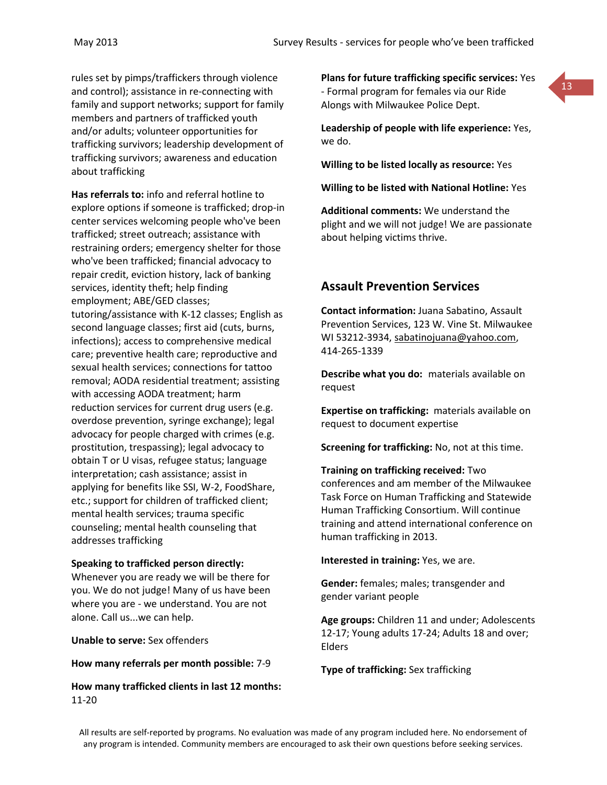rules set by pimps/traffickers through violence and control); assistance in re-connecting with family and support networks; support for family members and partners of trafficked youth and/or adults; volunteer opportunities for trafficking survivors; leadership development of trafficking survivors; awareness and education about trafficking

**Has referrals to:** info and referral hotline to explore options if someone is trafficked; drop-in center services welcoming people who've been trafficked; street outreach; assistance with restraining orders; emergency shelter for those who've been trafficked; financial advocacy to repair credit, eviction history, lack of banking services, identity theft; help finding employment; ABE/GED classes; tutoring/assistance with K-12 classes; English as second language classes; first aid (cuts, burns, infections); access to comprehensive medical care; preventive health care; reproductive and sexual health services; connections for tattoo removal; AODA residential treatment; assisting with accessing AODA treatment; harm reduction services for current drug users (e.g. overdose prevention, syringe exchange); legal advocacy for people charged with crimes (e.g. prostitution, trespassing); legal advocacy to obtain T or U visas, refugee status; language interpretation; cash assistance; assist in applying for benefits like SSI, W-2, FoodShare, etc.; support for children of trafficked client; mental health services; trauma specific counseling; mental health counseling that addresses trafficking

#### **Speaking to trafficked person directly:**

Whenever you are ready we will be there for you. We do not judge! Many of us have been where you are - we understand. You are not alone. Call us...we can help.

**Unable to serve:** Sex offenders

#### **How many referrals per month possible:** 7-9

**How many trafficked clients in last 12 months:** 11-20

**Plans for future trafficking specific services:** Yes - Formal program for females via our Ride Alongs with Milwaukee Police Dept.

**Leadership of people with life experience:** Yes, we do.

**Willing to be listed locally as resource:** Yes

**Willing to be listed with National Hotline:** Yes

**Additional comments:** We understand the plight and we will not judge! We are passionate about helping victims thrive.

# **Assault Prevention Services**

**Contact information:** Juana Sabatino, Assault Prevention Services, 123 W. Vine St. Milwaukee WI 53212-3934, [sabatinojuana@yahoo.com,](mailto:sabatinojuana@yahoo.com) 414-265-1339

**Describe what you do:** materials available on request

**Expertise on trafficking:** materials available on request to document expertise

**Screening for trafficking:** No, not at this time.

**Training on trafficking received:** Two conferences and am member of the Milwaukee Task Force on Human Trafficking and Statewide Human Trafficking Consortium. Will continue training and attend international conference on human trafficking in 2013.

**Interested in training:** Yes, we are.

**Gender:** females; males; transgender and gender variant people

**Age groups:** Children 11 and under; Adolescents 12-17; Young adults 17-24; Adults 18 and over; Elders

**Type of trafficking:** Sex trafficking

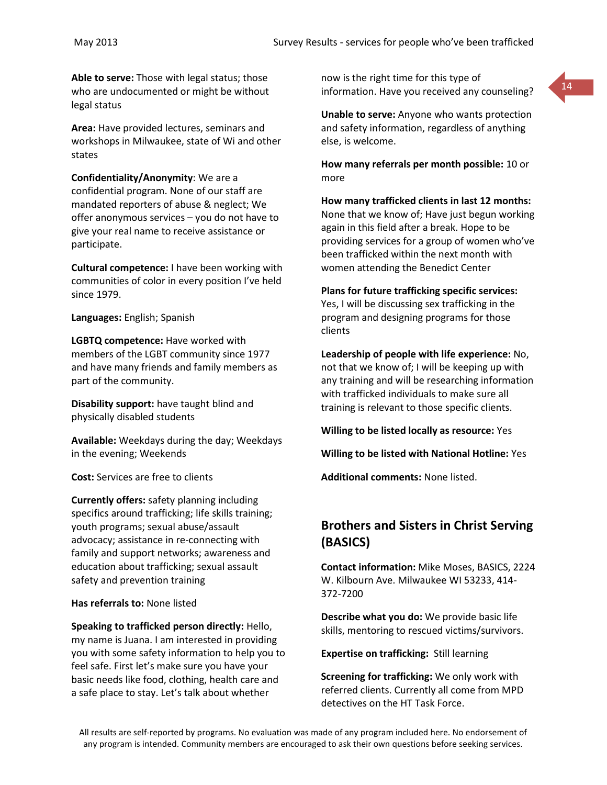**Able to serve:** Those with legal status; those who are undocumented or might be without legal status

**Area:** Have provided lectures, seminars and workshops in Milwaukee, state of Wi and other states

**Confidentiality/Anonymity**: We are a confidential program. None of our staff are mandated reporters of abuse & neglect; We offer anonymous services – you do not have to give your real name to receive assistance or participate.

**Cultural competence:** I have been working with communities of color in every position I've held since 1979.

**Languages:** English; Spanish

**LGBTQ competence:** Have worked with members of the LGBT community since 1977 and have many friends and family members as part of the community.

**Disability support:** have taught blind and physically disabled students

**Available:** Weekdays during the day; Weekdays in the evening; Weekends

**Cost:** Services are free to clients

**Currently offers:** safety planning including specifics around trafficking; life skills training; youth programs; sexual abuse/assault advocacy; assistance in re-connecting with family and support networks; awareness and education about trafficking; sexual assault safety and prevention training

**Has referrals to:** None listed

**Speaking to trafficked person directly:** Hello, my name is Juana. I am interested in providing you with some safety information to help you to feel safe. First let's make sure you have your basic needs like food, clothing, health care and a safe place to stay. Let's talk about whether

now is the right time for this type of information. Have you received any counseling?



**Unable to serve:** Anyone who wants protection and safety information, regardless of anything else, is welcome.

**How many referrals per month possible:** 10 or more

**How many trafficked clients in last 12 months:** None that we know of; Have just begun working again in this field after a break. Hope to be providing services for a group of women who've been trafficked within the next month with women attending the Benedict Center

**Plans for future trafficking specific services:** Yes, I will be discussing sex trafficking in the program and designing programs for those clients

**Leadership of people with life experience:** No, not that we know of; I will be keeping up with any training and will be researching information with trafficked individuals to make sure all training is relevant to those specific clients.

**Willing to be listed locally as resource:** Yes

**Willing to be listed with National Hotline:** Yes

**Additional comments:** None listed.

# **Brothers and Sisters in Christ Serving (BASICS)**

**Contact information:** Mike Moses, BASICS, 2224 W. Kilbourn Ave. Milwaukee WI 53233, 414- 372-7200

**Describe what you do:** We provide basic life skills, mentoring to rescued victims/survivors.

**Expertise on trafficking:** Still learning

**Screening for trafficking:** We only work with referred clients. Currently all come from MPD detectives on the HT Task Force.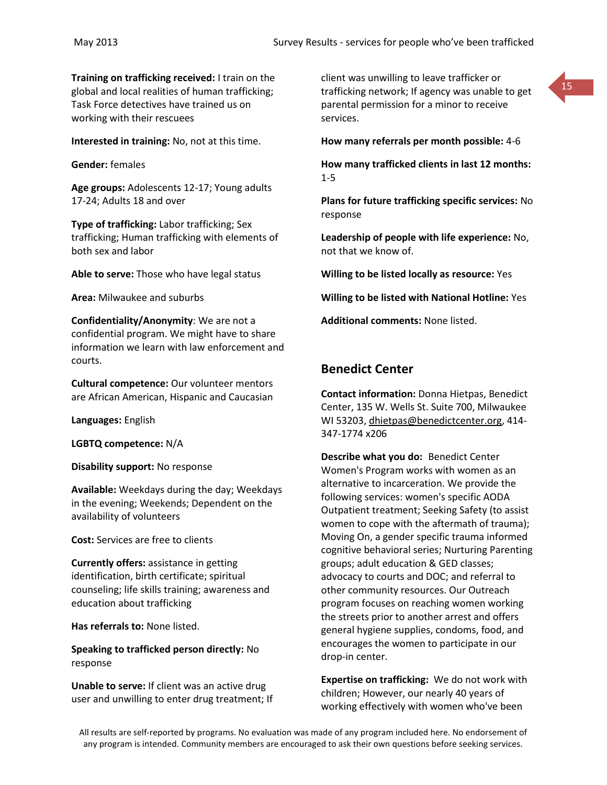**Training on trafficking received:** I train on the global and local realities of human trafficking; Task Force detectives have trained us on working with their rescuees

**Interested in training:** No, not at this time.

**Gender:** females

**Age groups:** Adolescents 12-17; Young adults 17-24; Adults 18 and over

**Type of trafficking:** Labor trafficking; Sex trafficking; Human trafficking with elements of both sex and labor

**Able to serve:** Those who have legal status

**Area:** Milwaukee and suburbs

**Confidentiality/Anonymity**: We are not a confidential program. We might have to share information we learn with law enforcement and courts.

**Cultural competence:** Our volunteer mentors are African American, Hispanic and Caucasian

**Languages:** English

**LGBTQ competence:** N/A

**Disability support:** No response

**Available:** Weekdays during the day; Weekdays in the evening; Weekends; Dependent on the availability of volunteers

**Cost:** Services are free to clients

**Currently offers:** assistance in getting identification, birth certificate; spiritual counseling; life skills training; awareness and education about trafficking

**Has referrals to:** None listed.

**Speaking to trafficked person directly:** No response

**Unable to serve:** If client was an active drug user and unwilling to enter drug treatment; If client was unwilling to leave trafficker or trafficking network; If agency was unable to get parental permission for a minor to receive services.



**How many referrals per month possible:** 4-6

**How many trafficked clients in last 12 months:** 1-5

**Plans for future trafficking specific services:** No response

**Leadership of people with life experience:** No, not that we know of.

**Willing to be listed locally as resource:** Yes

**Willing to be listed with National Hotline:** Yes

**Additional comments:** None listed.

# **Benedict Center**

**Contact information:** Donna Hietpas, Benedict Center, 135 W. Wells St. Suite 700, Milwaukee WI 53203, [dhietpas@benedictcenter.org,](mailto:dhietpas@benedictcenter.org) 414- 347-1774 x206

**Describe what you do:** Benedict Center Women's Program works with women as an alternative to incarceration. We provide the following services: women's specific AODA Outpatient treatment; Seeking Safety (to assist women to cope with the aftermath of trauma); Moving On, a gender specific trauma informed cognitive behavioral series; Nurturing Parenting groups; adult education & GED classes; advocacy to courts and DOC; and referral to other community resources. Our Outreach program focuses on reaching women working the streets prior to another arrest and offers general hygiene supplies, condoms, food, and encourages the women to participate in our drop-in center.

**Expertise on trafficking:** We do not work with children; However, our nearly 40 years of working effectively with women who've been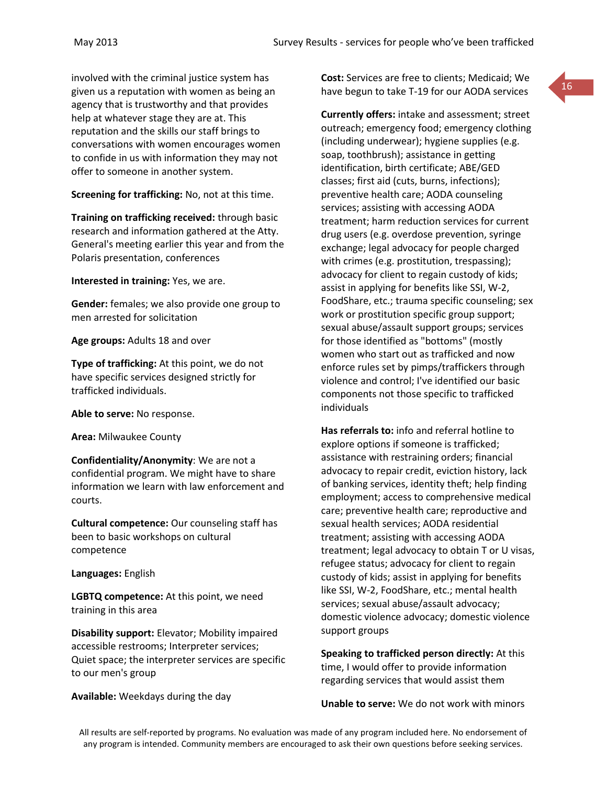involved with the criminal justice system has given us a reputation with women as being an agency that is trustworthy and that provides help at whatever stage they are at. This reputation and the skills our staff brings to conversations with women encourages women to confide in us with information they may not offer to someone in another system.

**Screening for trafficking:** No, not at this time.

**Training on trafficking received:** through basic research and information gathered at the Atty. General's meeting earlier this year and from the Polaris presentation, conferences

**Interested in training:** Yes, we are.

**Gender:** females; we also provide one group to men arrested for solicitation

**Age groups:** Adults 18 and over

**Type of trafficking:** At this point, we do not have specific services designed strictly for trafficked individuals.

**Able to serve:** No response.

**Area:** Milwaukee County

**Confidentiality/Anonymity**: We are not a confidential program. We might have to share information we learn with law enforcement and courts.

**Cultural competence:** Our counseling staff has been to basic workshops on cultural competence

**Languages:** English

**LGBTQ competence:** At this point, we need training in this area

**Disability support:** Elevator; Mobility impaired accessible restrooms; Interpreter services; Quiet space; the interpreter services are specific to our men's group

**Available:** Weekdays during the day

**Cost:** Services are free to clients; Medicaid; We have begun to take T-19 for our AODA services

**Currently offers:** intake and assessment; street outreach; emergency food; emergency clothing (including underwear); hygiene supplies (e.g. soap, toothbrush); assistance in getting identification, birth certificate; ABE/GED classes; first aid (cuts, burns, infections); preventive health care; AODA counseling services; assisting with accessing AODA treatment; harm reduction services for current drug users (e.g. overdose prevention, syringe exchange; legal advocacy for people charged with crimes (e.g. prostitution, trespassing); advocacy for client to regain custody of kids; assist in applying for benefits like SSI, W-2, FoodShare, etc.; trauma specific counseling; sex work or prostitution specific group support; sexual abuse/assault support groups; services for those identified as "bottoms" (mostly women who start out as trafficked and now enforce rules set by pimps/traffickers through violence and control; I've identified our basic components not those specific to trafficked individuals

**Has referrals to:** info and referral hotline to explore options if someone is trafficked; assistance with restraining orders; financial advocacy to repair credit, eviction history, lack of banking services, identity theft; help finding employment; access to comprehensive medical care; preventive health care; reproductive and sexual health services; AODA residential treatment; assisting with accessing AODA treatment; legal advocacy to obtain T or U visas, refugee status; advocacy for client to regain custody of kids; assist in applying for benefits like SSI, W-2, FoodShare, etc.; mental health services; sexual abuse/assault advocacy; domestic violence advocacy; domestic violence support groups

**Speaking to trafficked person directly:** At this time, I would offer to provide information regarding services that would assist them

**Unable to serve:** We do not work with minors

All results are self-reported by programs. No evaluation was made of any program included here. No endorsement of any program is intended. Community members are encouraged to ask their own questions before seeking services.

16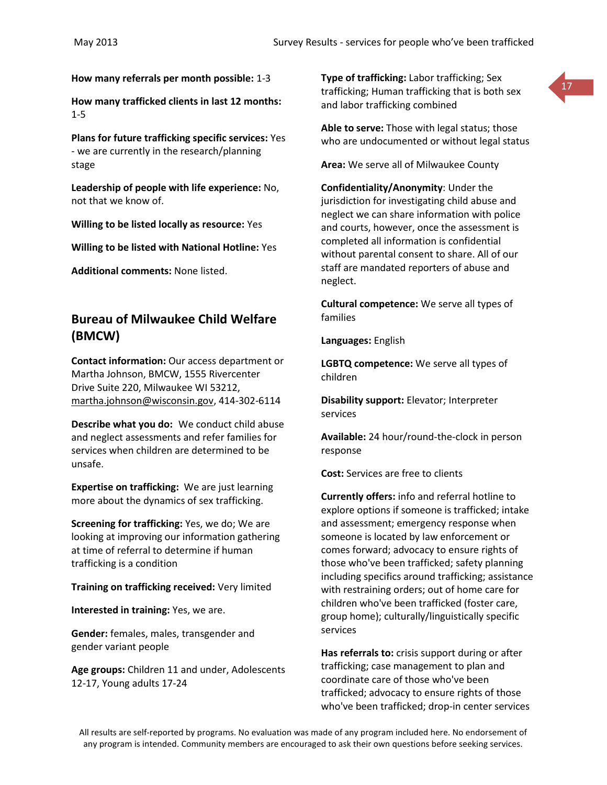**How many referrals per month possible:** 1-3

**How many trafficked clients in last 12 months:** 1-5

**Plans for future trafficking specific services:** Yes - we are currently in the research/planning stage

**Leadership of people with life experience:** No, not that we know of.

**Willing to be listed locally as resource:** Yes

**Willing to be listed with National Hotline:** Yes

**Additional comments:** None listed.

# **Bureau of Milwaukee Child Welfare (BMCW)**

**Contact information:** Our access department or Martha Johnson, BMCW, 1555 Rivercenter Drive Suite 220, Milwaukee WI 53212, [martha.johnson@wisconsin.gov,](mailto:martha.johnson@wisconsin.gov) 414-302-6114

**Describe what you do:** We conduct child abuse and neglect assessments and refer families for services when children are determined to be unsafe.

**Expertise on trafficking:** We are just learning more about the dynamics of sex trafficking.

**Screening for trafficking:** Yes, we do; We are looking at improving our information gathering at time of referral to determine if human trafficking is a condition

**Training on trafficking received:** Very limited

**Interested in training:** Yes, we are.

**Gender:** females, males, transgender and gender variant people

**Age groups:** Children 11 and under, Adolescents 12-17, Young adults 17-24

**Type of trafficking:** Labor trafficking; Sex trafficking; Human trafficking that is both sex and labor trafficking combined



**Area:** We serve all of Milwaukee County

**Confidentiality/Anonymity**: Under the jurisdiction for investigating child abuse and neglect we can share information with police and courts, however, once the assessment is completed all information is confidential without parental consent to share. All of our staff are mandated reporters of abuse and neglect.

**Cultural competence:** We serve all types of families

**Languages:** English

**LGBTQ competence:** We serve all types of children

**Disability support:** Elevator; Interpreter services

**Available:** 24 hour/round-the-clock in person response

**Cost:** Services are free to clients

**Currently offers:** info and referral hotline to explore options if someone is trafficked; intake and assessment; emergency response when someone is located by law enforcement or comes forward; advocacy to ensure rights of those who've been trafficked; safety planning including specifics around trafficking; assistance with restraining orders; out of home care for children who've been trafficked (foster care, group home); culturally/linguistically specific services

**Has referrals to:** crisis support during or after trafficking; case management to plan and coordinate care of those who've been trafficked; advocacy to ensure rights of those who've been trafficked; drop-in center services

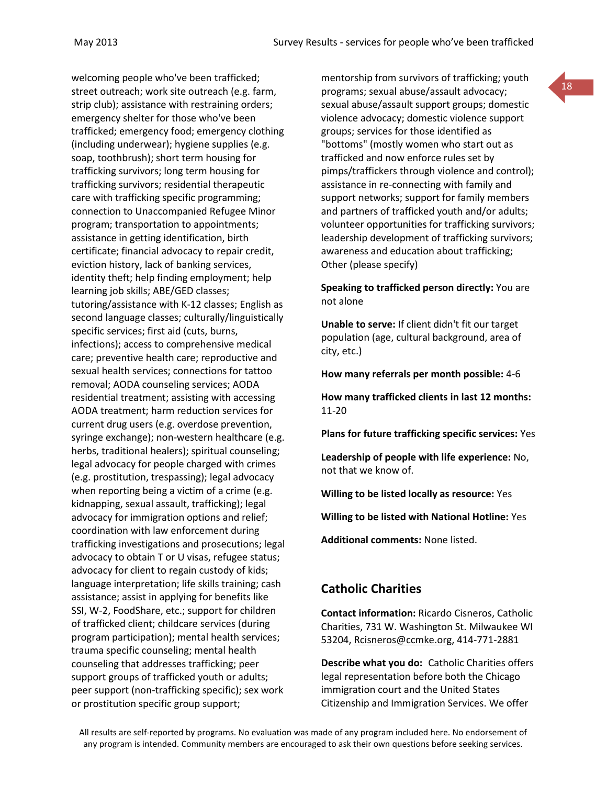welcoming people who've been trafficked; street outreach; work site outreach (e.g. farm, strip club); assistance with restraining orders; emergency shelter for those who've been trafficked; emergency food; emergency clothing (including underwear); hygiene supplies (e.g. soap, toothbrush); short term housing for trafficking survivors; long term housing for trafficking survivors; residential therapeutic care with trafficking specific programming; connection to Unaccompanied Refugee Minor program; transportation to appointments; assistance in getting identification, birth certificate; financial advocacy to repair credit, eviction history, lack of banking services, identity theft; help finding employment; help learning job skills; ABE/GED classes; tutoring/assistance with K-12 classes; English as second language classes; culturally/linguistically specific services; first aid (cuts, burns, infections); access to comprehensive medical care; preventive health care; reproductive and sexual health services; connections for tattoo removal; AODA counseling services; AODA residential treatment; assisting with accessing AODA treatment; harm reduction services for current drug users (e.g. overdose prevention, syringe exchange); non-western healthcare (e.g. herbs, traditional healers); spiritual counseling; legal advocacy for people charged with crimes (e.g. prostitution, trespassing); legal advocacy when reporting being a victim of a crime (e.g. kidnapping, sexual assault, trafficking); legal advocacy for immigration options and relief; coordination with law enforcement during trafficking investigations and prosecutions; legal advocacy to obtain T or U visas, refugee status; advocacy for client to regain custody of kids; language interpretation; life skills training; cash assistance; assist in applying for benefits like SSI, W-2, FoodShare, etc.; support for children of trafficked client; childcare services (during program participation); mental health services; trauma specific counseling; mental health counseling that addresses trafficking; peer support groups of trafficked youth or adults; peer support (non-trafficking specific); sex work or prostitution specific group support;

mentorship from survivors of trafficking; youth programs; sexual abuse/assault advocacy; sexual abuse/assault support groups; domestic violence advocacy; domestic violence support groups; services for those identified as "bottoms" (mostly women who start out as trafficked and now enforce rules set by pimps/traffickers through violence and control); assistance in re-connecting with family and support networks; support for family members and partners of trafficked youth and/or adults; volunteer opportunities for trafficking survivors; leadership development of trafficking survivors; awareness and education about trafficking; Other (please specify)

18

**Speaking to trafficked person directly:** You are not alone

**Unable to serve:** If client didn't fit our target population (age, cultural background, area of city, etc.)

**How many referrals per month possible:** 4-6

**How many trafficked clients in last 12 months:** 11-20

**Plans for future trafficking specific services:** Yes

**Leadership of people with life experience:** No, not that we know of.

**Willing to be listed locally as resource:** Yes

**Willing to be listed with National Hotline:** Yes

**Additional comments:** None listed.

#### **Catholic Charities**

**Contact information:** Ricardo Cisneros, Catholic Charities, 731 W. Washington St. Milwaukee WI 53204, [Rcisneros@ccmke.org,](mailto:Rcisneros@ccmke.org) 414-771-2881

**Describe what you do:** Catholic Charities offers legal representation before both the Chicago immigration court and the United States Citizenship and Immigration Services. We offer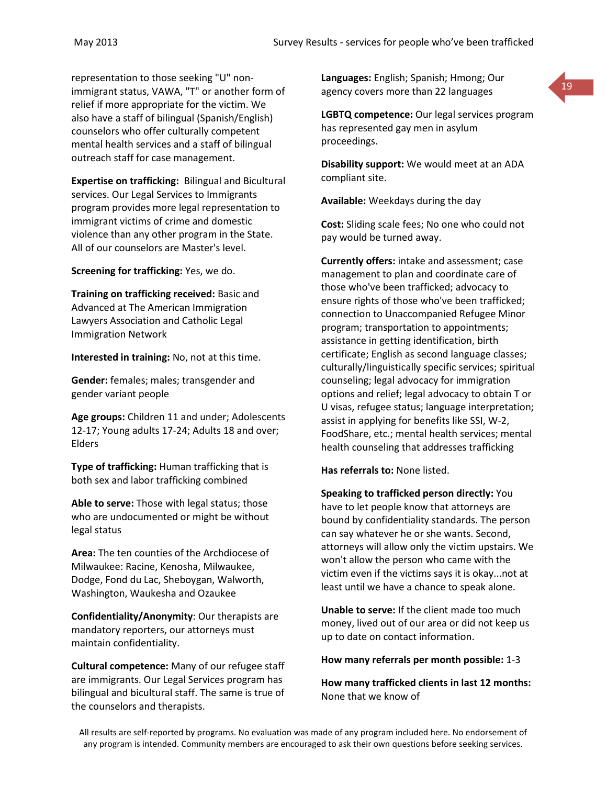representation to those seeking "U" nonimmigrant status, VAWA, "T" or another form of relief if more appropriate for the victim. We also have a staff of bilingual (Spanish/English) counselors who offer culturally competent mental health services and a staff of bilingual outreach staff for case management.

**Expertise on trafficking:** Bilingual and Bicultural services. Our Legal Services to Immigrants program provides more legal representation to immigrant victims of crime and domestic violence than any other program in the State. All of our counselors are Master's level.

**Screening for trafficking:** Yes, we do.

**Training on trafficking received:** Basic and Advanced at The American Immigration Lawyers Association and Catholic Legal Immigration Network

**Interested in training:** No, not at this time.

**Gender:** females; males; transgender and gender variant people

**Age groups:** Children 11 and under; Adolescents 12-17; Young adults 17-24; Adults 18 and over; Elders

**Type of trafficking:** Human trafficking that is both sex and labor trafficking combined

**Able to serve:** Those with legal status; those who are undocumented or might be without legal status

**Area:** The ten counties of the Archdiocese of Milwaukee: Racine, Kenosha, Milwaukee, Dodge, Fond du Lac, Sheboygan, Walworth, Washington, Waukesha and Ozaukee

**Confidentiality/Anonymity**: Our therapists are mandatory reporters, our attorneys must maintain confidentiality.

**Cultural competence:** Many of our refugee staff are immigrants. Our Legal Services program has bilingual and bicultural staff. The same is true of the counselors and therapists.

**Languages:** English; Spanish; Hmong; Our agency covers more than 22 languages



**LGBTQ competence:** Our legal services program has represented gay men in asylum proceedings.

**Disability support:** We would meet at an ADA compliant site.

**Available:** Weekdays during the day

**Cost:** Sliding scale fees; No one who could not pay would be turned away.

**Currently offers:** intake and assessment; case management to plan and coordinate care of those who've been trafficked; advocacy to ensure rights of those who've been trafficked; connection to Unaccompanied Refugee Minor program; transportation to appointments; assistance in getting identification, birth certificate; English as second language classes; culturally/linguistically specific services; spiritual counseling; legal advocacy for immigration options and relief; legal advocacy to obtain T or U visas, refugee status; language interpretation; assist in applying for benefits like SSI, W-2, FoodShare, etc.; mental health services; mental health counseling that addresses trafficking

**Has referrals to:** None listed.

**Speaking to trafficked person directly:** You have to let people know that attorneys are bound by confidentiality standards. The person can say whatever he or she wants. Second, attorneys will allow only the victim upstairs. We won't allow the person who came with the victim even if the victims says it is okay...not at least until we have a chance to speak alone.

**Unable to serve:** If the client made too much money, lived out of our area or did not keep us up to date on contact information.

**How many referrals per month possible:** 1-3

**How many trafficked clients in last 12 months:** None that we know of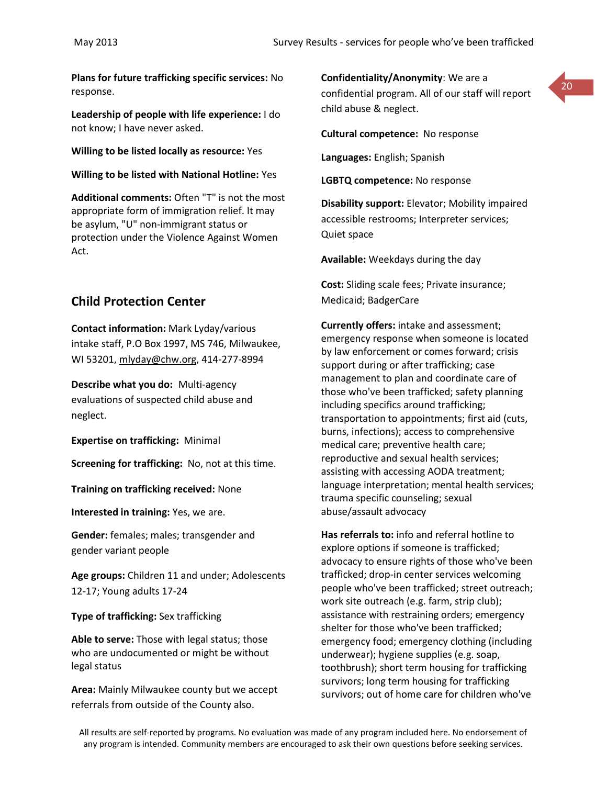**Plans for future trafficking specific services:** No response.

**Leadership of people with life experience:** I do not know; I have never asked.

**Willing to be listed locally as resource:** Yes

**Willing to be listed with National Hotline:** Yes

**Additional comments:** Often "T" is not the most appropriate form of immigration relief. It may be asylum, "U" non-immigrant status or protection under the Violence Against Women Act.

#### **Child Protection Center**

**Contact information:** Mark Lyday/various intake staff, P.O Box 1997, MS 746, Milwaukee, WI 53201, [mlyday@chw.org,](mailto:mlyday@chw.org) 414-277-8994

**Describe what you do:** Multi-agency evaluations of suspected child abuse and neglect.

**Expertise on trafficking:** Minimal

**Screening for trafficking:** No, not at this time.

**Training on trafficking received:** None

**Interested in training:** Yes, we are.

**Gender:** females; males; transgender and gender variant people

**Age groups:** Children 11 and under; Adolescents 12-17; Young adults 17-24

**Type of trafficking:** Sex trafficking

**Able to serve:** Those with legal status; those who are undocumented or might be without legal status

**Area:** Mainly Milwaukee county but we accept referrals from outside of the County also.

**Confidentiality/Anonymity**: We are a confidential program. All of our staff will report child abuse & neglect.

**Cultural competence:** No response

**Languages:** English; Spanish

**LGBTQ competence:** No response

**Disability support:** Elevator; Mobility impaired accessible restrooms; Interpreter services; Quiet space

**Available:** Weekdays during the day

**Cost:** Sliding scale fees; Private insurance; Medicaid; BadgerCare

**Currently offers:** intake and assessment; emergency response when someone is located by law enforcement or comes forward; crisis support during or after trafficking; case management to plan and coordinate care of those who've been trafficked; safety planning including specifics around trafficking; transportation to appointments; first aid (cuts, burns, infections); access to comprehensive medical care; preventive health care; reproductive and sexual health services; assisting with accessing AODA treatment; language interpretation; mental health services; trauma specific counseling; sexual abuse/assault advocacy

**Has referrals to:** info and referral hotline to explore options if someone is trafficked; advocacy to ensure rights of those who've been trafficked; drop-in center services welcoming people who've been trafficked; street outreach; work site outreach (e.g. farm, strip club); assistance with restraining orders; emergency shelter for those who've been trafficked; emergency food; emergency clothing (including underwear); hygiene supplies (e.g. soap, toothbrush); short term housing for trafficking survivors; long term housing for trafficking survivors; out of home care for children who've

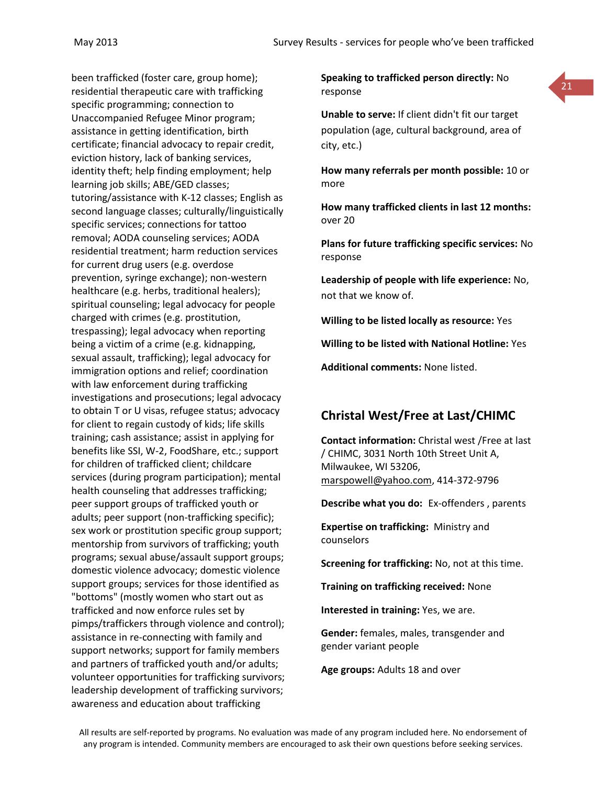been trafficked (foster care, group home); residential therapeutic care with trafficking specific programming; connection to Unaccompanied Refugee Minor program; assistance in getting identification, birth certificate; financial advocacy to repair credit, eviction history, lack of banking services, identity theft; help finding employment; help learning job skills; ABE/GED classes; tutoring/assistance with K-12 classes; English as second language classes; culturally/linguistically specific services; connections for tattoo removal; AODA counseling services; AODA residential treatment; harm reduction services for current drug users (e.g. overdose prevention, syringe exchange); non-western healthcare (e.g. herbs, traditional healers); spiritual counseling; legal advocacy for people charged with crimes (e.g. prostitution, trespassing); legal advocacy when reporting being a victim of a crime (e.g. kidnapping, sexual assault, trafficking); legal advocacy for immigration options and relief; coordination with law enforcement during trafficking investigations and prosecutions; legal advocacy to obtain T or U visas, refugee status; advocacy for client to regain custody of kids; life skills training; cash assistance; assist in applying for benefits like SSI, W-2, FoodShare, etc.; support for children of trafficked client; childcare services (during program participation); mental health counseling that addresses trafficking; peer support groups of trafficked youth or adults; peer support (non-trafficking specific); sex work or prostitution specific group support; mentorship from survivors of trafficking; youth programs; sexual abuse/assault support groups; domestic violence advocacy; domestic violence support groups; services for those identified as "bottoms" (mostly women who start out as trafficked and now enforce rules set by pimps/traffickers through violence and control); assistance in re-connecting with family and support networks; support for family members and partners of trafficked youth and/or adults; volunteer opportunities for trafficking survivors; leadership development of trafficking survivors; awareness and education about trafficking

**Speaking to trafficked person directly:** No response



**Unable to serve:** If client didn't fit our target population (age, cultural background, area of city, etc.)

**How many referrals per month possible:** 10 or more

**How many trafficked clients in last 12 months:** over 20

**Plans for future trafficking specific services:** No response

**Leadership of people with life experience:** No, not that we know of.

**Willing to be listed locally as resource:** Yes

**Willing to be listed with National Hotline:** Yes

**Additional comments:** None listed.

# **Christal West/Free at Last/CHIMC**

**Contact information:** Christal west /Free at last / CHIMC, 3031 North 10th Street Unit A, Milwaukee, WI 53206, [marspowell@yahoo.com,](mailto:marspowell@yahoo.com) 414-372-9796

**Describe what you do:** Ex-offenders , parents

**Expertise on trafficking:** Ministry and counselors

**Screening for trafficking:** No, not at this time.

**Training on trafficking received:** None

**Interested in training:** Yes, we are.

**Gender:** females, males, transgender and gender variant people

**Age groups:** Adults 18 and over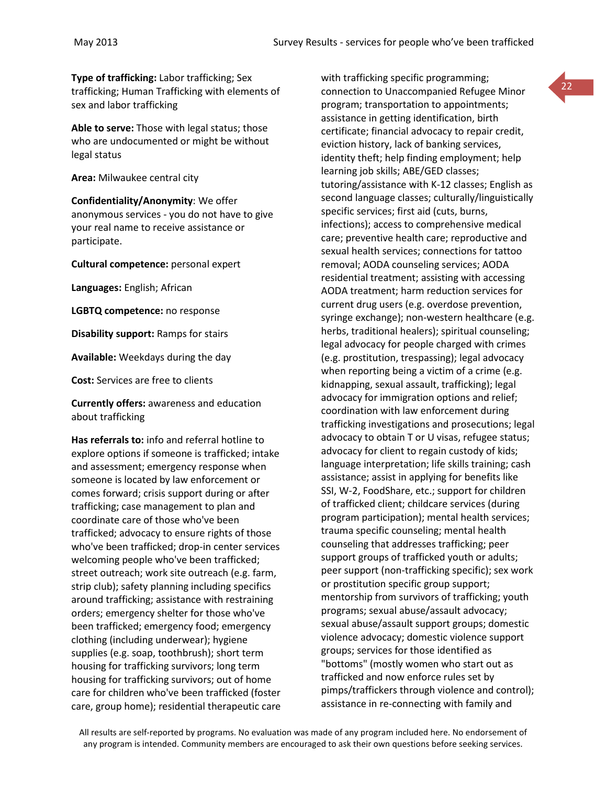**Type of trafficking:** Labor trafficking; Sex trafficking; Human Trafficking with elements of sex and labor trafficking

**Able to serve:** Those with legal status; those who are undocumented or might be without legal status

**Area:** Milwaukee central city

**Confidentiality/Anonymity**: We offer anonymous services - you do not have to give your real name to receive assistance or participate.

**Cultural competence:** personal expert

**Languages:** English; African

**LGBTQ competence:** no response

**Disability support:** Ramps for stairs

**Available:** Weekdays during the day

**Cost:** Services are free to clients

**Currently offers:** awareness and education about trafficking

**Has referrals to:** info and referral hotline to explore options if someone is trafficked; intake and assessment; emergency response when someone is located by law enforcement or comes forward; crisis support during or after trafficking; case management to plan and coordinate care of those who've been trafficked; advocacy to ensure rights of those who've been trafficked; drop-in center services welcoming people who've been trafficked; street outreach; work site outreach (e.g. farm, strip club); safety planning including specifics around trafficking; assistance with restraining orders; emergency shelter for those who've been trafficked; emergency food; emergency clothing (including underwear); hygiene supplies (e.g. soap, toothbrush); short term housing for trafficking survivors; long term housing for trafficking survivors; out of home care for children who've been trafficked (foster care, group home); residential therapeutic care with trafficking specific programming; connection to Unaccompanied Refugee Minor program; transportation to appointments; assistance in getting identification, birth certificate; financial advocacy to repair credit, eviction history, lack of banking services, identity theft; help finding employment; help learning job skills; ABE/GED classes; tutoring/assistance with K-12 classes; English as second language classes; culturally/linguistically specific services; first aid (cuts, burns, infections); access to comprehensive medical care; preventive health care; reproductive and sexual health services; connections for tattoo removal; AODA counseling services; AODA residential treatment; assisting with accessing AODA treatment; harm reduction services for current drug users (e.g. overdose prevention, syringe exchange); non-western healthcare (e.g. herbs, traditional healers); spiritual counseling; legal advocacy for people charged with crimes (e.g. prostitution, trespassing); legal advocacy when reporting being a victim of a crime (e.g. kidnapping, sexual assault, trafficking); legal advocacy for immigration options and relief; coordination with law enforcement during trafficking investigations and prosecutions; legal advocacy to obtain T or U visas, refugee status; advocacy for client to regain custody of kids; language interpretation; life skills training; cash assistance; assist in applying for benefits like SSI, W-2, FoodShare, etc.; support for children of trafficked client; childcare services (during program participation); mental health services; trauma specific counseling; mental health counseling that addresses trafficking; peer support groups of trafficked youth or adults; peer support (non-trafficking specific); sex work or prostitution specific group support; mentorship from survivors of trafficking; youth programs; sexual abuse/assault advocacy; sexual abuse/assault support groups; domestic violence advocacy; domestic violence support groups; services for those identified as "bottoms" (mostly women who start out as trafficked and now enforce rules set by pimps/traffickers through violence and control); assistance in re-connecting with family and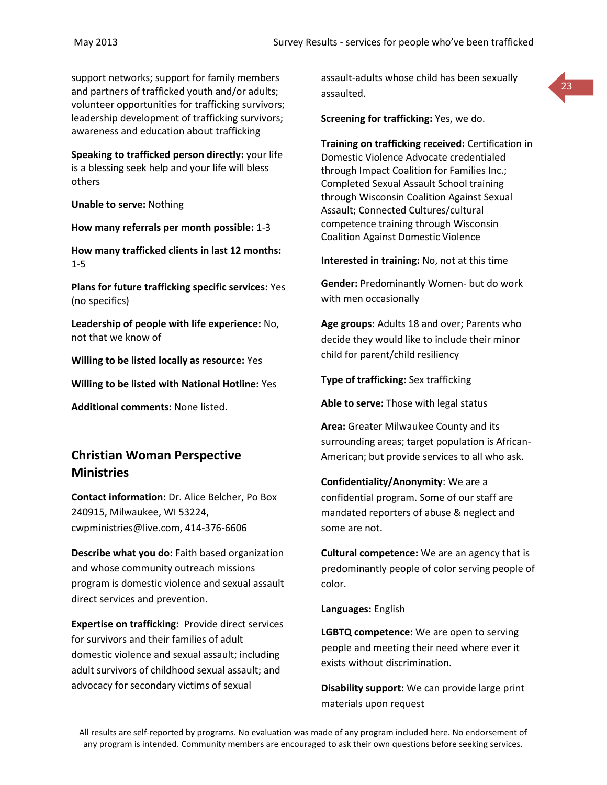support networks; support for family members and partners of trafficked youth and/or adults; volunteer opportunities for trafficking survivors; leadership development of trafficking survivors; awareness and education about trafficking

**Speaking to trafficked person directly:** your life is a blessing seek help and your life will bless others

**Unable to serve:** Nothing

**How many referrals per month possible:** 1-3

**How many trafficked clients in last 12 months:** 1-5

**Plans for future trafficking specific services:** Yes (no specifics)

**Leadership of people with life experience:** No, not that we know of

**Willing to be listed locally as resource:** Yes

**Willing to be listed with National Hotline:** Yes

**Additional comments:** None listed.

# **Christian Woman Perspective Ministries**

**Contact information:** Dr. Alice Belcher, Po Box 240915, Milwaukee, WI 53224, [cwpministries@live.com,](mailto:cwpministries@live.com) 414-376-6606

**Describe what you do:** Faith based organization and whose community outreach missions program is domestic violence and sexual assault direct services and prevention.

**Expertise on trafficking:** Provide direct services for survivors and their families of adult domestic violence and sexual assault; including adult survivors of childhood sexual assault; and advocacy for secondary victims of sexual

assault-adults whose child has been sexually assaulted.



**Screening for trafficking:** Yes, we do.

**Training on trafficking received:** Certification in Domestic Violence Advocate credentialed through Impact Coalition for Families Inc.; Completed Sexual Assault School training through Wisconsin Coalition Against Sexual Assault; Connected Cultures/cultural competence training through Wisconsin Coalition Against Domestic Violence

**Interested in training:** No, not at this time

**Gender:** Predominantly Women- but do work with men occasionally

**Age groups:** Adults 18 and over; Parents who decide they would like to include their minor child for parent/child resiliency

**Type of trafficking:** Sex trafficking

**Able to serve:** Those with legal status

**Area:** Greater Milwaukee County and its surrounding areas; target population is African-American; but provide services to all who ask.

**Confidentiality/Anonymity**: We are a confidential program. Some of our staff are mandated reporters of abuse & neglect and some are not.

**Cultural competence:** We are an agency that is predominantly people of color serving people of color.

**Languages:** English

**LGBTQ competence:** We are open to serving people and meeting their need where ever it exists without discrimination.

**Disability support:** We can provide large print materials upon request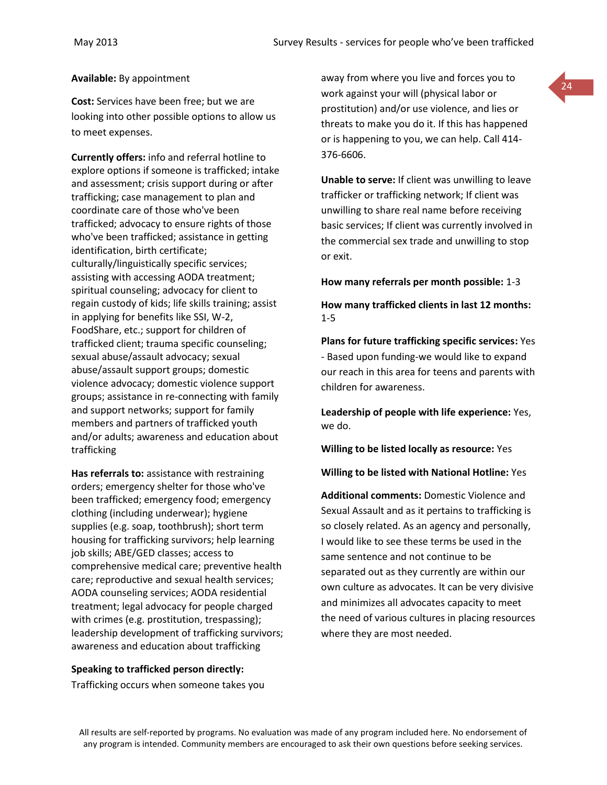#### **Available:** By appointment

**Cost:** Services have been free; but we are looking into other possible options to allow us to meet expenses.

**Currently offers:** info and referral hotline to explore options if someone is trafficked; intake and assessment; crisis support during or after trafficking; case management to plan and coordinate care of those who've been trafficked; advocacy to ensure rights of those who've been trafficked; assistance in getting identification, birth certificate; culturally/linguistically specific services; assisting with accessing AODA treatment; spiritual counseling; advocacy for client to regain custody of kids; life skills training; assist in applying for benefits like SSI, W-2, FoodShare, etc.; support for children of trafficked client; trauma specific counseling; sexual abuse/assault advocacy; sexual abuse/assault support groups; domestic violence advocacy; domestic violence support groups; assistance in re-connecting with family and support networks; support for family members and partners of trafficked youth and/or adults; awareness and education about trafficking

**Has referrals to:** assistance with restraining orders; emergency shelter for those who've been trafficked; emergency food; emergency clothing (including underwear); hygiene supplies (e.g. soap, toothbrush); short term housing for trafficking survivors; help learning job skills; ABE/GED classes; access to comprehensive medical care; preventive health care; reproductive and sexual health services; AODA counseling services; AODA residential treatment; legal advocacy for people charged with crimes (e.g. prostitution, trespassing); leadership development of trafficking survivors; awareness and education about trafficking

#### **Speaking to trafficked person directly:**

Trafficking occurs when someone takes you

away from where you live and forces you to work against your will (physical labor or prostitution) and/or use violence, and lies or threats to make you do it. If this has happened or is happening to you, we can help. Call 414- 376-6606.

24

**Unable to serve:** If client was unwilling to leave trafficker or trafficking network; If client was unwilling to share real name before receiving basic services; If client was currently involved in the commercial sex trade and unwilling to stop or exit.

#### **How many referrals per month possible:** 1-3

**How many trafficked clients in last 12 months:** 1-5

**Plans for future trafficking specific services:** Yes - Based upon funding-we would like to expand our reach in this area for teens and parents with children for awareness.

**Leadership of people with life experience:** Yes, we do.

**Willing to be listed locally as resource:** Yes

**Willing to be listed with National Hotline:** Yes

**Additional comments:** Domestic Violence and Sexual Assault and as it pertains to trafficking is so closely related. As an agency and personally, I would like to see these terms be used in the same sentence and not continue to be separated out as they currently are within our own culture as advocates. It can be very divisive and minimizes all advocates capacity to meet the need of various cultures in placing resources where they are most needed.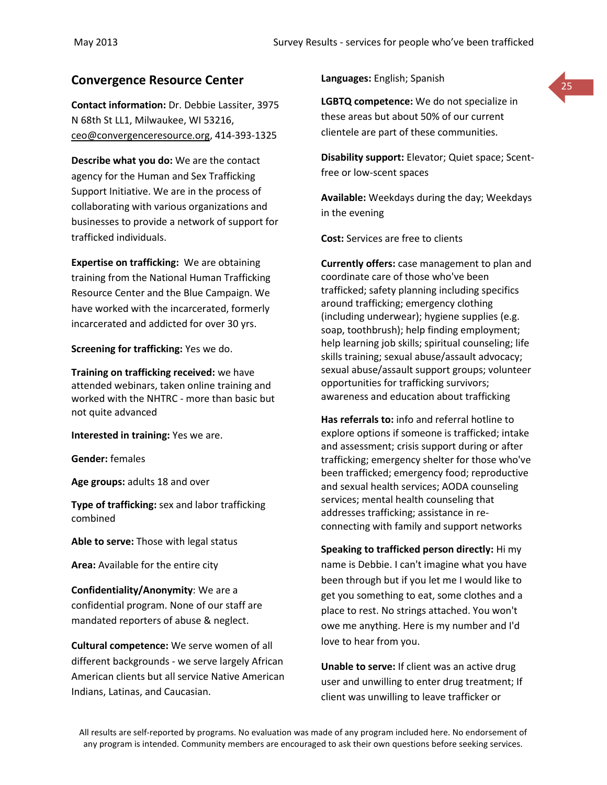# **Convergence Resource Center Languages:** English; Spanish

**Contact information:** Dr. Debbie Lassiter, 3975 N 68th St LL1, Milwaukee, WI 53216, [ceo@convergenceresource.org,](mailto:ceo@convergenceresource.org) 414-393-1325

**Describe what you do:** We are the contact agency for the Human and Sex Trafficking Support Initiative. We are in the process of collaborating with various organizations and businesses to provide a network of support for trafficked individuals.

**Expertise on trafficking:** We are obtaining training from the National Human Trafficking Resource Center and the Blue Campaign. We have worked with the incarcerated, formerly incarcerated and addicted for over 30 yrs.

**Screening for trafficking:** Yes we do.

**Training on trafficking received:** we have attended webinars, taken online training and worked with the NHTRC - more than basic but not quite advanced

**Interested in training:** Yes we are.

**Gender:** females

**Age groups:** adults 18 and over

**Type of trafficking:** sex and labor trafficking combined

**Able to serve:** Those with legal status

**Area:** Available for the entire city

**Confidentiality/Anonymity**: We are a confidential program. None of our staff are mandated reporters of abuse & neglect.

**Cultural competence:** We serve women of all different backgrounds - we serve largely African American clients but all service Native American Indians, Latinas, and Caucasian.

**Languages:** English; Spanish



**LGBTQ competence:** We do not specialize in these areas but about 50% of our current clientele are part of these communities.

**Disability support:** Elevator; Quiet space; Scentfree or low-scent spaces

**Available:** Weekdays during the day; Weekdays in the evening

**Cost:** Services are free to clients

**Currently offers:** case management to plan and coordinate care of those who've been trafficked; safety planning including specifics around trafficking; emergency clothing (including underwear); hygiene supplies (e.g. soap, toothbrush); help finding employment; help learning job skills; spiritual counseling; life skills training; sexual abuse/assault advocacy; sexual abuse/assault support groups; volunteer opportunities for trafficking survivors; awareness and education about trafficking

**Has referrals to:** info and referral hotline to explore options if someone is trafficked; intake and assessment; crisis support during or after trafficking; emergency shelter for those who've been trafficked; emergency food; reproductive and sexual health services; AODA counseling services; mental health counseling that addresses trafficking; assistance in reconnecting with family and support networks

**Speaking to trafficked person directly:** Hi my name is Debbie. I can't imagine what you have been through but if you let me I would like to get you something to eat, some clothes and a place to rest. No strings attached. You won't owe me anything. Here is my number and I'd love to hear from you.

**Unable to serve:** If client was an active drug user and unwilling to enter drug treatment; If client was unwilling to leave trafficker or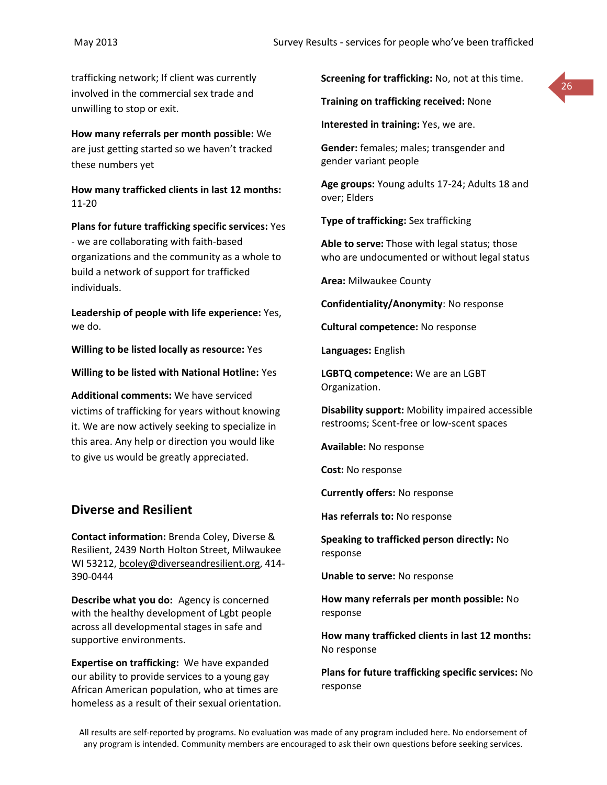trafficking network; If client was currently involved in the commercial sex trade and unwilling to stop or exit.

**How many referrals per month possible:** We are just getting started so we haven't tracked these numbers yet

**How many trafficked clients in last 12 months:** 11-20

**Plans for future trafficking specific services:** Yes - we are collaborating with faith-based organizations and the community as a whole to build a network of support for trafficked individuals.

**Leadership of people with life experience:** Yes, we do.

**Willing to be listed locally as resource:** Yes

**Willing to be listed with National Hotline:** Yes

**Additional comments:** We have serviced victims of trafficking for years without knowing it. We are now actively seeking to specialize in this area. Any help or direction you would like to give us would be greatly appreciated.

#### **Diverse and Resilient**

**Contact information:** Brenda Coley, Diverse & Resilient, 2439 North Holton Street, Milwaukee WI 53212, [bcoley@diverseandresilient.org,](mailto:bcoley@diverseandresilient.org) 414- 390-0444

**Describe what you do:** Agency is concerned with the healthy development of Lgbt people across all developmental stages in safe and supportive environments.

**Expertise on trafficking:** We have expanded our ability to provide services to a young gay African American population, who at times are homeless as a result of their sexual orientation. **Screening for trafficking:** No, not at this time.

**Training on trafficking received:** None

**Interested in training:** Yes, we are.

**Gender:** females; males; transgender and gender variant people

**Age groups:** Young adults 17-24; Adults 18 and over; Elders

**Type of trafficking:** Sex trafficking

**Able to serve:** Those with legal status; those who are undocumented or without legal status

**Area:** Milwaukee County

**Confidentiality/Anonymity**: No response

**Cultural competence:** No response

**Languages:** English

**LGBTQ competence:** We are an LGBT Organization.

**Disability support:** Mobility impaired accessible restrooms; Scent-free or low-scent spaces

**Available:** No response

**Cost:** No response

**Currently offers:** No response

**Has referrals to:** No response

**Speaking to trafficked person directly:** No response

**Unable to serve:** No response

**How many referrals per month possible:** No response

**How many trafficked clients in last 12 months:** No response

**Plans for future trafficking specific services:** No response

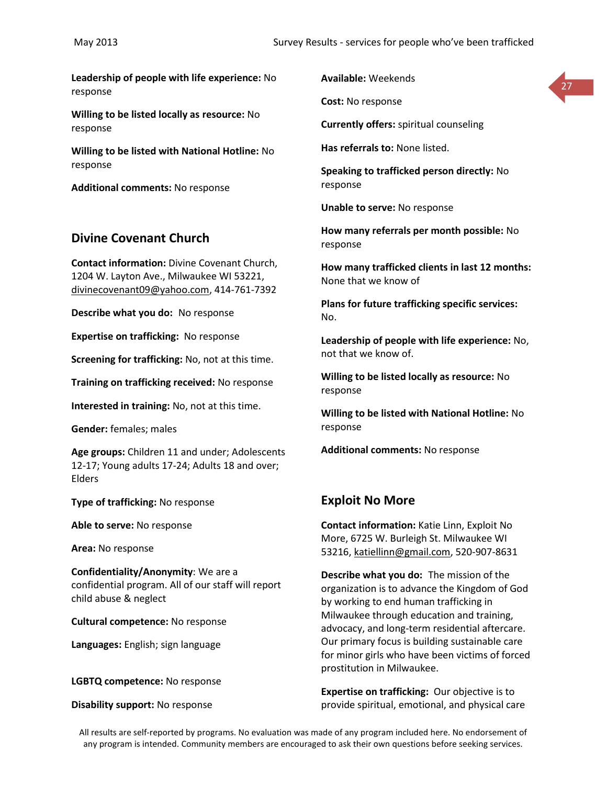**Leadership of people with life experience:** No response

**Willing to be listed locally as resource:** No response

**Willing to be listed with National Hotline:** No response

**Additional comments:** No response

#### **Divine Covenant Church**

**Contact information:** Divine Covenant Church, 1204 W. Layton Ave., Milwaukee WI 53221, [divinecovenant09@yahoo.com,](mailto:divinecovenant09@yahoo.com) 414-761-7392

**Describe what you do:** No response

**Expertise on trafficking:** No response

**Screening for trafficking:** No, not at this time.

**Training on trafficking received:** No response

**Interested in training:** No, not at this time.

**Gender:** females; males

**Age groups:** Children 11 and under; Adolescents 12-17; Young adults 17-24; Adults 18 and over; Elders

**Type of trafficking:** No response

**Able to serve:** No response

**Area:** No response

**Confidentiality/Anonymity**: We are a confidential program. All of our staff will report child abuse & neglect

**Cultural competence:** No response

**Languages:** English; sign language

**LGBTQ competence:** No response

**Disability support:** No response

**Available:** Weekends

**Cost:** No response

**Currently offers:** spiritual counseling

**Has referrals to:** None listed.

**Speaking to trafficked person directly:** No response

27

**Unable to serve:** No response

**How many referrals per month possible:** No response

**How many trafficked clients in last 12 months:** None that we know of

**Plans for future trafficking specific services:** No.

**Leadership of people with life experience:** No, not that we know of.

**Willing to be listed locally as resource:** No response

**Willing to be listed with National Hotline:** No response

**Additional comments:** No response

#### **Exploit No More**

**Contact information:** Katie Linn, Exploit No More, 6725 W. Burleigh St. Milwaukee WI 53216, [katiellinn@gmail.com,](mailto:katiellinn@gmail.com) 520-907-8631

**Describe what you do:** The mission of the organization is to advance the Kingdom of God by working to end human trafficking in Milwaukee through education and training, advocacy, and long-term residential aftercare. Our primary focus is building sustainable care for minor girls who have been victims of forced prostitution in Milwaukee.

**Expertise on trafficking:** Our objective is to provide spiritual, emotional, and physical care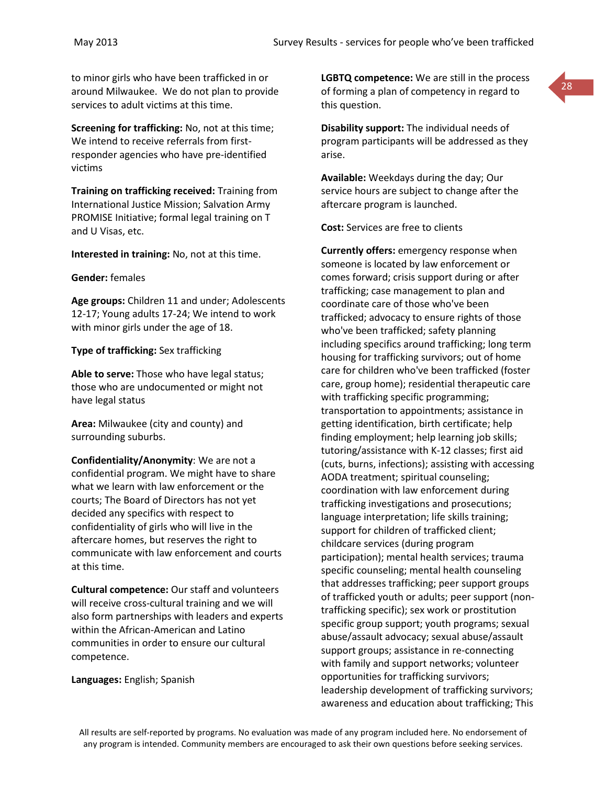to minor girls who have been trafficked in or around Milwaukee. We do not plan to provide services to adult victims at this time.

**Screening for trafficking:** No, not at this time; We intend to receive referrals from firstresponder agencies who have pre-identified victims

**Training on trafficking received:** Training from International Justice Mission; Salvation Army PROMISE Initiative; formal legal training on T and U Visas, etc.

**Interested in training:** No, not at this time.

#### **Gender:** females

**Age groups:** Children 11 and under; Adolescents 12-17; Young adults 17-24; We intend to work with minor girls under the age of 18.

#### **Type of trafficking:** Sex trafficking

**Able to serve:** Those who have legal status; those who are undocumented or might not have legal status

**Area:** Milwaukee (city and county) and surrounding suburbs.

**Confidentiality/Anonymity**: We are not a confidential program. We might have to share what we learn with law enforcement or the courts; The Board of Directors has not yet decided any specifics with respect to confidentiality of girls who will live in the aftercare homes, but reserves the right to communicate with law enforcement and courts at this time.

**Cultural competence:** Our staff and volunteers will receive cross-cultural training and we will also form partnerships with leaders and experts within the African-American and Latino communities in order to ensure our cultural competence.

**Languages:** English; Spanish

**LGBTQ competence:** We are still in the process of forming a plan of competency in regard to this question.



**Disability support:** The individual needs of program participants will be addressed as they arise.

**Available:** Weekdays during the day; Our service hours are subject to change after the aftercare program is launched.

**Cost:** Services are free to clients

**Currently offers:** emergency response when someone is located by law enforcement or comes forward; crisis support during or after trafficking; case management to plan and coordinate care of those who've been trafficked; advocacy to ensure rights of those who've been trafficked; safety planning including specifics around trafficking; long term housing for trafficking survivors; out of home care for children who've been trafficked (foster care, group home); residential therapeutic care with trafficking specific programming; transportation to appointments; assistance in getting identification, birth certificate; help finding employment; help learning job skills; tutoring/assistance with K-12 classes; first aid (cuts, burns, infections); assisting with accessing AODA treatment; spiritual counseling; coordination with law enforcement during trafficking investigations and prosecutions; language interpretation; life skills training; support for children of trafficked client; childcare services (during program participation); mental health services; trauma specific counseling; mental health counseling that addresses trafficking; peer support groups of trafficked youth or adults; peer support (nontrafficking specific); sex work or prostitution specific group support; youth programs; sexual abuse/assault advocacy; sexual abuse/assault support groups; assistance in re-connecting with family and support networks; volunteer opportunities for trafficking survivors; leadership development of trafficking survivors; awareness and education about trafficking; This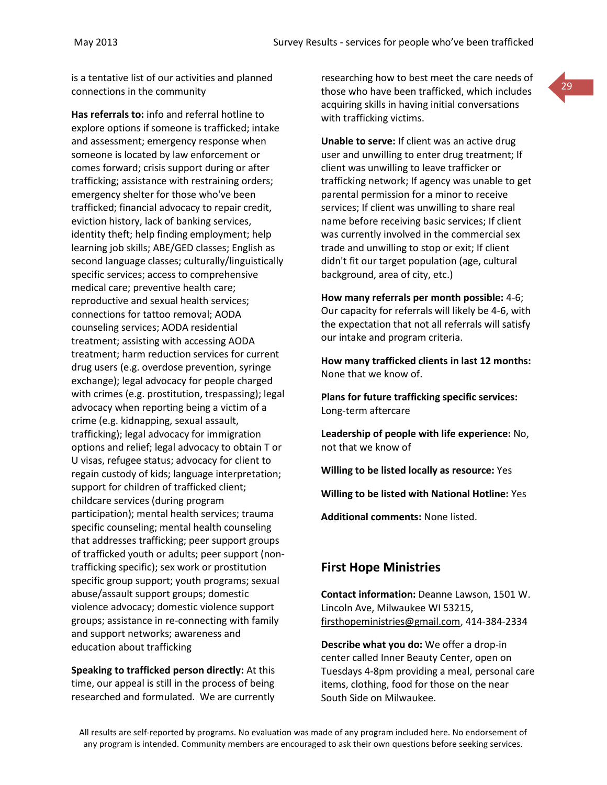is a tentative list of our activities and planned connections in the community

**Has referrals to:** info and referral hotline to explore options if someone is trafficked; intake and assessment; emergency response when someone is located by law enforcement or comes forward; crisis support during or after trafficking; assistance with restraining orders; emergency shelter for those who've been trafficked; financial advocacy to repair credit, eviction history, lack of banking services, identity theft; help finding employment; help learning job skills; ABE/GED classes; English as second language classes; culturally/linguistically specific services; access to comprehensive medical care; preventive health care; reproductive and sexual health services; connections for tattoo removal; AODA counseling services; AODA residential treatment; assisting with accessing AODA treatment; harm reduction services for current drug users (e.g. overdose prevention, syringe exchange); legal advocacy for people charged with crimes (e.g. prostitution, trespassing); legal advocacy when reporting being a victim of a crime (e.g. kidnapping, sexual assault, trafficking); legal advocacy for immigration options and relief; legal advocacy to obtain T or U visas, refugee status; advocacy for client to regain custody of kids; language interpretation; support for children of trafficked client; childcare services (during program participation); mental health services; trauma specific counseling; mental health counseling that addresses trafficking; peer support groups of trafficked youth or adults; peer support (nontrafficking specific); sex work or prostitution specific group support; youth programs; sexual abuse/assault support groups; domestic violence advocacy; domestic violence support groups; assistance in re-connecting with family and support networks; awareness and education about trafficking

**Speaking to trafficked person directly:** At this time, our appeal is still in the process of being researched and formulated. We are currently researching how to best meet the care needs of those who have been trafficked, which includes acquiring skills in having initial conversations with trafficking victims.

29

**Unable to serve:** If client was an active drug user and unwilling to enter drug treatment; If client was unwilling to leave trafficker or trafficking network; If agency was unable to get parental permission for a minor to receive services; If client was unwilling to share real name before receiving basic services; If client was currently involved in the commercial sex trade and unwilling to stop or exit; If client didn't fit our target population (age, cultural background, area of city, etc.)

**How many referrals per month possible:** 4-6; Our capacity for referrals will likely be 4-6, with the expectation that not all referrals will satisfy our intake and program criteria.

**How many trafficked clients in last 12 months:** None that we know of.

**Plans for future trafficking specific services:** Long-term aftercare

**Leadership of people with life experience:** No, not that we know of

**Willing to be listed locally as resource:** Yes

**Willing to be listed with National Hotline:** Yes

**Additional comments:** None listed.

#### **First Hope Ministries**

**Contact information:** Deanne Lawson, 1501 W. Lincoln Ave, Milwaukee WI 53215, [firsthopeministries@gmail.com,](mailto:firsthopeministries@gmail.com) 414-384-2334

**Describe what you do:** We offer a drop-in center called Inner Beauty Center, open on Tuesdays 4-8pm providing a meal, personal care items, clothing, food for those on the near South Side on Milwaukee.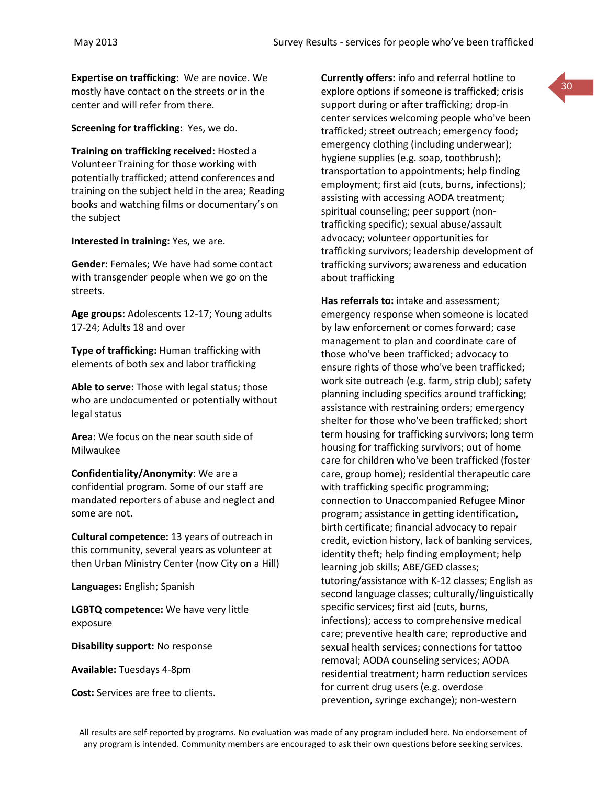**Expertise on trafficking:** We are novice. We mostly have contact on the streets or in the center and will refer from there.

**Screening for trafficking:** Yes, we do.

**Training on trafficking received:** Hosted a Volunteer Training for those working with potentially trafficked; attend conferences and training on the subject held in the area; Reading books and watching films or documentary's on the subject

**Interested in training:** Yes, we are.

**Gender:** Females; We have had some contact with transgender people when we go on the streets.

**Age groups:** Adolescents 12-17; Young adults 17-24; Adults 18 and over

**Type of trafficking:** Human trafficking with elements of both sex and labor trafficking

**Able to serve:** Those with legal status; those who are undocumented or potentially without legal status

**Area:** We focus on the near south side of Milwaukee

**Confidentiality/Anonymity**: We are a confidential program. Some of our staff are mandated reporters of abuse and neglect and some are not.

**Cultural competence:** 13 years of outreach in this community, several years as volunteer at then Urban Ministry Center (now City on a Hill)

**Languages:** English; Spanish

**LGBTQ competence:** We have very little exposure

**Disability support:** No response

**Available:** Tuesdays 4-8pm

**Cost:** Services are free to clients.

**Currently offers:** info and referral hotline to explore options if someone is trafficked; crisis support during or after trafficking; drop-in center services welcoming people who've been trafficked; street outreach; emergency food; emergency clothing (including underwear); hygiene supplies (e.g. soap, toothbrush); transportation to appointments; help finding employment; first aid (cuts, burns, infections); assisting with accessing AODA treatment; spiritual counseling; peer support (nontrafficking specific); sexual abuse/assault advocacy; volunteer opportunities for trafficking survivors; leadership development of trafficking survivors; awareness and education about trafficking

**Has referrals to:** intake and assessment; emergency response when someone is located by law enforcement or comes forward; case management to plan and coordinate care of those who've been trafficked; advocacy to ensure rights of those who've been trafficked; work site outreach (e.g. farm, strip club); safety planning including specifics around trafficking; assistance with restraining orders; emergency shelter for those who've been trafficked; short term housing for trafficking survivors; long term housing for trafficking survivors; out of home care for children who've been trafficked (foster care, group home); residential therapeutic care with trafficking specific programming; connection to Unaccompanied Refugee Minor program; assistance in getting identification, birth certificate; financial advocacy to repair credit, eviction history, lack of banking services, identity theft; help finding employment; help learning job skills; ABE/GED classes; tutoring/assistance with K-12 classes; English as second language classes; culturally/linguistically specific services; first aid (cuts, burns, infections); access to comprehensive medical care; preventive health care; reproductive and sexual health services; connections for tattoo removal; AODA counseling services; AODA residential treatment; harm reduction services for current drug users (e.g. overdose prevention, syringe exchange); non-western

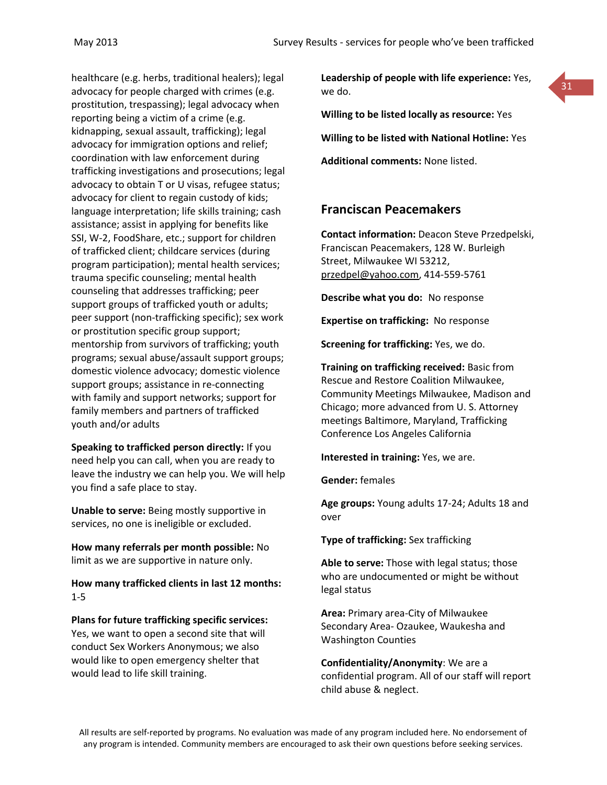healthcare (e.g. herbs, traditional healers); legal advocacy for people charged with crimes (e.g. prostitution, trespassing); legal advocacy when reporting being a victim of a crime (e.g. kidnapping, sexual assault, trafficking); legal advocacy for immigration options and relief; coordination with law enforcement during trafficking investigations and prosecutions; legal advocacy to obtain T or U visas, refugee status; advocacy for client to regain custody of kids; language interpretation; life skills training; cash assistance; assist in applying for benefits like SSI, W-2, FoodShare, etc.; support for children of trafficked client; childcare services (during program participation); mental health services; trauma specific counseling; mental health counseling that addresses trafficking; peer support groups of trafficked youth or adults; peer support (non-trafficking specific); sex work or prostitution specific group support; mentorship from survivors of trafficking; youth programs; sexual abuse/assault support groups; domestic violence advocacy; domestic violence support groups; assistance in re-connecting with family and support networks; support for family members and partners of trafficked youth and/or adults

**Speaking to trafficked person directly:** If you need help you can call, when you are ready to leave the industry we can help you. We will help you find a safe place to stay.

**Unable to serve:** Being mostly supportive in services, no one is ineligible or excluded.

**How many referrals per month possible:** No limit as we are supportive in nature only.

**How many trafficked clients in last 12 months:** 1-5

**Plans for future trafficking specific services:** Yes, we want to open a second site that will conduct Sex Workers Anonymous; we also would like to open emergency shelter that would lead to life skill training.

**Leadership of people with life experience:** Yes, we do.

31



**Willing to be listed with National Hotline:** Yes

**Additional comments:** None listed.

#### **Franciscan Peacemakers**

**Contact information:** Deacon Steve Przedpelski, Franciscan Peacemakers, 128 W. Burleigh Street, Milwaukee WI 53212, [przedpel@yahoo.com,](mailto:przedpel@yahoo.com) 414-559-5761

**Describe what you do:** No response

**Expertise on trafficking:** No response

**Screening for trafficking:** Yes, we do.

**Training on trafficking received:** Basic from Rescue and Restore Coalition Milwaukee, Community Meetings Milwaukee, Madison and Chicago; more advanced from U. S. Attorney meetings Baltimore, Maryland, Trafficking Conference Los Angeles California

**Interested in training:** Yes, we are.

**Gender:** females

**Age groups:** Young adults 17-24; Adults 18 and over

**Type of trafficking:** Sex trafficking

**Able to serve:** Those with legal status; those who are undocumented or might be without legal status

**Area:** Primary area-City of Milwaukee Secondary Area- Ozaukee, Waukesha and Washington Counties

**Confidentiality/Anonymity**: We are a confidential program. All of our staff will report child abuse & neglect.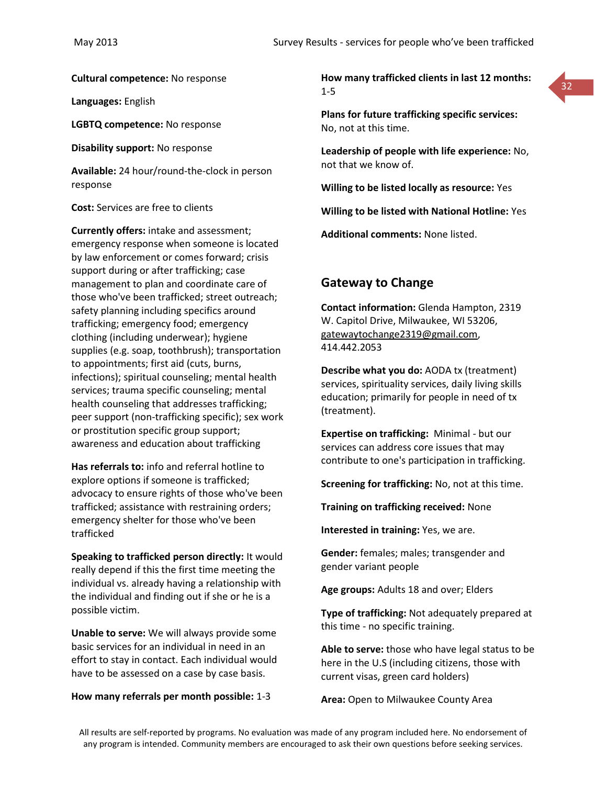**Cultural competence:** No response

**Languages:** English

**LGBTQ competence:** No response

**Disability support:** No response

**Available:** 24 hour/round-the-clock in person response

**Cost:** Services are free to clients

**Currently offers:** intake and assessment; emergency response when someone is located by law enforcement or comes forward; crisis support during or after trafficking; case management to plan and coordinate care of those who've been trafficked; street outreach; safety planning including specifics around trafficking; emergency food; emergency clothing (including underwear); hygiene supplies (e.g. soap, toothbrush); transportation to appointments; first aid (cuts, burns, infections); spiritual counseling; mental health services; trauma specific counseling; mental health counseling that addresses trafficking; peer support (non-trafficking specific); sex work or prostitution specific group support; awareness and education about trafficking

**Has referrals to:** info and referral hotline to explore options if someone is trafficked; advocacy to ensure rights of those who've been trafficked; assistance with restraining orders; emergency shelter for those who've been trafficked

**Speaking to trafficked person directly:** It would really depend if this the first time meeting the individual vs. already having a relationship with the individual and finding out if she or he is a possible victim.

**Unable to serve:** We will always provide some basic services for an individual in need in an effort to stay in contact. Each individual would have to be assessed on a case by case basis.

#### **How many referrals per month possible:** 1-3

**How many trafficked clients in last 12 months:** 1-5



**Plans for future trafficking specific services:** No, not at this time.

**Leadership of people with life experience:** No, not that we know of.

**Willing to be listed locally as resource:** Yes

**Willing to be listed with National Hotline:** Yes

**Additional comments:** None listed.

#### **Gateway to Change**

**Contact information:** Glenda Hampton, 2319 W. Capitol Drive, Milwaukee, WI 53206, [gatewaytochange2319@gmail.com,](mailto:gatewaytochange2319@gmail.com) 414.442.2053

**Describe what you do:** AODA tx (treatment) services, spirituality services, daily living skills education; primarily for people in need of tx (treatment).

**Expertise on trafficking:** Minimal - but our services can address core issues that may contribute to one's participation in trafficking.

**Screening for trafficking:** No, not at this time.

**Training on trafficking received:** None

**Interested in training:** Yes, we are.

**Gender:** females; males; transgender and gender variant people

**Age groups:** Adults 18 and over; Elders

**Type of trafficking:** Not adequately prepared at this time - no specific training.

**Able to serve:** those who have legal status to be here in the U.S (including citizens, those with current visas, green card holders)

**Area:** Open to Milwaukee County Area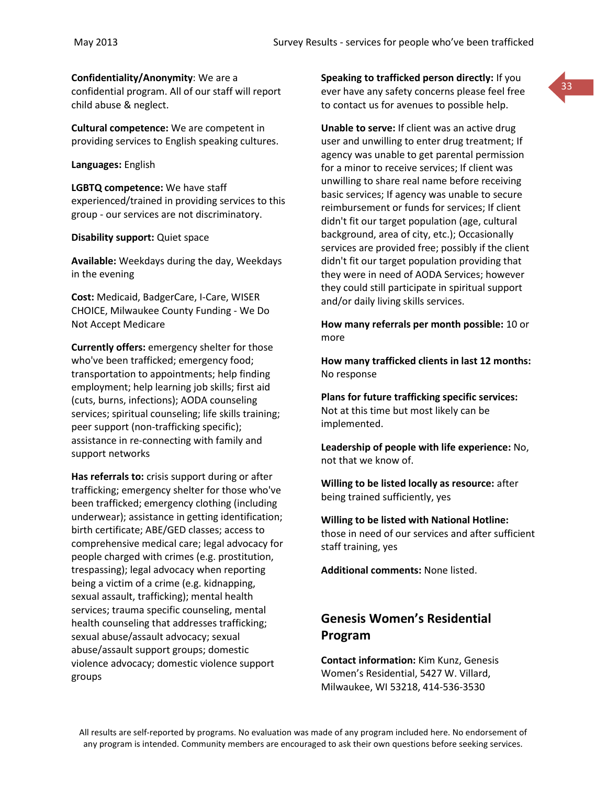**Confidentiality/Anonymity**: We are a

confidential program. All of our staff will report child abuse & neglect.

**Cultural competence:** We are competent in providing services to English speaking cultures.

**Languages:** English

**LGBTQ competence:** We have staff experienced/trained in providing services to this group - our services are not discriminatory.

**Disability support:** Quiet space

**Available:** Weekdays during the day, Weekdays in the evening

**Cost:** Medicaid, BadgerCare, I-Care, WISER CHOICE, Milwaukee County Funding - We Do Not Accept Medicare

**Currently offers:** emergency shelter for those who've been trafficked; emergency food; transportation to appointments; help finding employment; help learning job skills; first aid (cuts, burns, infections); AODA counseling services; spiritual counseling; life skills training; peer support (non-trafficking specific); assistance in re-connecting with family and support networks

**Has referrals to:** crisis support during or after trafficking; emergency shelter for those who've been trafficked; emergency clothing (including underwear); assistance in getting identification; birth certificate; ABE/GED classes; access to comprehensive medical care; legal advocacy for people charged with crimes (e.g. prostitution, trespassing); legal advocacy when reporting being a victim of a crime (e.g. kidnapping, sexual assault, trafficking); mental health services; trauma specific counseling, mental health counseling that addresses trafficking; sexual abuse/assault advocacy; sexual abuse/assault support groups; domestic violence advocacy; domestic violence support groups

**Speaking to trafficked person directly:** If you ever have any safety concerns please feel free to contact us for avenues to possible help.

**Unable to serve:** If client was an active drug user and unwilling to enter drug treatment; If agency was unable to get parental permission for a minor to receive services; If client was unwilling to share real name before receiving basic services; If agency was unable to secure reimbursement or funds for services; If client didn't fit our target population (age, cultural background, area of city, etc.); Occasionally services are provided free; possibly if the client didn't fit our target population providing that they were in need of AODA Services; however they could still participate in spiritual support and/or daily living skills services.

**How many referrals per month possible:** 10 or more

**How many trafficked clients in last 12 months:** No response

**Plans for future trafficking specific services:** Not at this time but most likely can be implemented.

**Leadership of people with life experience:** No, not that we know of.

**Willing to be listed locally as resource:** after being trained sufficiently, yes

**Willing to be listed with National Hotline:**  those in need of our services and after sufficient staff training, yes

**Additional comments:** None listed.

# **Genesis Women's Residential Program**

**Contact information:** Kim Kunz, Genesis Women's Residential, 5427 W. Villard, Milwaukee, WI 53218, 414-536-3530

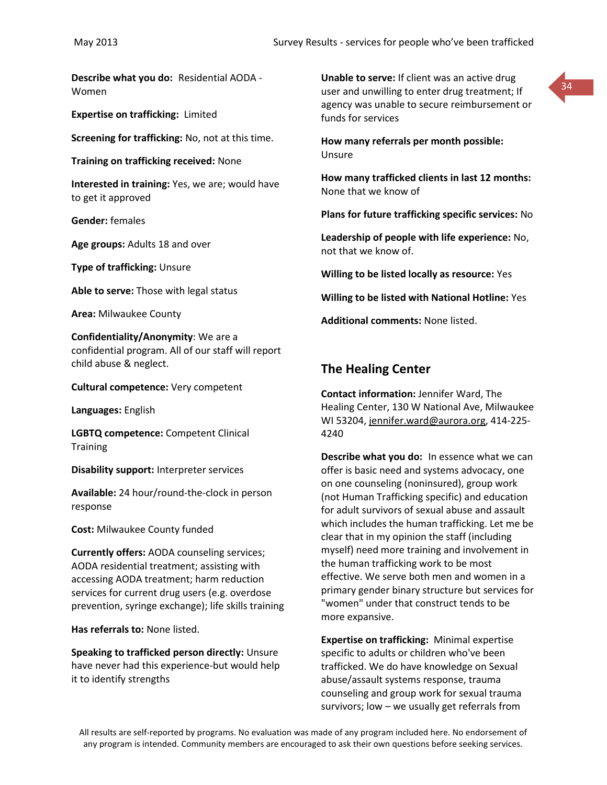**Describe what you do:** Residential AODA - Women

**Expertise on trafficking:** Limited

**Screening for trafficking:** No, not at this time.

**Training on trafficking received:** None

**Interested in training:** Yes, we are; would have to get it approved

**Gender:** females

**Age groups:** Adults 18 and over

**Type of trafficking:** Unsure

**Able to serve:** Those with legal status

**Area:** Milwaukee County

**Confidentiality/Anonymity**: We are a confidential program. All of our staff will report child abuse & neglect.

**Cultural competence:** Very competent

**Languages:** English

**LGBTQ competence:** Competent Clinical **Training** 

**Disability support:** Interpreter services

**Available:** 24 hour/round-the-clock in person response

**Cost:** Milwaukee County funded

**Currently offers:** AODA counseling services; AODA residential treatment; assisting with accessing AODA treatment; harm reduction services for current drug users (e.g. overdose prevention, syringe exchange); life skills training

**Has referrals to:** None listed.

**Speaking to trafficked person directly:** Unsure have never had this experience-but would help it to identify strengths

**Unable to serve:** If client was an active drug user and unwilling to enter drug treatment; If agency was unable to secure reimbursement or funds for services



**How many referrals per month possible:** Unsure

**How many trafficked clients in last 12 months:** None that we know of

**Plans for future trafficking specific services:** No

**Leadership of people with life experience:** No, not that we know of.

**Willing to be listed locally as resource:** Yes

**Willing to be listed with National Hotline:** Yes

**Additional comments:** None listed.

#### **The Healing Center**

**Contact information:** Jennifer Ward, The Healing Center, 130 W National Ave, Milwaukee WI 53204, [jennifer.ward@aurora.org,](mailto:jennifer.ward@aurora.org) 414-225- 4240

**Describe what you do:** In essence what we can offer is basic need and systems advocacy, one on one counseling (noninsured), group work (not Human Trafficking specific) and education for adult survivors of sexual abuse and assault which includes the human trafficking. Let me be clear that in my opinion the staff (including myself) need more training and involvement in the human trafficking work to be most effective. We serve both men and women in a primary gender binary structure but services for "women" under that construct tends to be more expansive.

**Expertise on trafficking:** Minimal expertise specific to adults or children who've been trafficked. We do have knowledge on Sexual abuse/assault systems response, trauma counseling and group work for sexual trauma survivors; low – we usually get referrals from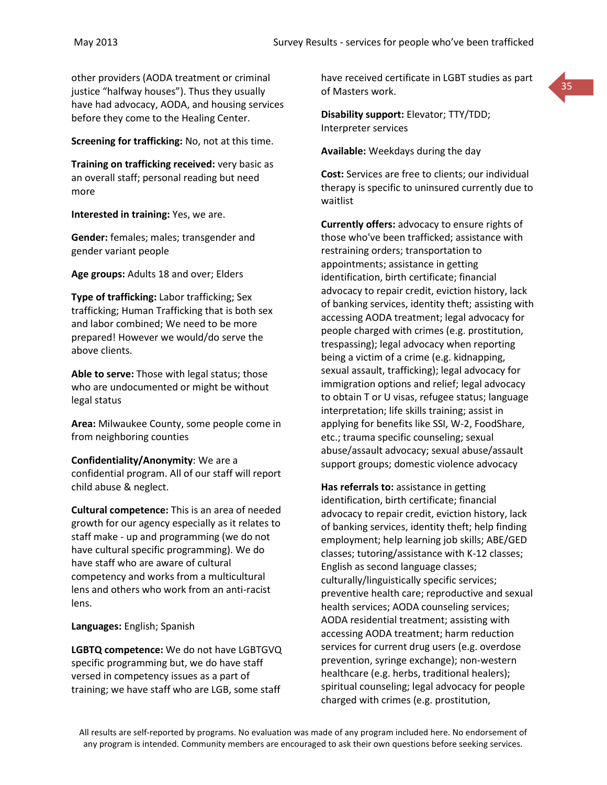other providers (AODA treatment or criminal justice "halfway houses"). Thus they usually have had advocacy, AODA, and housing services before they come to the Healing Center.

**Screening for trafficking:** No, not at this time.

**Training on trafficking received:** very basic as an overall staff; personal reading but need more

**Interested in training:** Yes, we are.

**Gender:** females; males; transgender and gender variant people

**Age groups:** Adults 18 and over; Elders

**Type of trafficking:** Labor trafficking; Sex trafficking; Human Trafficking that is both sex and labor combined; We need to be more prepared! However we would/do serve the above clients.

**Able to serve:** Those with legal status; those who are undocumented or might be without legal status

**Area:** Milwaukee County, some people come in from neighboring counties

**Confidentiality/Anonymity**: We are a confidential program. All of our staff will report child abuse & neglect.

**Cultural competence:** This is an area of needed growth for our agency especially as it relates to staff make - up and programming (we do not have cultural specific programming). We do have staff who are aware of cultural competency and works from a multicultural lens and others who work from an anti-racist lens.

**Languages:** English; Spanish

**LGBTQ competence:** We do not have LGBTGVQ specific programming but, we do have staff versed in competency issues as a part of training; we have staff who are LGB, some staff

have received certificate in LGBT studies as part of Masters work.



**Disability support:** Elevator; TTY/TDD; Interpreter services

**Available:** Weekdays during the day

**Cost:** Services are free to clients; our individual therapy is specific to uninsured currently due to waitlist

**Currently offers:** advocacy to ensure rights of those who've been trafficked; assistance with restraining orders; transportation to appointments; assistance in getting identification, birth certificate; financial advocacy to repair credit, eviction history, lack of banking services, identity theft; assisting with accessing AODA treatment; legal advocacy for people charged with crimes (e.g. prostitution, trespassing); legal advocacy when reporting being a victim of a crime (e.g. kidnapping, sexual assault, trafficking); legal advocacy for immigration options and relief; legal advocacy to obtain T or U visas, refugee status; language interpretation; life skills training; assist in applying for benefits like SSI, W-2, FoodShare, etc.; trauma specific counseling; sexual abuse/assault advocacy; sexual abuse/assault support groups; domestic violence advocacy

**Has referrals to:** assistance in getting identification, birth certificate; financial advocacy to repair credit, eviction history, lack of banking services, identity theft; help finding employment; help learning job skills; ABE/GED classes; tutoring/assistance with K-12 classes; English as second language classes; culturally/linguistically specific services; preventive health care; reproductive and sexual health services; AODA counseling services; AODA residential treatment; assisting with accessing AODA treatment; harm reduction services for current drug users (e.g. overdose prevention, syringe exchange); non-western healthcare (e.g. herbs, traditional healers); spiritual counseling; legal advocacy for people charged with crimes (e.g. prostitution,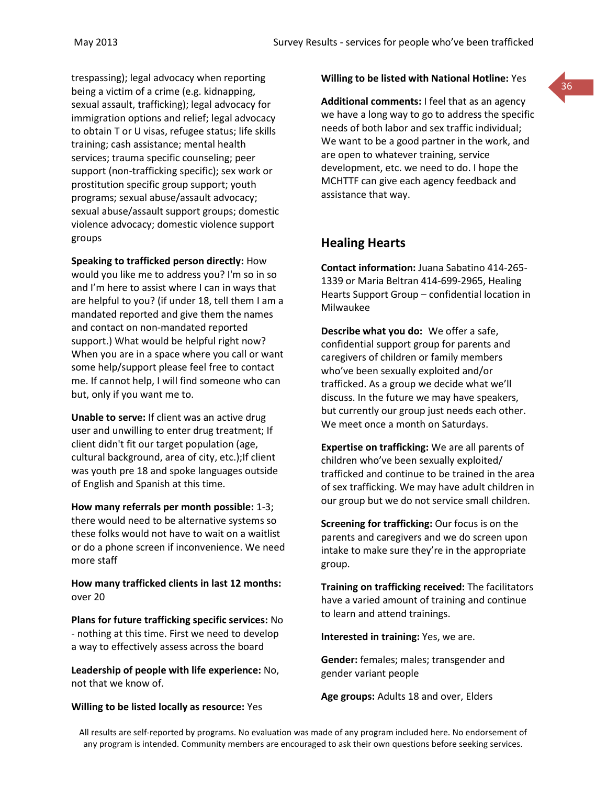trespassing); legal advocacy when reporting being a victim of a crime (e.g. kidnapping, sexual assault, trafficking); legal advocacy for immigration options and relief; legal advocacy to obtain T or U visas, refugee status; life skills training; cash assistance; mental health services; trauma specific counseling; peer support (non-trafficking specific); sex work or prostitution specific group support; youth programs; sexual abuse/assault advocacy; sexual abuse/assault support groups; domestic violence advocacy; domestic violence support groups

**Speaking to trafficked person directly:** How would you like me to address you? I'm so in so and I'm here to assist where I can in ways that are helpful to you? (if under 18, tell them I am a mandated reported and give them the names and contact on non-mandated reported support.) What would be helpful right now? When you are in a space where you call or want some help/support please feel free to contact me. If cannot help, I will find someone who can but, only if you want me to.

**Unable to serve:** If client was an active drug user and unwilling to enter drug treatment; If client didn't fit our target population (age, cultural background, area of city, etc.);If client was youth pre 18 and spoke languages outside of English and Spanish at this time.

**How many referrals per month possible:** 1-3; there would need to be alternative systems so these folks would not have to wait on a waitlist or do a phone screen if inconvenience. We need more staff

**How many trafficked clients in last 12 months:** over 20

**Plans for future trafficking specific services:** No - nothing at this time. First we need to develop a way to effectively assess across the board

**Leadership of people with life experience:** No, not that we know of.

#### **Willing to be listed locally as resource:** Yes

#### **Willing to be listed with National Hotline:** Yes

**Additional comments:** I feel that as an agency we have a long way to go to address the specific needs of both labor and sex traffic individual; We want to be a good partner in the work, and are open to whatever training, service development, etc. we need to do. I hope the MCHTTF can give each agency feedback and assistance that way.

#### **Healing Hearts**

**Contact information:** Juana Sabatino 414-265- 1339 or Maria Beltran 414-699-2965, Healing Hearts Support Group – confidential location in Milwaukee

**Describe what you do:** We offer a safe, confidential support group for parents and caregivers of children or family members who've been sexually exploited and/or trafficked. As a group we decide what we'll discuss. In the future we may have speakers, but currently our group just needs each other. We meet once a month on Saturdays.

**Expertise on trafficking:** We are all parents of children who've been sexually exploited/ trafficked and continue to be trained in the area of sex trafficking. We may have adult children in our group but we do not service small children.

**Screening for trafficking:** Our focus is on the parents and caregivers and we do screen upon intake to make sure they're in the appropriate group.

**Training on trafficking received:** The facilitators have a varied amount of training and continue to learn and attend trainings.

**Interested in training:** Yes, we are.

**Gender:** females; males; transgender and gender variant people

**Age groups:** Adults 18 and over, Elders

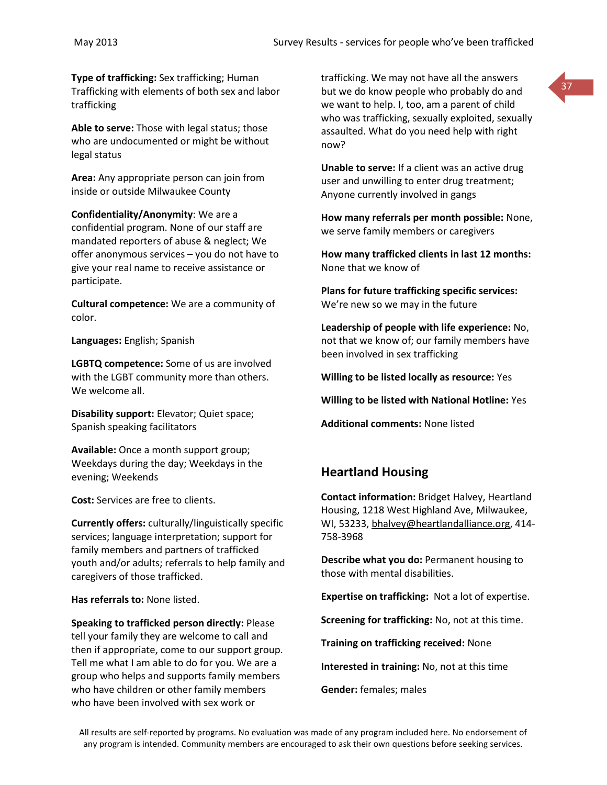**Type of trafficking:** Sex trafficking; Human Trafficking with elements of both sex and labor trafficking

**Able to serve:** Those with legal status; those who are undocumented or might be without legal status

**Area:** Any appropriate person can join from inside or outside Milwaukee County

**Confidentiality/Anonymity**: We are a confidential program. None of our staff are mandated reporters of abuse & neglect; We offer anonymous services – you do not have to give your real name to receive assistance or participate.

**Cultural competence:** We are a community of color.

**Languages:** English; Spanish

**LGBTQ competence:** Some of us are involved with the LGBT community more than others. We welcome all.

**Disability support:** Elevator; Quiet space; Spanish speaking facilitators

**Available:** Once a month support group; Weekdays during the day; Weekdays in the evening; Weekends

**Cost:** Services are free to clients.

**Currently offers:** culturally/linguistically specific services; language interpretation; support for family members and partners of trafficked youth and/or adults; referrals to help family and caregivers of those trafficked.

**Has referrals to:** None listed.

**Speaking to trafficked person directly:** Please tell your family they are welcome to call and then if appropriate, come to our support group. Tell me what I am able to do for you. We are a group who helps and supports family members who have children or other family members who have been involved with sex work or

trafficking. We may not have all the answers but we do know people who probably do and we want to help. I, too, am a parent of child who was trafficking, sexually exploited, sexually assaulted. What do you need help with right now?

**Unable to serve:** If a client was an active drug user and unwilling to enter drug treatment; Anyone currently involved in gangs

**How many referrals per month possible:** None, we serve family members or caregivers

**How many trafficked clients in last 12 months:** None that we know of

**Plans for future trafficking specific services:** We're new so we may in the future

**Leadership of people with life experience:** No, not that we know of; our family members have been involved in sex trafficking

**Willing to be listed locally as resource:** Yes

**Willing to be listed with National Hotline:** Yes

**Additional comments:** None listed

# **Heartland Housing**

**Contact information:** Bridget Halvey, Heartland Housing, 1218 West Highland Ave, Milwaukee, WI, 53233, [bhalvey@heartlandalliance.org,](mailto:bhalvey@heartlandalliance.org) 414- 758-3968

**Describe what you do:** Permanent housing to those with mental disabilities.

**Expertise on trafficking:** Not a lot of expertise.

**Screening for trafficking:** No, not at this time.

**Training on trafficking received:** None

**Interested in training:** No, not at this time

**Gender:** females; males

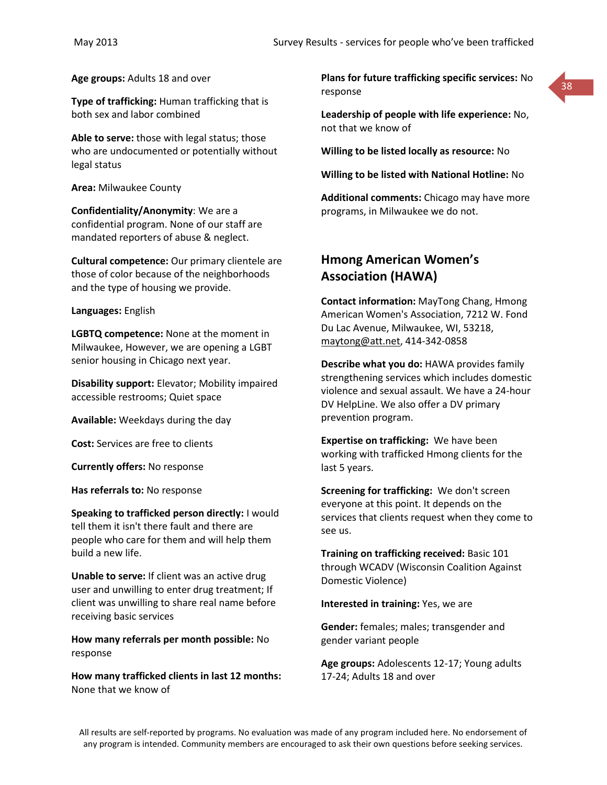**Age groups:** Adults 18 and over

**Type of trafficking:** Human trafficking that is both sex and labor combined

**Able to serve:** those with legal status; those who are undocumented or potentially without legal status

**Area:** Milwaukee County

**Confidentiality/Anonymity**: We are a confidential program. None of our staff are mandated reporters of abuse & neglect.

**Cultural competence:** Our primary clientele are those of color because of the neighborhoods and the type of housing we provide.

#### **Languages:** English

**LGBTQ competence:** None at the moment in Milwaukee, However, we are opening a LGBT senior housing in Chicago next year.

**Disability support:** Elevator; Mobility impaired accessible restrooms; Quiet space

**Available:** Weekdays during the day

**Cost:** Services are free to clients

**Currently offers:** No response

**Has referrals to:** No response

**Speaking to trafficked person directly:** I would tell them it isn't there fault and there are people who care for them and will help them build a new life.

**Unable to serve:** If client was an active drug user and unwilling to enter drug treatment; If client was unwilling to share real name before receiving basic services

**How many referrals per month possible:** No response

**How many trafficked clients in last 12 months:** None that we know of

**Plans for future trafficking specific services:** No response



**Leadership of people with life experience:** No, not that we know of

**Willing to be listed locally as resource:** No

**Willing to be listed with National Hotline:** No

**Additional comments:** Chicago may have more programs, in Milwaukee we do not.

# **Hmong American Women's Association (HAWA)**

**Contact information:** MayTong Chang, Hmong American Women's Association, 7212 W. Fond Du Lac Avenue, Milwaukee, WI, 53218, [maytong@att.net,](mailto:maytong@att.net) 414-342-0858

**Describe what you do:** HAWA provides family strengthening services which includes domestic violence and sexual assault. We have a 24-hour DV HelpLine. We also offer a DV primary prevention program.

**Expertise on trafficking:** We have been working with trafficked Hmong clients for the last 5 years.

**Screening for trafficking:** We don't screen everyone at this point. It depends on the services that clients request when they come to see us.

**Training on trafficking received:** Basic 101 through WCADV (Wisconsin Coalition Against Domestic Violence)

**Interested in training:** Yes, we are

**Gender:** females; males; transgender and gender variant people

**Age groups:** Adolescents 12-17; Young adults 17-24; Adults 18 and over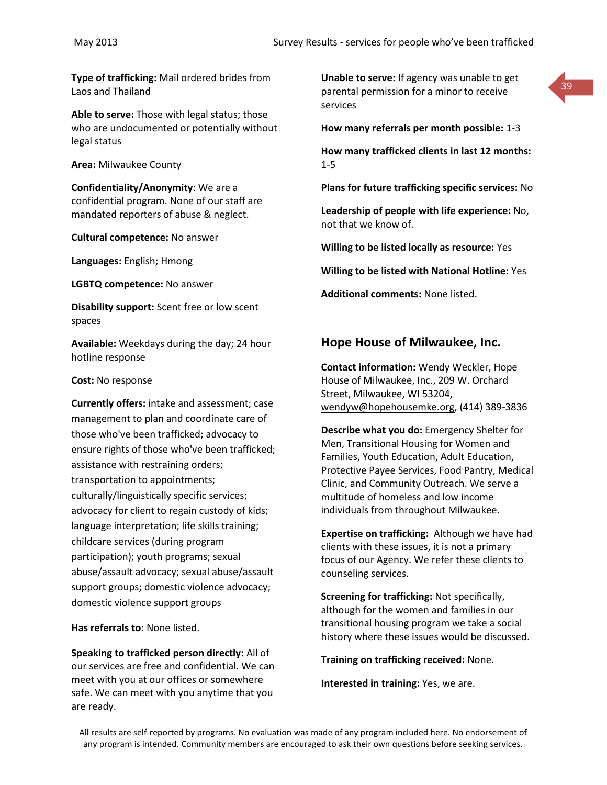**Type of trafficking:** Mail ordered brides from Laos and Thailand

**Able to serve:** Those with legal status; those who are undocumented or potentially without legal status

**Area:** Milwaukee County

**Confidentiality/Anonymity**: We are a confidential program. None of our staff are mandated reporters of abuse & neglect.

**Cultural competence:** No answer

**Languages:** English; Hmong

**LGBTQ competence:** No answer

**Disability support:** Scent free or low scent spaces

**Available:** Weekdays during the day; 24 hour hotline response

**Cost:** No response

**Currently offers:** intake and assessment; case management to plan and coordinate care of those who've been trafficked; advocacy to ensure rights of those who've been trafficked; assistance with restraining orders; transportation to appointments; culturally/linguistically specific services; advocacy for client to regain custody of kids; language interpretation; life skills training; childcare services (during program participation); youth programs; sexual abuse/assault advocacy; sexual abuse/assault support groups; domestic violence advocacy; domestic violence support groups

**Has referrals to:** None listed.

**Speaking to trafficked person directly:** All of our services are free and confidential. We can meet with you at our offices or somewhere safe. We can meet with you anytime that you are ready.

**Unable to serve:** If agency was unable to get parental permission for a minor to receive services

39



**How many trafficked clients in last 12 months:** 1-5

**Plans for future trafficking specific services:** No

**Leadership of people with life experience:** No, not that we know of.

**Willing to be listed locally as resource:** Yes

**Willing to be listed with National Hotline:** Yes

**Additional comments:** None listed.

## **Hope House of Milwaukee, Inc.**

**Contact information:** Wendy Weckler, Hope House of Milwaukee, Inc., 209 W. Orchard Street, Milwaukee, WI 53204, [wendyw@hopehousemke.org,](mailto:wendyw@hopehousemke.org) (414) 389-3836

**Describe what you do:** Emergency Shelter for Men, Transitional Housing for Women and Families, Youth Education, Adult Education, Protective Payee Services, Food Pantry, Medical Clinic, and Community Outreach. We serve a multitude of homeless and low income individuals from throughout Milwaukee.

**Expertise on trafficking:** Although we have had clients with these issues, it is not a primary focus of our Agency. We refer these clients to counseling services.

**Screening for trafficking:** Not specifically, although for the women and families in our transitional housing program we take a social history where these issues would be discussed.

**Training on trafficking received:** None.

**Interested in training:** Yes, we are.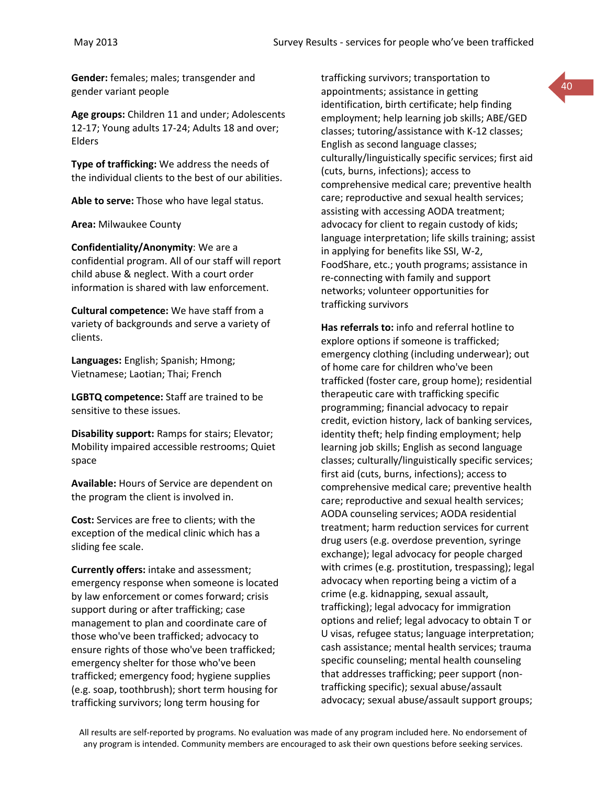**Gender:** females; males; transgender and gender variant people

**Age groups:** Children 11 and under; Adolescents 12-17; Young adults 17-24; Adults 18 and over; Elders

**Type of trafficking:** We address the needs of the individual clients to the best of our abilities.

**Able to serve:** Those who have legal status.

**Area:** Milwaukee County

**Confidentiality/Anonymity**: We are a confidential program. All of our staff will report child abuse & neglect. With a court order information is shared with law enforcement.

**Cultural competence:** We have staff from a variety of backgrounds and serve a variety of clients.

**Languages:** English; Spanish; Hmong; Vietnamese; Laotian; Thai; French

**LGBTQ competence:** Staff are trained to be sensitive to these issues.

**Disability support:** Ramps for stairs; Elevator; Mobility impaired accessible restrooms; Quiet space

**Available:** Hours of Service are dependent on the program the client is involved in.

**Cost:** Services are free to clients; with the exception of the medical clinic which has a sliding fee scale.

**Currently offers:** intake and assessment; emergency response when someone is located by law enforcement or comes forward; crisis support during or after trafficking; case management to plan and coordinate care of those who've been trafficked; advocacy to ensure rights of those who've been trafficked; emergency shelter for those who've been trafficked; emergency food; hygiene supplies (e.g. soap, toothbrush); short term housing for trafficking survivors; long term housing for

trafficking survivors; transportation to appointments; assistance in getting identification, birth certificate; help finding employment; help learning job skills; ABE/GED classes; tutoring/assistance with K-12 classes; English as second language classes; culturally/linguistically specific services; first aid (cuts, burns, infections); access to comprehensive medical care; preventive health care; reproductive and sexual health services; assisting with accessing AODA treatment; advocacy for client to regain custody of kids; language interpretation; life skills training; assist in applying for benefits like SSI, W-2, FoodShare, etc.; youth programs; assistance in re-connecting with family and support networks; volunteer opportunities for trafficking survivors

40

**Has referrals to:** info and referral hotline to explore options if someone is trafficked; emergency clothing (including underwear); out of home care for children who've been trafficked (foster care, group home); residential therapeutic care with trafficking specific programming; financial advocacy to repair credit, eviction history, lack of banking services, identity theft; help finding employment; help learning job skills; English as second language classes; culturally/linguistically specific services; first aid (cuts, burns, infections); access to comprehensive medical care; preventive health care; reproductive and sexual health services; AODA counseling services; AODA residential treatment; harm reduction services for current drug users (e.g. overdose prevention, syringe exchange); legal advocacy for people charged with crimes (e.g. prostitution, trespassing); legal advocacy when reporting being a victim of a crime (e.g. kidnapping, sexual assault, trafficking); legal advocacy for immigration options and relief; legal advocacy to obtain T or U visas, refugee status; language interpretation; cash assistance; mental health services; trauma specific counseling; mental health counseling that addresses trafficking; peer support (nontrafficking specific); sexual abuse/assault advocacy; sexual abuse/assault support groups;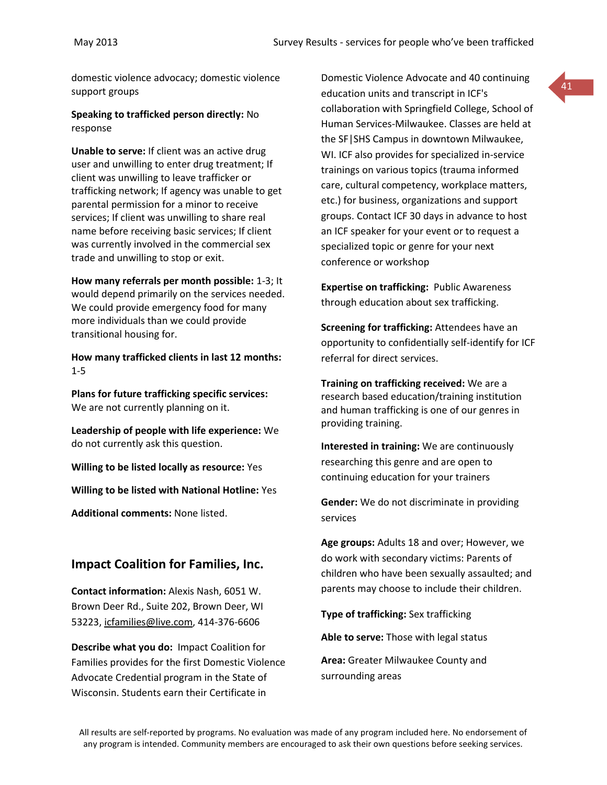domestic violence advocacy; domestic violence support groups

**Speaking to trafficked person directly:** No response

**Unable to serve:** If client was an active drug user and unwilling to enter drug treatment; If client was unwilling to leave trafficker or trafficking network; If agency was unable to get parental permission for a minor to receive services; If client was unwilling to share real name before receiving basic services; If client was currently involved in the commercial sex trade and unwilling to stop or exit.

**How many referrals per month possible:** 1-3; It would depend primarily on the services needed. We could provide emergency food for many more individuals than we could provide transitional housing for.

**How many trafficked clients in last 12 months:** 1-5

**Plans for future trafficking specific services:** We are not currently planning on it.

**Leadership of people with life experience:** We do not currently ask this question.

**Willing to be listed locally as resource:** Yes

**Willing to be listed with National Hotline:** Yes

**Additional comments:** None listed.

## **Impact Coalition for Families, Inc.**

**Contact information:** Alexis Nash, 6051 W. Brown Deer Rd., Suite 202, Brown Deer, WI 53223, [icfamilies@live.com,](mailto:icfamilies@live.com) 414-376-6606

**Describe what you do:** Impact Coalition for Families provides for the first Domestic Violence Advocate Credential program in the State of Wisconsin. Students earn their Certificate in

Domestic Violence Advocate and 40 continuing education units and transcript in ICF's collaboration with Springfield College, School of Human Services-Milwaukee. Classes are held at the SF|SHS Campus in downtown Milwaukee, WI. ICF also provides for specialized in-service trainings on various topics (trauma informed care, cultural competency, workplace matters, etc.) for business, organizations and support groups. Contact ICF 30 days in advance to host an ICF speaker for your event or to request a specialized topic or genre for your next conference or workshop

41

**Expertise on trafficking:** Public Awareness through education about sex trafficking.

**Screening for trafficking:** Attendees have an opportunity to confidentially self-identify for ICF referral for direct services.

**Training on trafficking received:** We are a research based education/training institution and human trafficking is one of our genres in providing training.

**Interested in training:** We are continuously researching this genre and are open to continuing education for your trainers

**Gender:** We do not discriminate in providing services

**Age groups:** Adults 18 and over; However, we do work with secondary victims: Parents of children who have been sexually assaulted; and parents may choose to include their children.

**Type of trafficking:** Sex trafficking

**Able to serve:** Those with legal status

**Area:** Greater Milwaukee County and surrounding areas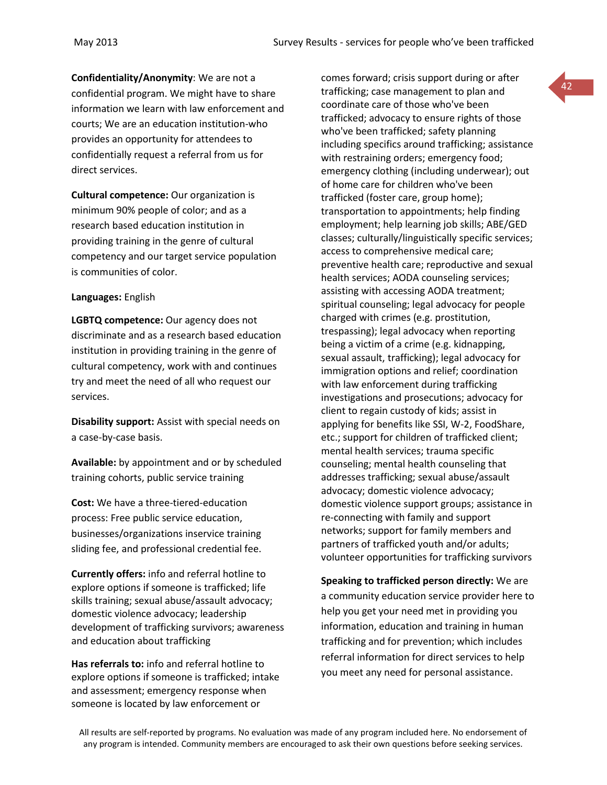**Confidentiality/Anonymity**: We are not a confidential program. We might have to share information we learn with law enforcement and courts; We are an education institution-who provides an opportunity for attendees to confidentially request a referral from us for direct services.

**Cultural competence:** Our organization is minimum 90% people of color; and as a research based education institution in providing training in the genre of cultural competency and our target service population is communities of color.

### **Languages:** English

**LGBTQ competence:** Our agency does not discriminate and as a research based education institution in providing training in the genre of cultural competency, work with and continues try and meet the need of all who request our services.

**Disability support:** Assist with special needs on a case-by-case basis.

**Available:** by appointment and or by scheduled training cohorts, public service training

**Cost:** We have a three-tiered-education process: Free public service education, businesses/organizations inservice training sliding fee, and professional credential fee.

**Currently offers:** info and referral hotline to explore options if someone is trafficked; life skills training; sexual abuse/assault advocacy; domestic violence advocacy; leadership development of trafficking survivors; awareness and education about trafficking

**Has referrals to:** info and referral hotline to explore options if someone is trafficked; intake and assessment; emergency response when someone is located by law enforcement or

comes forward; crisis support during or after trafficking; case management to plan and coordinate care of those who've been trafficked; advocacy to ensure rights of those who've been trafficked; safety planning including specifics around trafficking; assistance with restraining orders; emergency food; emergency clothing (including underwear); out of home care for children who've been trafficked (foster care, group home); transportation to appointments; help finding employment; help learning job skills; ABE/GED classes; culturally/linguistically specific services; access to comprehensive medical care; preventive health care; reproductive and sexual health services; AODA counseling services; assisting with accessing AODA treatment; spiritual counseling; legal advocacy for people charged with crimes (e.g. prostitution, trespassing); legal advocacy when reporting being a victim of a crime (e.g. kidnapping, sexual assault, trafficking); legal advocacy for immigration options and relief; coordination with law enforcement during trafficking investigations and prosecutions; advocacy for client to regain custody of kids; assist in applying for benefits like SSI, W-2, FoodShare, etc.; support for children of trafficked client; mental health services; trauma specific counseling; mental health counseling that addresses trafficking; sexual abuse/assault advocacy; domestic violence advocacy; domestic violence support groups; assistance in re-connecting with family and support networks; support for family members and partners of trafficked youth and/or adults; volunteer opportunities for trafficking survivors

**Speaking to trafficked person directly:** We are a community education service provider here to help you get your need met in providing you information, education and training in human trafficking and for prevention; which includes referral information for direct services to help you meet any need for personal assistance.

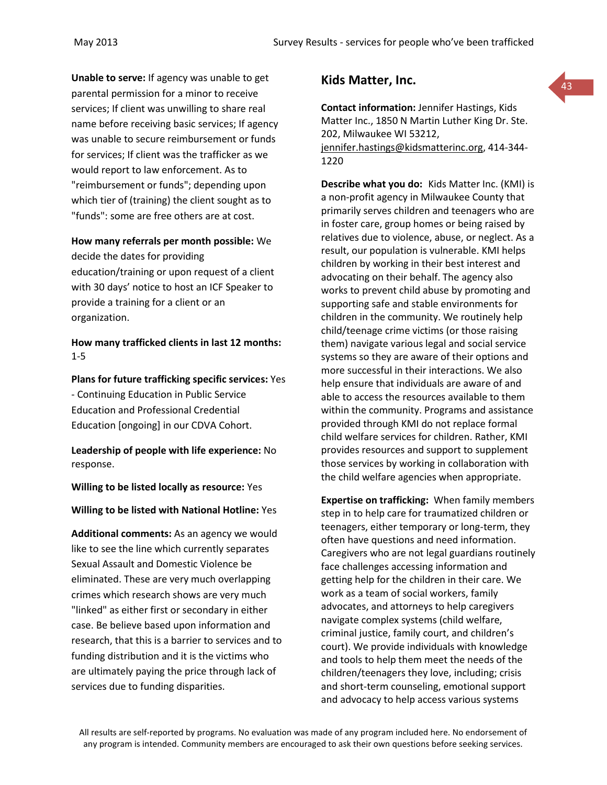**Unable to serve:** If agency was unable to get parental permission for a minor to receive services; If client was unwilling to share real name before receiving basic services; If agency was unable to secure reimbursement or funds for services; If client was the trafficker as we would report to law enforcement. As to "reimbursement or funds"; depending upon which tier of (training) the client sought as to "funds": some are free others are at cost.

### **How many referrals per month possible:** We

decide the dates for providing education/training or upon request of a client with 30 days' notice to host an ICF Speaker to provide a training for a client or an organization.

**How many trafficked clients in last 12 months:** 1-5

# **Plans for future trafficking specific services:** Yes

- Continuing Education in Public Service Education and Professional Credential Education [ongoing] in our CDVA Cohort.

**Leadership of people with life experience:** No response.

### **Willing to be listed locally as resource:** Yes

### **Willing to be listed with National Hotline:** Yes

**Additional comments:** As an agency we would like to see the line which currently separates Sexual Assault and Domestic Violence be eliminated. These are very much overlapping crimes which research shows are very much "linked" as either first or secondary in either case. Be believe based upon information and research, that this is a barrier to services and to funding distribution and it is the victims who are ultimately paying the price through lack of services due to funding disparities.

## **Kids Matter, Inc.**

**Contact information:** Jennifer Hastings, Kids Matter Inc., 1850 N Martin Luther King Dr. Ste. 202, Milwaukee WI 53212, [jennifer.hastings@kidsmatterinc.org,](mailto:jennifer.hastings@kidsmatterinc.org) 414-344- 1220

43

**Describe what you do:** Kids Matter Inc. (KMI) is a non-profit agency in Milwaukee County that primarily serves children and teenagers who are in foster care, group homes or being raised by relatives due to violence, abuse, or neglect. As a result, our population is vulnerable. KMI helps children by working in their best interest and advocating on their behalf. The agency also works to prevent child abuse by promoting and supporting safe and stable environments for children in the community. We routinely help child/teenage crime victims (or those raising them) navigate various legal and social service systems so they are aware of their options and more successful in their interactions. We also help ensure that individuals are aware of and able to access the resources available to them within the community. Programs and assistance provided through KMI do not replace formal child welfare services for children. Rather, KMI provides resources and support to supplement those services by working in collaboration with the child welfare agencies when appropriate.

**Expertise on trafficking:** When family members step in to help care for traumatized children or teenagers, either temporary or long-term, they often have questions and need information. Caregivers who are not legal guardians routinely face challenges accessing information and getting help for the children in their care. We work as a team of social workers, family advocates, and attorneys to help caregivers navigate complex systems (child welfare, criminal justice, family court, and children's court). We provide individuals with knowledge and tools to help them meet the needs of the children/teenagers they love, including; crisis and short-term counseling, emotional support and advocacy to help access various systems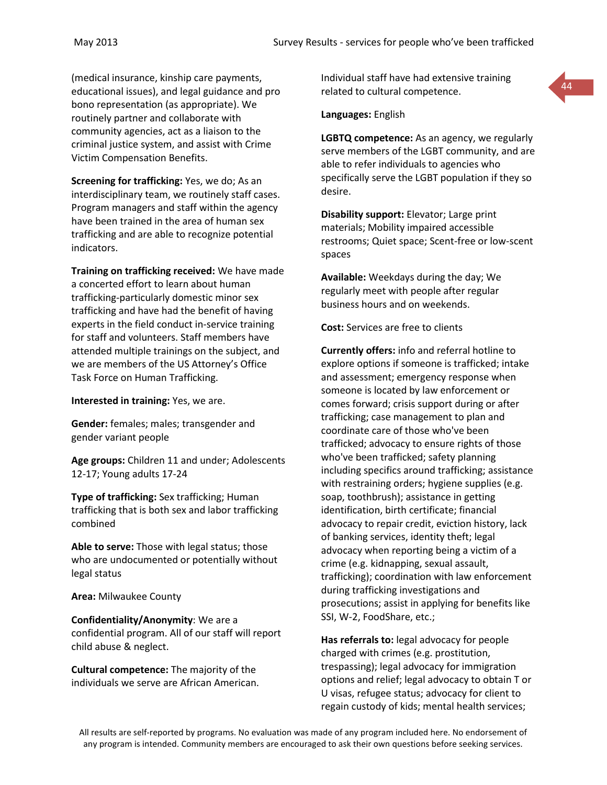(medical insurance, kinship care payments, educational issues), and legal guidance and pro bono representation (as appropriate). We routinely partner and collaborate with community agencies, act as a liaison to the criminal justice system, and assist with Crime Victim Compensation Benefits.

**Screening for trafficking:** Yes, we do; As an interdisciplinary team, we routinely staff cases. Program managers and staff within the agency have been trained in the area of human sex trafficking and are able to recognize potential indicators.

**Training on trafficking received:** We have made a concerted effort to learn about human trafficking-particularly domestic minor sex trafficking and have had the benefit of having experts in the field conduct in-service training for staff and volunteers. Staff members have attended multiple trainings on the subject, and we are members of the US Attorney's Office Task Force on Human Trafficking.

**Interested in training:** Yes, we are.

**Gender:** females; males; transgender and gender variant people

**Age groups:** Children 11 and under; Adolescents 12-17; Young adults 17-24

**Type of trafficking:** Sex trafficking; Human trafficking that is both sex and labor trafficking combined

**Able to serve:** Those with legal status; those who are undocumented or potentially without legal status

**Area:** Milwaukee County

**Confidentiality/Anonymity**: We are a confidential program. All of our staff will report child abuse & neglect.

**Cultural competence:** The majority of the individuals we serve are African American. Individual staff have had extensive training related to cultural competence.

**Languages:** English

**LGBTQ competence:** As an agency, we regularly serve members of the LGBT community, and are able to refer individuals to agencies who specifically serve the LGBT population if they so desire.

**Disability support:** Elevator; Large print materials; Mobility impaired accessible restrooms; Quiet space; Scent-free or low-scent spaces

**Available:** Weekdays during the day; We regularly meet with people after regular business hours and on weekends.

**Cost:** Services are free to clients

**Currently offers:** info and referral hotline to explore options if someone is trafficked; intake and assessment; emergency response when someone is located by law enforcement or comes forward; crisis support during or after trafficking; case management to plan and coordinate care of those who've been trafficked; advocacy to ensure rights of those who've been trafficked; safety planning including specifics around trafficking; assistance with restraining orders; hygiene supplies (e.g. soap, toothbrush); assistance in getting identification, birth certificate; financial advocacy to repair credit, eviction history, lack of banking services, identity theft; legal advocacy when reporting being a victim of a crime (e.g. kidnapping, sexual assault, trafficking); coordination with law enforcement during trafficking investigations and prosecutions; assist in applying for benefits like SSI, W-2, FoodShare, etc.;

**Has referrals to:** legal advocacy for people charged with crimes (e.g. prostitution, trespassing); legal advocacy for immigration options and relief; legal advocacy to obtain T or U visas, refugee status; advocacy for client to regain custody of kids; mental health services;

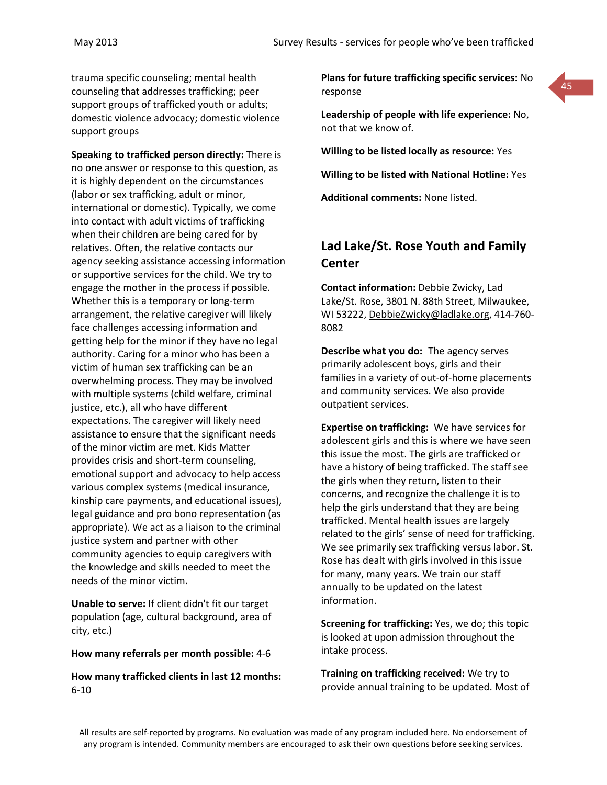trauma specific counseling; mental health counseling that addresses trafficking; peer support groups of trafficked youth or adults; domestic violence advocacy; domestic violence support groups

**Speaking to trafficked person directly:** There is no one answer or response to this question, as it is highly dependent on the circumstances (labor or sex trafficking, adult or minor, international or domestic). Typically, we come into contact with adult victims of trafficking when their children are being cared for by relatives. Often, the relative contacts our agency seeking assistance accessing information or supportive services for the child. We try to engage the mother in the process if possible. Whether this is a temporary or long-term arrangement, the relative caregiver will likely face challenges accessing information and getting help for the minor if they have no legal authority. Caring for a minor who has been a victim of human sex trafficking can be an overwhelming process. They may be involved with multiple systems (child welfare, criminal justice, etc.), all who have different expectations. The caregiver will likely need assistance to ensure that the significant needs of the minor victim are met. Kids Matter provides crisis and short-term counseling, emotional support and advocacy to help access various complex systems (medical insurance, kinship care payments, and educational issues), legal guidance and pro bono representation (as appropriate). We act as a liaison to the criminal justice system and partner with other community agencies to equip caregivers with the knowledge and skills needed to meet the needs of the minor victim.

**Unable to serve:** If client didn't fit our target population (age, cultural background, area of city, etc.)

#### **How many referrals per month possible:** 4-6

**How many trafficked clients in last 12 months:** 6-10

**Plans for future trafficking specific services:** No response



**Leadership of people with life experience:** No, not that we know of.

**Willing to be listed locally as resource:** Yes

**Willing to be listed with National Hotline:** Yes

**Additional comments:** None listed.

# **Lad Lake/St. Rose Youth and Family Center**

**Contact information:** Debbie Zwicky, Lad Lake/St. Rose, 3801 N. 88th Street, Milwaukee, WI 53222, [DebbieZwicky@ladlake.org,](mailto:DebbieZwicky@ladlake.org) 414-760- 8082

**Describe what you do:** The agency serves primarily adolescent boys, girls and their families in a variety of out-of-home placements and community services. We also provide outpatient services.

**Expertise on trafficking:** We have services for adolescent girls and this is where we have seen this issue the most. The girls are trafficked or have a history of being trafficked. The staff see the girls when they return, listen to their concerns, and recognize the challenge it is to help the girls understand that they are being trafficked. Mental health issues are largely related to the girls' sense of need for trafficking. We see primarily sex trafficking versus labor. St. Rose has dealt with girls involved in this issue for many, many years. We train our staff annually to be updated on the latest information.

**Screening for trafficking:** Yes, we do; this topic is looked at upon admission throughout the intake process.

**Training on trafficking received:** We try to provide annual training to be updated. Most of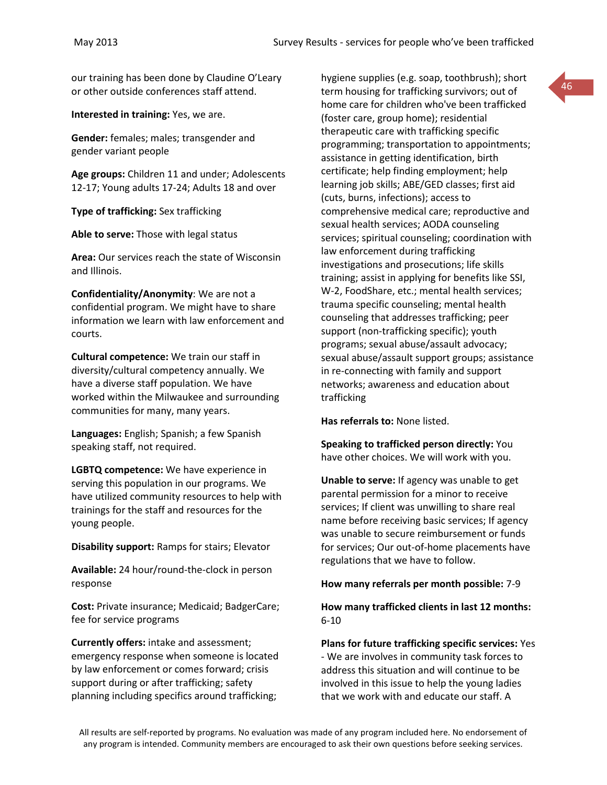our training has been done by Claudine O'Leary or other outside conferences staff attend.

**Interested in training:** Yes, we are.

**Gender:** females; males; transgender and gender variant people

**Age groups:** Children 11 and under; Adolescents 12-17; Young adults 17-24; Adults 18 and over

**Type of trafficking:** Sex trafficking

**Able to serve:** Those with legal status

**Area:** Our services reach the state of Wisconsin and Illinois.

**Confidentiality/Anonymity**: We are not a confidential program. We might have to share information we learn with law enforcement and courts.

**Cultural competence:** We train our staff in diversity/cultural competency annually. We have a diverse staff population. We have worked within the Milwaukee and surrounding communities for many, many years.

**Languages:** English; Spanish; a few Spanish speaking staff, not required.

**LGBTQ competence:** We have experience in serving this population in our programs. We have utilized community resources to help with trainings for the staff and resources for the young people.

**Disability support:** Ramps for stairs; Elevator

**Available:** 24 hour/round-the-clock in person response

**Cost:** Private insurance; Medicaid; BadgerCare; fee for service programs

**Currently offers:** intake and assessment; emergency response when someone is located by law enforcement or comes forward; crisis support during or after trafficking; safety planning including specifics around trafficking;

hygiene supplies (e.g. soap, toothbrush); short term housing for trafficking survivors; out of home care for children who've been trafficked (foster care, group home); residential therapeutic care with trafficking specific programming; transportation to appointments; assistance in getting identification, birth certificate; help finding employment; help learning job skills; ABE/GED classes; first aid (cuts, burns, infections); access to comprehensive medical care; reproductive and sexual health services; AODA counseling services; spiritual counseling; coordination with law enforcement during trafficking investigations and prosecutions; life skills training; assist in applying for benefits like SSI, W-2, FoodShare, etc.; mental health services; trauma specific counseling; mental health counseling that addresses trafficking; peer support (non-trafficking specific); youth programs; sexual abuse/assault advocacy; sexual abuse/assault support groups; assistance in re-connecting with family and support networks; awareness and education about trafficking

**Has referrals to:** None listed.

**Speaking to trafficked person directly:** You have other choices. We will work with you.

**Unable to serve:** If agency was unable to get parental permission for a minor to receive services; If client was unwilling to share real name before receiving basic services; If agency was unable to secure reimbursement or funds for services; Our out-of-home placements have regulations that we have to follow.

**How many referrals per month possible:** 7-9

## **How many trafficked clients in last 12 months:**  6-10

**Plans for future trafficking specific services:** Yes - We are involves in community task forces to address this situation and will continue to be involved in this issue to help the young ladies that we work with and educate our staff. A

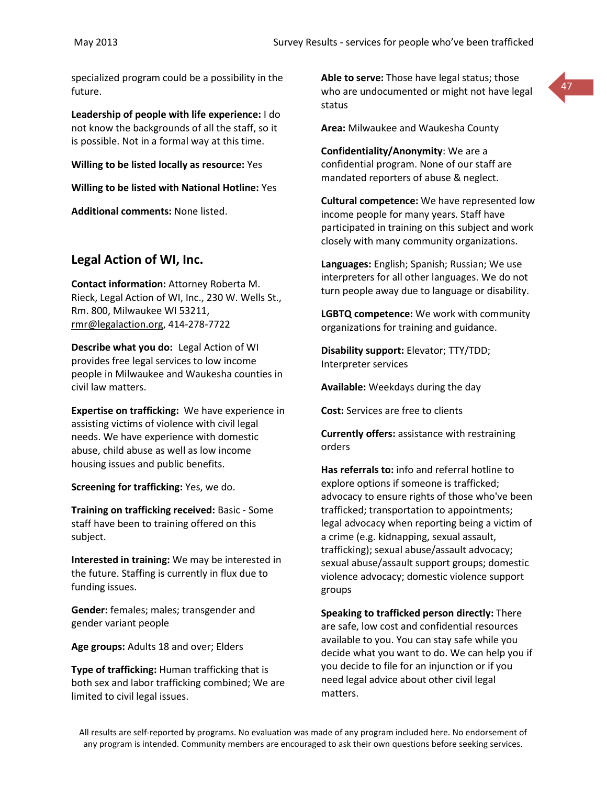specialized program could be a possibility in the future.

**Leadership of people with life experience:** I do not know the backgrounds of all the staff, so it is possible. Not in a formal way at this time.

**Willing to be listed locally as resource:** Yes

**Willing to be listed with National Hotline:** Yes

**Additional comments:** None listed.

## **Legal Action of WI, Inc.**

**Contact information:** Attorney Roberta M. Rieck, Legal Action of WI, Inc., 230 W. Wells St., Rm. 800, Milwaukee WI 53211, [rmr@legalaction.org,](mailto:rmr@legalaction.org) 414-278-7722

**Describe what you do:** Legal Action of WI provides free legal services to low income people in Milwaukee and Waukesha counties in civil law matters.

**Expertise on trafficking:** We have experience in assisting victims of violence with civil legal needs. We have experience with domestic abuse, child abuse as well as low income housing issues and public benefits.

**Screening for trafficking:** Yes, we do.

**Training on trafficking received:** Basic - Some staff have been to training offered on this subject.

**Interested in training:** We may be interested in the future. Staffing is currently in flux due to funding issues.

**Gender:** females; males; transgender and gender variant people

**Age groups:** Adults 18 and over; Elders

**Type of trafficking:** Human trafficking that is both sex and labor trafficking combined; We are limited to civil legal issues.

**Able to serve:** Those have legal status; those who are undocumented or might not have legal status



**Area:** Milwaukee and Waukesha County

**Confidentiality/Anonymity**: We are a confidential program. None of our staff are mandated reporters of abuse & neglect.

**Cultural competence:** We have represented low income people for many years. Staff have participated in training on this subject and work closely with many community organizations.

**Languages:** English; Spanish; Russian; We use interpreters for all other languages. We do not turn people away due to language or disability.

**LGBTQ competence:** We work with community organizations for training and guidance.

**Disability support:** Elevator; TTY/TDD; Interpreter services

**Available:** Weekdays during the day

**Cost:** Services are free to clients

**Currently offers:** assistance with restraining orders

**Has referrals to:** info and referral hotline to explore options if someone is trafficked; advocacy to ensure rights of those who've been trafficked; transportation to appointments; legal advocacy when reporting being a victim of a crime (e.g. kidnapping, sexual assault, trafficking); sexual abuse/assault advocacy; sexual abuse/assault support groups; domestic violence advocacy; domestic violence support groups

**Speaking to trafficked person directly:** There are safe, low cost and confidential resources available to you. You can stay safe while you decide what you want to do. We can help you if you decide to file for an injunction or if you need legal advice about other civil legal matters.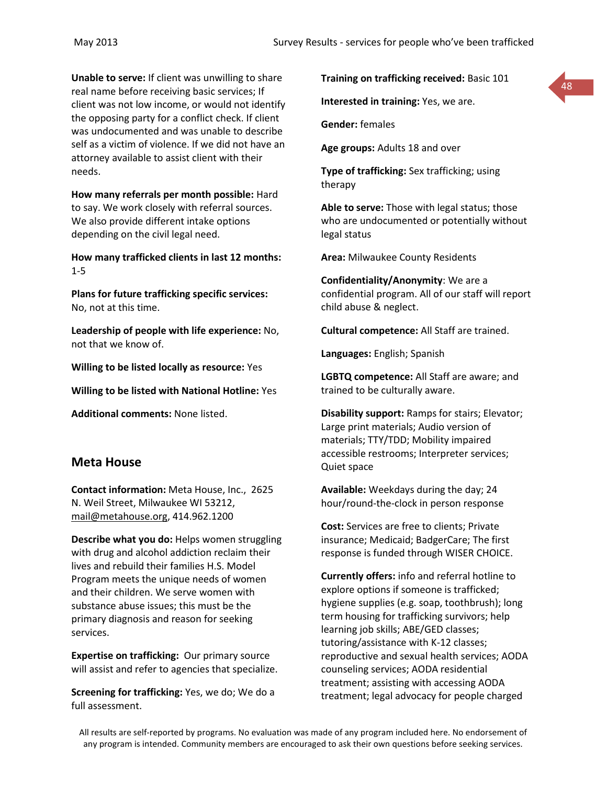**Unable to serve:** If client was unwilling to share real name before receiving basic services; If client was not low income, or would not identify the opposing party for a conflict check. If client was undocumented and was unable to describe self as a victim of violence. If we did not have an attorney available to assist client with their needs.

**How many referrals per month possible:** Hard to say. We work closely with referral sources. We also provide different intake options depending on the civil legal need.

**How many trafficked clients in last 12 months:** 1-5

**Plans for future trafficking specific services:** No, not at this time.

**Leadership of people with life experience:** No, not that we know of.

**Willing to be listed locally as resource:** Yes

**Willing to be listed with National Hotline:** Yes

**Additional comments:** None listed.

## **Meta House**

**Contact information:** Meta House, Inc., 2625 N. Weil Street, Milwaukee WI 53212, [mail@metahouse.org,](mailto:mail@metahouse.org) 414.962.1200

**Describe what you do:** Helps women struggling with drug and alcohol addiction reclaim their lives and rebuild their families H.S. Model Program meets the unique needs of women and their children. We serve women with substance abuse issues; this must be the primary diagnosis and reason for seeking services.

**Expertise on trafficking:** Our primary source will assist and refer to agencies that specialize.

**Screening for trafficking:** Yes, we do; We do a full assessment.

**Training on trafficking received:** Basic 101

**Interested in training:** Yes, we are.

**Gender:** females

**Age groups:** Adults 18 and over

**Type of trafficking:** Sex trafficking; using therapy

**Able to serve:** Those with legal status; those who are undocumented or potentially without legal status

**Area:** Milwaukee County Residents

**Confidentiality/Anonymity**: We are a confidential program. All of our staff will report child abuse & neglect.

**Cultural competence:** All Staff are trained.

**Languages:** English; Spanish

**LGBTQ competence:** All Staff are aware; and trained to be culturally aware.

**Disability support:** Ramps for stairs; Elevator; Large print materials; Audio version of materials; TTY/TDD; Mobility impaired accessible restrooms; Interpreter services; Quiet space

**Available:** Weekdays during the day; 24 hour/round-the-clock in person response

**Cost:** Services are free to clients; Private insurance; Medicaid; BadgerCare; The first response is funded through WISER CHOICE.

**Currently offers:** info and referral hotline to explore options if someone is trafficked; hygiene supplies (e.g. soap, toothbrush); long term housing for trafficking survivors; help learning job skills; ABE/GED classes; tutoring/assistance with K-12 classes; reproductive and sexual health services; AODA counseling services; AODA residential treatment; assisting with accessing AODA treatment; legal advocacy for people charged

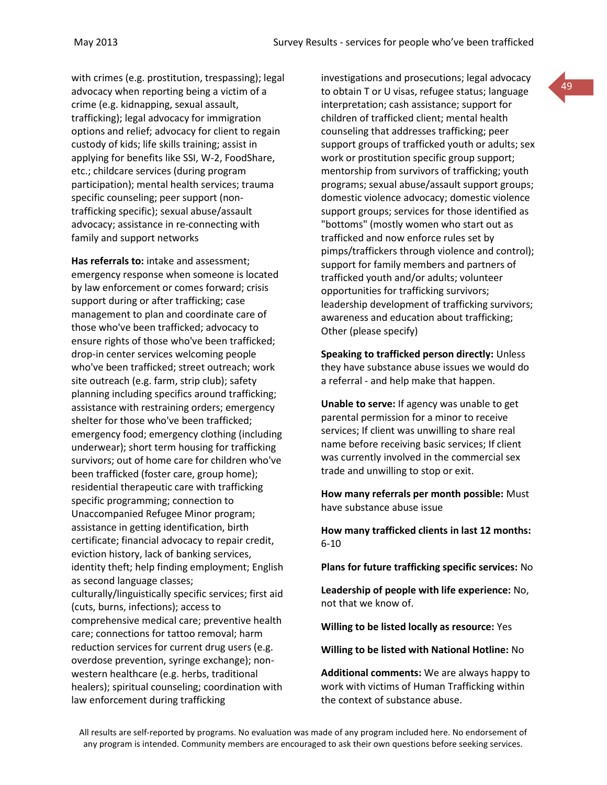with crimes (e.g. prostitution, trespassing); legal advocacy when reporting being a victim of a crime (e.g. kidnapping, sexual assault, trafficking); legal advocacy for immigration options and relief; advocacy for client to regain custody of kids; life skills training; assist in applying for benefits like SSI, W-2, FoodShare, etc.; childcare services (during program participation); mental health services; trauma specific counseling; peer support (nontrafficking specific); sexual abuse/assault advocacy; assistance in re-connecting with family and support networks

**Has referrals to:** intake and assessment; emergency response when someone is located by law enforcement or comes forward; crisis support during or after trafficking; case management to plan and coordinate care of those who've been trafficked; advocacy to ensure rights of those who've been trafficked; drop-in center services welcoming people who've been trafficked; street outreach; work site outreach (e.g. farm, strip club); safety planning including specifics around trafficking; assistance with restraining orders; emergency shelter for those who've been trafficked; emergency food; emergency clothing (including underwear); short term housing for trafficking survivors; out of home care for children who've been trafficked (foster care, group home); residential therapeutic care with trafficking specific programming; connection to Unaccompanied Refugee Minor program; assistance in getting identification, birth certificate; financial advocacy to repair credit, eviction history, lack of banking services, identity theft; help finding employment; English as second language classes; culturally/linguistically specific services; first aid (cuts, burns, infections); access to comprehensive medical care; preventive health care; connections for tattoo removal; harm reduction services for current drug users (e.g. overdose prevention, syringe exchange); nonwestern healthcare (e.g. herbs, traditional healers); spiritual counseling; coordination with law enforcement during trafficking

investigations and prosecutions; legal advocacy to obtain T or U visas, refugee status; language interpretation; cash assistance; support for children of trafficked client; mental health counseling that addresses trafficking; peer support groups of trafficked youth or adults; sex work or prostitution specific group support; mentorship from survivors of trafficking; youth programs; sexual abuse/assault support groups; domestic violence advocacy; domestic violence support groups; services for those identified as "bottoms" (mostly women who start out as trafficked and now enforce rules set by pimps/traffickers through violence and control); support for family members and partners of trafficked youth and/or adults; volunteer opportunities for trafficking survivors; leadership development of trafficking survivors; awareness and education about trafficking; Other (please specify)

49

**Speaking to trafficked person directly:** Unless they have substance abuse issues we would do a referral - and help make that happen.

**Unable to serve:** If agency was unable to get parental permission for a minor to receive services; If client was unwilling to share real name before receiving basic services; If client was currently involved in the commercial sex trade and unwilling to stop or exit.

**How many referrals per month possible:** Must have substance abuse issue

**How many trafficked clients in last 12 months:** 6-10

**Plans for future trafficking specific services:** No

**Leadership of people with life experience:** No, not that we know of.

**Willing to be listed locally as resource:** Yes

**Willing to be listed with National Hotline:** No

**Additional comments:** We are always happy to work with victims of Human Trafficking within the context of substance abuse.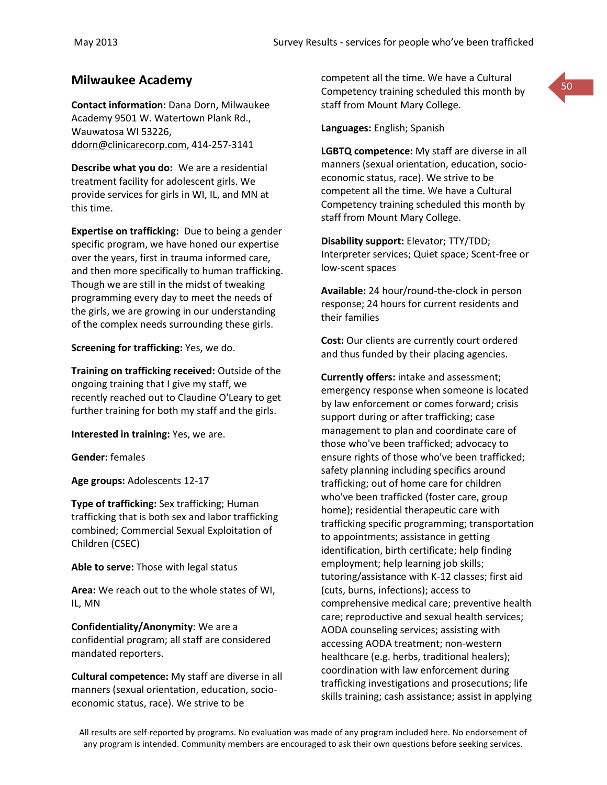**Contact information:** Dana Dorn, Milwaukee Academy 9501 W. Watertown Plank Rd., Wauwatosa WI 53226, [ddorn@clinicarecorp.com,](mailto:ddorn@clinicarecorp.com) 414-257-3141

**Describe what you do:** We are a residential treatment facility for adolescent girls. We provide services for girls in WI, IL, and MN at this time.

**Expertise on trafficking:** Due to being a gender specific program, we have honed our expertise over the years, first in trauma informed care, and then more specifically to human trafficking. Though we are still in the midst of tweaking programming every day to meet the needs of the girls, we are growing in our understanding of the complex needs surrounding these girls.

**Screening for trafficking:** Yes, we do.

**Training on trafficking received:** Outside of the ongoing training that I give my staff, we recently reached out to Claudine O'Leary to get further training for both my staff and the girls.

**Interested in training:** Yes, we are.

**Gender:** females

**Age groups:** Adolescents 12-17

**Type of trafficking:** Sex trafficking; Human trafficking that is both sex and labor trafficking combined; Commercial Sexual Exploitation of Children (CSEC)

**Able to serve:** Those with legal status

**Area:** We reach out to the whole states of WI, IL, MN

**Confidentiality/Anonymity**: We are a confidential program; all staff are considered mandated reporters.

**Cultural competence:** My staff are diverse in all manners (sexual orientation, education, socioeconomic status, race). We strive to be

**Milwaukee Academy**<br>50 Competency training scheduled this month by staff from Mount Mary College.

**Languages:** English; Spanish

**LGBTQ competence:** My staff are diverse in all manners (sexual orientation, education, socioeconomic status, race). We strive to be competent all the time. We have a Cultural Competency training scheduled this month by staff from Mount Mary College.

**Disability support:** Elevator; TTY/TDD; Interpreter services; Quiet space; Scent-free or low-scent spaces

**Available:** 24 hour/round-the-clock in person response; 24 hours for current residents and their families

**Cost:** Our clients are currently court ordered and thus funded by their placing agencies.

**Currently offers:** intake and assessment; emergency response when someone is located by law enforcement or comes forward; crisis support during or after trafficking; case management to plan and coordinate care of those who've been trafficked; advocacy to ensure rights of those who've been trafficked; safety planning including specifics around trafficking; out of home care for children who've been trafficked (foster care, group home); residential therapeutic care with trafficking specific programming; transportation to appointments; assistance in getting identification, birth certificate; help finding employment; help learning job skills; tutoring/assistance with K-12 classes; first aid (cuts, burns, infections); access to comprehensive medical care; preventive health care; reproductive and sexual health services; AODA counseling services; assisting with accessing AODA treatment; non-western healthcare (e.g. herbs, traditional healers); coordination with law enforcement during trafficking investigations and prosecutions; life skills training; cash assistance; assist in applying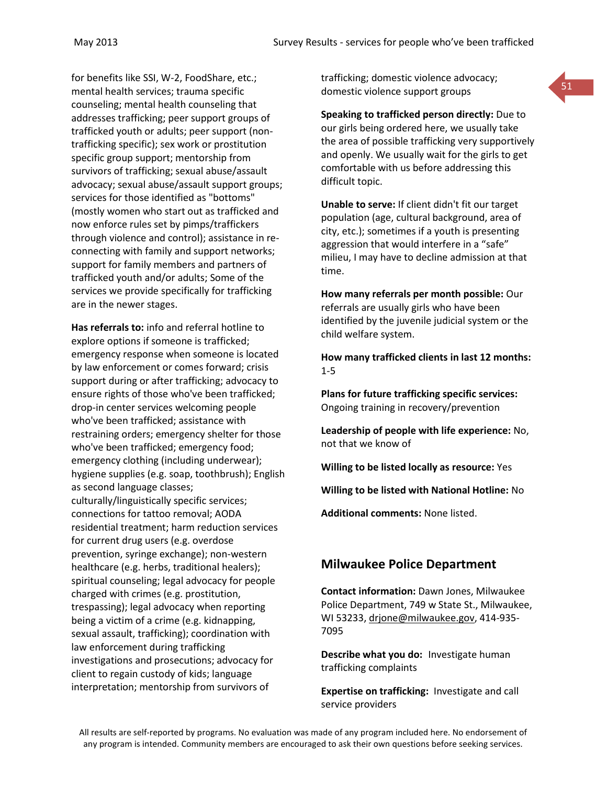for benefits like SSI, W-2, FoodShare, etc.; mental health services; trauma specific counseling; mental health counseling that addresses trafficking; peer support groups of trafficked youth or adults; peer support (nontrafficking specific); sex work or prostitution specific group support; mentorship from survivors of trafficking; sexual abuse/assault advocacy; sexual abuse/assault support groups; services for those identified as "bottoms" (mostly women who start out as trafficked and now enforce rules set by pimps/traffickers through violence and control); assistance in reconnecting with family and support networks; support for family members and partners of trafficked youth and/or adults; Some of the services we provide specifically for trafficking are in the newer stages.

**Has referrals to:** info and referral hotline to explore options if someone is trafficked; emergency response when someone is located by law enforcement or comes forward; crisis support during or after trafficking; advocacy to ensure rights of those who've been trafficked; drop-in center services welcoming people who've been trafficked; assistance with restraining orders; emergency shelter for those who've been trafficked; emergency food; emergency clothing (including underwear); hygiene supplies (e.g. soap, toothbrush); English as second language classes; culturally/linguistically specific services; connections for tattoo removal; AODA residential treatment; harm reduction services for current drug users (e.g. overdose prevention, syringe exchange); non-western healthcare (e.g. herbs, traditional healers); spiritual counseling; legal advocacy for people charged with crimes (e.g. prostitution, trespassing); legal advocacy when reporting being a victim of a crime (e.g. kidnapping, sexual assault, trafficking); coordination with law enforcement during trafficking investigations and prosecutions; advocacy for client to regain custody of kids; language interpretation; mentorship from survivors of

trafficking; domestic violence advocacy; domestic violence support groups

**Speaking to trafficked person directly:** Due to our girls being ordered here, we usually take the area of possible trafficking very supportively and openly. We usually wait for the girls to get comfortable with us before addressing this difficult topic.

**Unable to serve:** If client didn't fit our target population (age, cultural background, area of city, etc.); sometimes if a youth is presenting aggression that would interfere in a "safe" milieu, I may have to decline admission at that time.

**How many referrals per month possible:** Our referrals are usually girls who have been identified by the juvenile judicial system or the child welfare system.

**How many trafficked clients in last 12 months:** 1-5

**Plans for future trafficking specific services:** Ongoing training in recovery/prevention

**Leadership of people with life experience:** No, not that we know of

**Willing to be listed locally as resource:** Yes

**Willing to be listed with National Hotline:** No

**Additional comments:** None listed.

## **Milwaukee Police Department**

**Contact information:** Dawn Jones, Milwaukee Police Department, 749 w State St., Milwaukee, WI 53233, [drjone@milwaukee.gov,](mailto:drjone@milwaukee.gov) 414-935- 7095

**Describe what you do:** Investigate human trafficking complaints

**Expertise on trafficking:** Investigate and call service providers

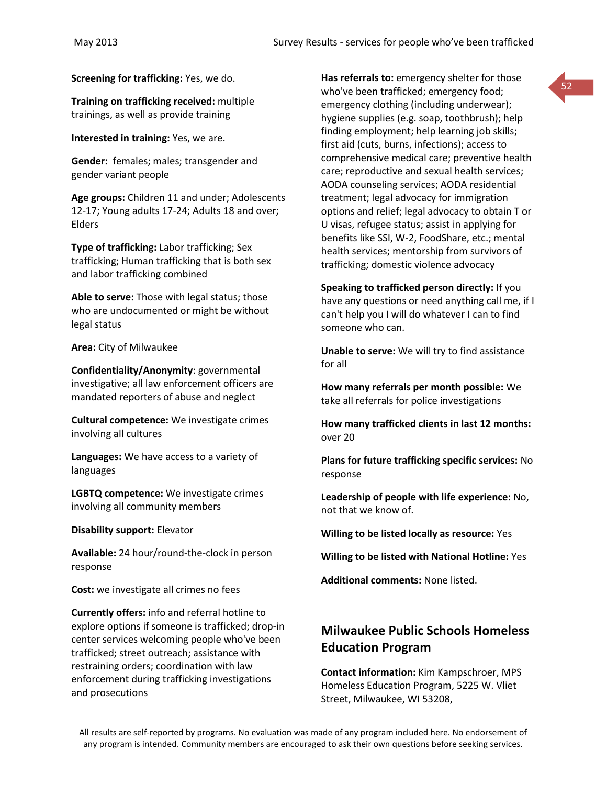**Screening for trafficking:** Yes, we do.

**Training on trafficking received:** multiple trainings, as well as provide training

**Interested in training:** Yes, we are.

**Gender:** females; males; transgender and gender variant people

**Age groups:** Children 11 and under; Adolescents 12-17; Young adults 17-24; Adults 18 and over; Elders

**Type of trafficking:** Labor trafficking; Sex trafficking; Human trafficking that is both sex and labor trafficking combined

**Able to serve:** Those with legal status; those who are undocumented or might be without legal status

**Area:** City of Milwaukee

**Confidentiality/Anonymity**: governmental investigative; all law enforcement officers are mandated reporters of abuse and neglect

**Cultural competence:** We investigate crimes involving all cultures

**Languages:** We have access to a variety of languages

**LGBTQ competence:** We investigate crimes involving all community members

**Disability support:** Elevator

**Available:** 24 hour/round-the-clock in person response

**Cost:** we investigate all crimes no fees

**Currently offers:** info and referral hotline to explore options if someone is trafficked; drop-in center services welcoming people who've been trafficked; street outreach; assistance with restraining orders; coordination with law enforcement during trafficking investigations and prosecutions

**Has referrals to:** emergency shelter for those who've been trafficked; emergency food; emergency clothing (including underwear); hygiene supplies (e.g. soap, toothbrush); help finding employment; help learning job skills; first aid (cuts, burns, infections); access to comprehensive medical care; preventive health care; reproductive and sexual health services; AODA counseling services; AODA residential treatment; legal advocacy for immigration options and relief; legal advocacy to obtain T or U visas, refugee status; assist in applying for benefits like SSI, W-2, FoodShare, etc.; mental health services; mentorship from survivors of trafficking; domestic violence advocacy

**Speaking to trafficked person directly:** If you have any questions or need anything call me, if I can't help you I will do whatever I can to find someone who can.

**Unable to serve:** We will try to find assistance for all

**How many referrals per month possible:** We take all referrals for police investigations

**How many trafficked clients in last 12 months:** over 20

**Plans for future trafficking specific services:** No response

**Leadership of people with life experience:** No, not that we know of.

**Willing to be listed locally as resource:** Yes

**Willing to be listed with National Hotline:** Yes

**Additional comments:** None listed.

# **Milwaukee Public Schools Homeless Education Program**

**Contact information:** Kim Kampschroer, MPS Homeless Education Program, 5225 W. Vliet Street, Milwaukee, WI 53208,

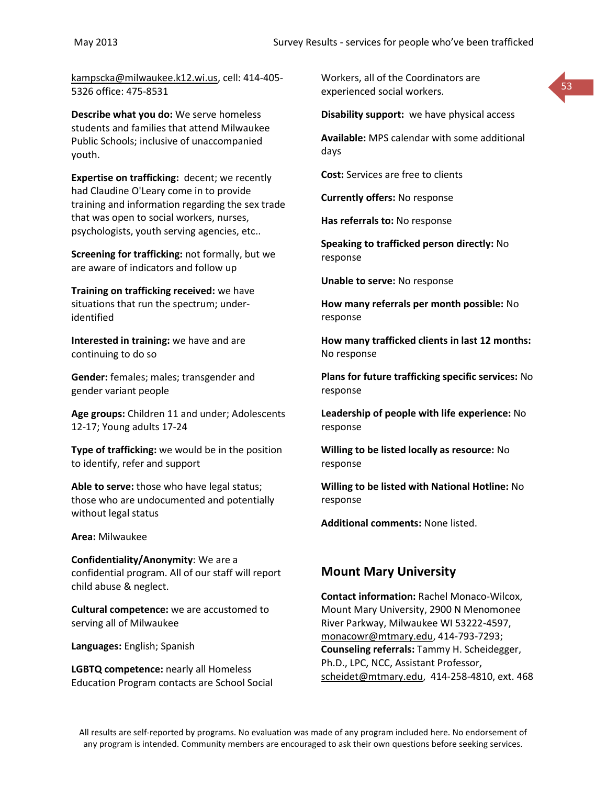[kampscka@milwaukee.k12.wi.us,](mailto:kampscka@milwaukee.k12.wi.us) cell: 414-405- 5326 office: 475-8531

**Describe what you do:** We serve homeless students and families that attend Milwaukee Public Schools; inclusive of unaccompanied youth.

**Expertise on trafficking:** decent; we recently had Claudine O'Leary come in to provide training and information regarding the sex trade that was open to social workers, nurses, psychologists, youth serving agencies, etc..

**Screening for trafficking:** not formally, but we are aware of indicators and follow up

**Training on trafficking received:** we have situations that run the spectrum; underidentified

**Interested in training:** we have and are continuing to do so

**Gender:** females; males; transgender and gender variant people

**Age groups:** Children 11 and under; Adolescents 12-17; Young adults 17-24

**Type of trafficking:** we would be in the position to identify, refer and support

**Able to serve:** those who have legal status; those who are undocumented and potentially without legal status

**Area:** Milwaukee

**Confidentiality/Anonymity**: We are a confidential program. All of our staff will report child abuse & neglect.

**Cultural competence:** we are accustomed to serving all of Milwaukee

**Languages:** English; Spanish

**LGBTQ competence:** nearly all Homeless Education Program contacts are School Social Workers, all of the Coordinators are experienced social workers.

**Disability support:** we have physical access

53

**Available:** MPS calendar with some additional days

**Cost:** Services are free to clients

**Currently offers:** No response

**Has referrals to:** No response

**Speaking to trafficked person directly:** No response

**Unable to serve:** No response

**How many referrals per month possible:** No response

**How many trafficked clients in last 12 months:** No response

**Plans for future trafficking specific services:** No response

**Leadership of people with life experience:** No response

**Willing to be listed locally as resource:** No response

**Willing to be listed with National Hotline:** No response

**Additional comments:** None listed.

## **Mount Mary University**

**Contact information:** Rachel Monaco-Wilcox, Mount Mary University, 2900 N Menomonee River Parkway, Milwaukee WI 53222-4597, [monacowr@mtmary.edu,](mailto:monacowr@mtmary.edu) 414-793-7293; **Counseling referrals:** Tammy H. Scheidegger, Ph.D., LPC, NCC, Assistant Professor, [scheidet@mtmary.edu,](mailto:scheidet@mtmary.edu) 414-258-4810, ext. 468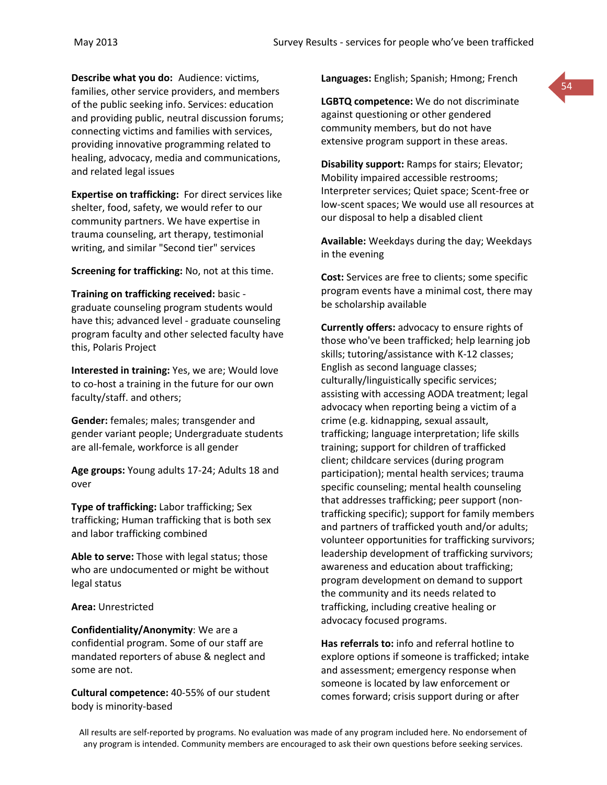**Describe what you do:** Audience: victims, families, other service providers, and members of the public seeking info. Services: education and providing public, neutral discussion forums; connecting victims and families with services, providing innovative programming related to healing, advocacy, media and communications, and related legal issues

**Expertise on trafficking:** For direct services like shelter, food, safety, we would refer to our community partners. We have expertise in trauma counseling, art therapy, testimonial writing, and similar "Second tier" services

**Screening for trafficking:** No, not at this time.

**Training on trafficking received:** basic graduate counseling program students would have this; advanced level - graduate counseling program faculty and other selected faculty have this, Polaris Project

**Interested in training:** Yes, we are; Would love to co-host a training in the future for our own faculty/staff. and others;

**Gender:** females; males; transgender and gender variant people; Undergraduate students are all-female, workforce is all gender

**Age groups:** Young adults 17-24; Adults 18 and over

**Type of trafficking:** Labor trafficking; Sex trafficking; Human trafficking that is both sex and labor trafficking combined

**Able to serve:** Those with legal status; those who are undocumented or might be without legal status

**Area:** Unrestricted

**Confidentiality/Anonymity**: We are a confidential program. Some of our staff are mandated reporters of abuse & neglect and some are not.

**Cultural competence:** 40-55% of our student body is minority-based

**Languages:** English; Spanish; Hmong; French

54

**LGBTQ competence:** We do not discriminate against questioning or other gendered community members, but do not have extensive program support in these areas.

**Disability support:** Ramps for stairs; Elevator; Mobility impaired accessible restrooms; Interpreter services; Quiet space; Scent-free or low-scent spaces; We would use all resources at our disposal to help a disabled client

**Available:** Weekdays during the day; Weekdays in the evening

**Cost:** Services are free to clients; some specific program events have a minimal cost, there may be scholarship available

**Currently offers:** advocacy to ensure rights of those who've been trafficked; help learning job skills; tutoring/assistance with K-12 classes; English as second language classes; culturally/linguistically specific services; assisting with accessing AODA treatment; legal advocacy when reporting being a victim of a crime (e.g. kidnapping, sexual assault, trafficking; language interpretation; life skills training; support for children of trafficked client; childcare services (during program participation); mental health services; trauma specific counseling; mental health counseling that addresses trafficking; peer support (nontrafficking specific); support for family members and partners of trafficked youth and/or adults; volunteer opportunities for trafficking survivors; leadership development of trafficking survivors; awareness and education about trafficking; program development on demand to support the community and its needs related to trafficking, including creative healing or advocacy focused programs.

**Has referrals to:** info and referral hotline to explore options if someone is trafficked; intake and assessment; emergency response when someone is located by law enforcement or comes forward; crisis support during or after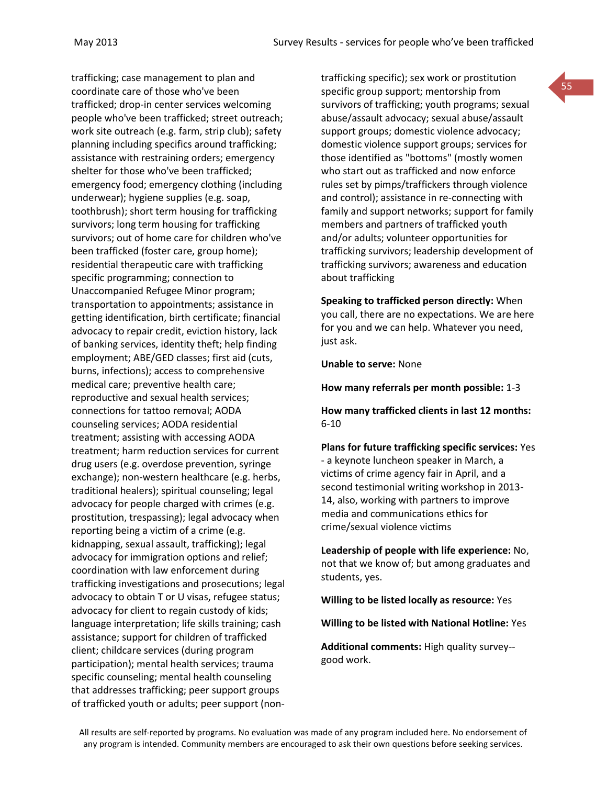trafficking; case management to plan and coordinate care of those who've been trafficked; drop-in center services welcoming people who've been trafficked; street outreach; work site outreach (e.g. farm, strip club); safety planning including specifics around trafficking; assistance with restraining orders; emergency shelter for those who've been trafficked; emergency food; emergency clothing (including underwear); hygiene supplies (e.g. soap, toothbrush); short term housing for trafficking survivors; long term housing for trafficking survivors; out of home care for children who've been trafficked (foster care, group home); residential therapeutic care with trafficking specific programming; connection to Unaccompanied Refugee Minor program; transportation to appointments; assistance in getting identification, birth certificate; financial advocacy to repair credit, eviction history, lack of banking services, identity theft; help finding employment; ABE/GED classes; first aid (cuts, burns, infections); access to comprehensive medical care; preventive health care; reproductive and sexual health services; connections for tattoo removal; AODA counseling services; AODA residential treatment; assisting with accessing AODA treatment; harm reduction services for current drug users (e.g. overdose prevention, syringe exchange); non-western healthcare (e.g. herbs, traditional healers); spiritual counseling; legal advocacy for people charged with crimes (e.g. prostitution, trespassing); legal advocacy when reporting being a victim of a crime (e.g. kidnapping, sexual assault, trafficking); legal advocacy for immigration options and relief; coordination with law enforcement during trafficking investigations and prosecutions; legal advocacy to obtain T or U visas, refugee status; advocacy for client to regain custody of kids; language interpretation; life skills training; cash assistance; support for children of trafficked client; childcare services (during program participation); mental health services; trauma specific counseling; mental health counseling that addresses trafficking; peer support groups of trafficked youth or adults; peer support (nontrafficking specific); sex work or prostitution specific group support; mentorship from survivors of trafficking; youth programs; sexual abuse/assault advocacy; sexual abuse/assault support groups; domestic violence advocacy; domestic violence support groups; services for those identified as "bottoms" (mostly women who start out as trafficked and now enforce rules set by pimps/traffickers through violence and control); assistance in re-connecting with family and support networks; support for family members and partners of trafficked youth and/or adults; volunteer opportunities for trafficking survivors; leadership development of trafficking survivors; awareness and education about trafficking

**Speaking to trafficked person directly:** When you call, there are no expectations. We are here for you and we can help. Whatever you need, just ask.

**Unable to serve:** None

**How many referrals per month possible:** 1-3

**How many trafficked clients in last 12 months:** 6-10

**Plans for future trafficking specific services:** Yes - a keynote luncheon speaker in March, a victims of crime agency fair in April, and a second testimonial writing workshop in 2013- 14, also, working with partners to improve media and communications ethics for crime/sexual violence victims

**Leadership of people with life experience:** No, not that we know of; but among graduates and students, yes.

**Willing to be listed locally as resource:** Yes

**Willing to be listed with National Hotline:** Yes

**Additional comments:** High quality survey- good work.

All results are self-reported by programs. No evaluation was made of any program included here. No endorsement of any program is intended. Community members are encouraged to ask their own questions before seeking services.

55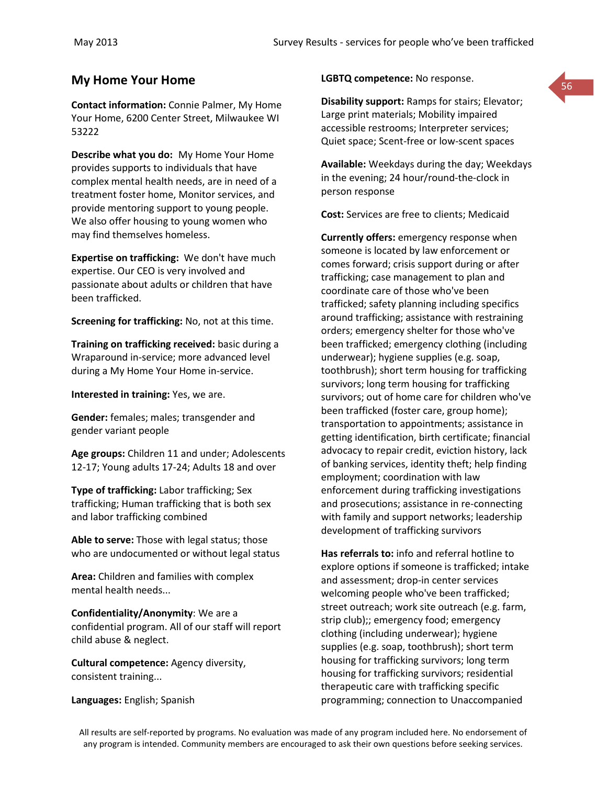# **My Home Your Home EXECUTE: No response.**

**Contact information:** Connie Palmer, My Home Your Home, 6200 Center Street, Milwaukee WI 53222

**Describe what you do:** My Home Your Home provides supports to individuals that have complex mental health needs, are in need of a treatment foster home, Monitor services, and provide mentoring support to young people. We also offer housing to young women who may find themselves homeless.

**Expertise on trafficking:** We don't have much expertise. Our CEO is very involved and passionate about adults or children that have been trafficked.

**Screening for trafficking:** No, not at this time.

**Training on trafficking received:** basic during a Wraparound in-service; more advanced level during a My Home Your Home in-service.

**Interested in training:** Yes, we are.

**Gender:** females; males; transgender and gender variant people

**Age groups:** Children 11 and under; Adolescents 12-17; Young adults 17-24; Adults 18 and over

**Type of trafficking:** Labor trafficking; Sex trafficking; Human trafficking that is both sex and labor trafficking combined

**Able to serve:** Those with legal status; those who are undocumented or without legal status

**Area:** Children and families with complex mental health needs...

**Confidentiality/Anonymity**: We are a confidential program. All of our staff will report child abuse & neglect.

**Cultural competence:** Agency diversity, consistent training...

**Languages:** English; Spanish

### **LGBTQ competence:** No response.

**Disability support:** Ramps for stairs; Elevator; Large print materials; Mobility impaired accessible restrooms; Interpreter services; Quiet space; Scent-free or low-scent spaces

**Available:** Weekdays during the day; Weekdays in the evening; 24 hour/round-the-clock in person response

**Cost:** Services are free to clients; Medicaid

**Currently offers:** emergency response when someone is located by law enforcement or comes forward; crisis support during or after trafficking; case management to plan and coordinate care of those who've been trafficked; safety planning including specifics around trafficking; assistance with restraining orders; emergency shelter for those who've been trafficked; emergency clothing (including underwear); hygiene supplies (e.g. soap, toothbrush); short term housing for trafficking survivors; long term housing for trafficking survivors; out of home care for children who've been trafficked (foster care, group home); transportation to appointments; assistance in getting identification, birth certificate; financial advocacy to repair credit, eviction history, lack of banking services, identity theft; help finding employment; coordination with law enforcement during trafficking investigations and prosecutions; assistance in re-connecting with family and support networks; leadership development of trafficking survivors

**Has referrals to:** info and referral hotline to explore options if someone is trafficked; intake and assessment; drop-in center services welcoming people who've been trafficked; street outreach; work site outreach (e.g. farm, strip club);; emergency food; emergency clothing (including underwear); hygiene supplies (e.g. soap, toothbrush); short term housing for trafficking survivors; long term housing for trafficking survivors; residential therapeutic care with trafficking specific programming; connection to Unaccompanied

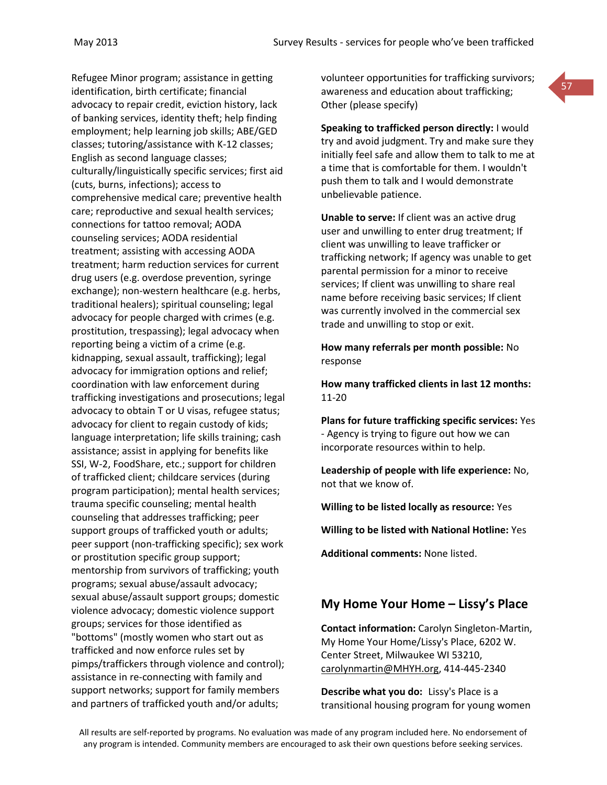Refugee Minor program; assistance in getting identification, birth certificate; financial advocacy to repair credit, eviction history, lack of banking services, identity theft; help finding employment; help learning job skills; ABE/GED classes; tutoring/assistance with K-12 classes; English as second language classes; culturally/linguistically specific services; first aid (cuts, burns, infections); access to comprehensive medical care; preventive health care; reproductive and sexual health services; connections for tattoo removal; AODA counseling services; AODA residential treatment; assisting with accessing AODA treatment; harm reduction services for current drug users (e.g. overdose prevention, syringe exchange); non-western healthcare (e.g. herbs, traditional healers); spiritual counseling; legal advocacy for people charged with crimes (e.g. prostitution, trespassing); legal advocacy when reporting being a victim of a crime (e.g. kidnapping, sexual assault, trafficking); legal advocacy for immigration options and relief; coordination with law enforcement during trafficking investigations and prosecutions; legal advocacy to obtain T or U visas, refugee status; advocacy for client to regain custody of kids; language interpretation; life skills training; cash assistance; assist in applying for benefits like SSI, W-2, FoodShare, etc.; support for children of trafficked client; childcare services (during program participation); mental health services; trauma specific counseling; mental health counseling that addresses trafficking; peer support groups of trafficked youth or adults; peer support (non-trafficking specific); sex work or prostitution specific group support; mentorship from survivors of trafficking; youth programs; sexual abuse/assault advocacy; sexual abuse/assault support groups; domestic violence advocacy; domestic violence support groups; services for those identified as "bottoms" (mostly women who start out as trafficked and now enforce rules set by pimps/traffickers through violence and control); assistance in re-connecting with family and support networks; support for family members and partners of trafficked youth and/or adults;

volunteer opportunities for trafficking survivors; awareness and education about trafficking; Other (please specify)

57

**Speaking to trafficked person directly:** I would try and avoid judgment. Try and make sure they initially feel safe and allow them to talk to me at a time that is comfortable for them. I wouldn't push them to talk and I would demonstrate unbelievable patience.

**Unable to serve:** If client was an active drug user and unwilling to enter drug treatment; If client was unwilling to leave trafficker or trafficking network; If agency was unable to get parental permission for a minor to receive services; If client was unwilling to share real name before receiving basic services; If client was currently involved in the commercial sex trade and unwilling to stop or exit.

**How many referrals per month possible:** No response

**How many trafficked clients in last 12 months:** 11-20

**Plans for future trafficking specific services:** Yes - Agency is trying to figure out how we can incorporate resources within to help.

**Leadership of people with life experience:** No, not that we know of.

**Willing to be listed locally as resource:** Yes

**Willing to be listed with National Hotline:** Yes

**Additional comments:** None listed.

## **My Home Your Home – Lissy's Place**

**Contact information:** Carolyn Singleton-Martin, My Home Your Home/Lissy's Place, 6202 W. Center Street, Milwaukee WI 53210, [carolynmartin@MHYH.org,](mailto:carolynmartin@MHYH.org) 414-445-2340

**Describe what you do:** Lissy's Place is a transitional housing program for young women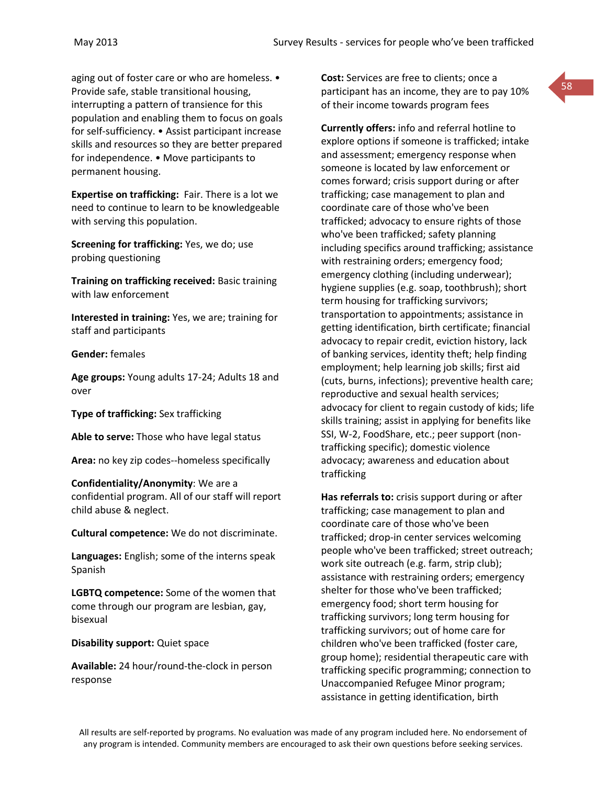aging out of foster care or who are homeless. • Provide safe, stable transitional housing, interrupting a pattern of transience for this population and enabling them to focus on goals for self-sufficiency. • Assist participant increase skills and resources so they are better prepared for independence. • Move participants to permanent housing.

**Expertise on trafficking:** Fair. There is a lot we need to continue to learn to be knowledgeable with serving this population.

**Screening for trafficking:** Yes, we do; use probing questioning

**Training on trafficking received:** Basic training with law enforcement

**Interested in training:** Yes, we are; training for staff and participants

**Gender:** females

**Age groups:** Young adults 17-24; Adults 18 and over

**Type of trafficking:** Sex trafficking

**Able to serve:** Those who have legal status

**Area:** no key zip codes--homeless specifically

### **Confidentiality/Anonymity**: We are a confidential program. All of our staff will report child abuse & neglect.

**Cultural competence:** We do not discriminate.

**Languages:** English; some of the interns speak Spanish

**LGBTQ competence:** Some of the women that come through our program are lesbian, gay, bisexual

**Disability support:** Quiet space

**Available:** 24 hour/round-the-clock in person response

**Cost:** Services are free to clients; once a participant has an income, they are to pay 10% of their income towards program fees

**Currently offers:** info and referral hotline to explore options if someone is trafficked; intake and assessment; emergency response when someone is located by law enforcement or comes forward; crisis support during or after trafficking; case management to plan and coordinate care of those who've been trafficked; advocacy to ensure rights of those who've been trafficked; safety planning including specifics around trafficking; assistance with restraining orders; emergency food; emergency clothing (including underwear); hygiene supplies (e.g. soap, toothbrush); short term housing for trafficking survivors; transportation to appointments; assistance in getting identification, birth certificate; financial advocacy to repair credit, eviction history, lack of banking services, identity theft; help finding employment; help learning job skills; first aid (cuts, burns, infections); preventive health care; reproductive and sexual health services; advocacy for client to regain custody of kids; life skills training; assist in applying for benefits like SSI, W-2, FoodShare, etc.; peer support (nontrafficking specific); domestic violence advocacy; awareness and education about trafficking

**Has referrals to:** crisis support during or after trafficking; case management to plan and coordinate care of those who've been trafficked; drop-in center services welcoming people who've been trafficked; street outreach; work site outreach (e.g. farm, strip club); assistance with restraining orders; emergency shelter for those who've been trafficked; emergency food; short term housing for trafficking survivors; long term housing for trafficking survivors; out of home care for children who've been trafficked (foster care, group home); residential therapeutic care with trafficking specific programming; connection to Unaccompanied Refugee Minor program; assistance in getting identification, birth

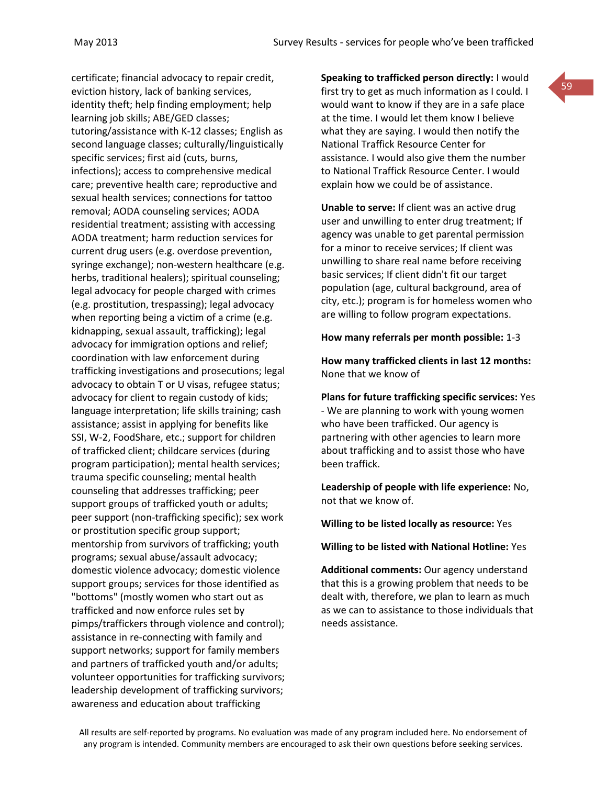certificate; financial advocacy to repair credit, eviction history, lack of banking services, identity theft; help finding employment; help learning job skills; ABE/GED classes; tutoring/assistance with K-12 classes; English as second language classes; culturally/linguistically specific services; first aid (cuts, burns, infections); access to comprehensive medical care; preventive health care; reproductive and sexual health services; connections for tattoo removal; AODA counseling services; AODA residential treatment; assisting with accessing AODA treatment; harm reduction services for current drug users (e.g. overdose prevention, syringe exchange); non-western healthcare (e.g. herbs, traditional healers); spiritual counseling; legal advocacy for people charged with crimes (e.g. prostitution, trespassing); legal advocacy when reporting being a victim of a crime (e.g. kidnapping, sexual assault, trafficking); legal advocacy for immigration options and relief; coordination with law enforcement during trafficking investigations and prosecutions; legal advocacy to obtain T or U visas, refugee status; advocacy for client to regain custody of kids; language interpretation; life skills training; cash assistance; assist in applying for benefits like SSI, W-2, FoodShare, etc.; support for children of trafficked client; childcare services (during program participation); mental health services; trauma specific counseling; mental health counseling that addresses trafficking; peer support groups of trafficked youth or adults; peer support (non-trafficking specific); sex work or prostitution specific group support; mentorship from survivors of trafficking; youth programs; sexual abuse/assault advocacy; domestic violence advocacy; domestic violence support groups; services for those identified as "bottoms" (mostly women who start out as trafficked and now enforce rules set by pimps/traffickers through violence and control); assistance in re-connecting with family and support networks; support for family members and partners of trafficked youth and/or adults; volunteer opportunities for trafficking survivors; leadership development of trafficking survivors; awareness and education about trafficking

**Speaking to trafficked person directly:** I would first try to get as much information as I could. I would want to know if they are in a safe place at the time. I would let them know I believe what they are saying. I would then notify the National Traffick Resource Center for assistance. I would also give them the number to National Traffick Resource Center. I would explain how we could be of assistance.

59

**Unable to serve:** If client was an active drug user and unwilling to enter drug treatment; If agency was unable to get parental permission for a minor to receive services; If client was unwilling to share real name before receiving basic services; If client didn't fit our target population (age, cultural background, area of city, etc.); program is for homeless women who are willing to follow program expectations.

### **How many referrals per month possible:** 1-3

**How many trafficked clients in last 12 months:** None that we know of

**Plans for future trafficking specific services:** Yes - We are planning to work with young women who have been trafficked. Our agency is partnering with other agencies to learn more about trafficking and to assist those who have been traffick.

**Leadership of people with life experience:** No, not that we know of.

**Willing to be listed locally as resource:** Yes

**Willing to be listed with National Hotline:** Yes

**Additional comments:** Our agency understand that this is a growing problem that needs to be dealt with, therefore, we plan to learn as much as we can to assistance to those individuals that needs assistance.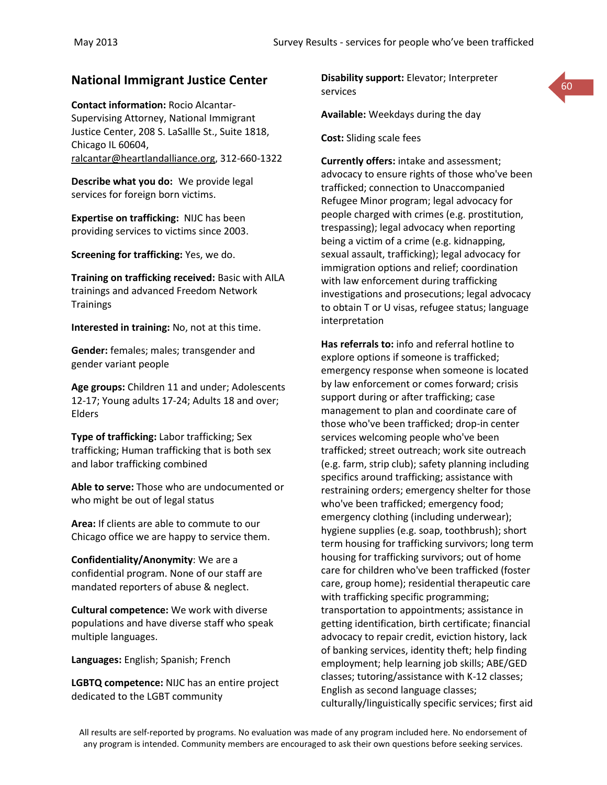**Contact information:** Rocio Alcantar-Supervising Attorney, National Immigrant Justice Center, 208 S. LaSallle St., Suite 1818, Chicago IL 60604, [ralcantar@heartlandalliance.org,](mailto:ralcantar@heartlandalliance.org) 312-660-1322

**Describe what you do:** We provide legal services for foreign born victims.

**Expertise on trafficking:** NIJC has been providing services to victims since 2003.

**Screening for trafficking:** Yes, we do.

**Training on trafficking received:** Basic with AILA trainings and advanced Freedom Network **Trainings** 

**Interested in training:** No, not at this time.

**Gender:** females; males; transgender and gender variant people

**Age groups:** Children 11 and under; Adolescents 12-17; Young adults 17-24; Adults 18 and over; Elders

**Type of trafficking:** Labor trafficking; Sex trafficking; Human trafficking that is both sex and labor trafficking combined

**Able to serve:** Those who are undocumented or who might be out of legal status

**Area:** If clients are able to commute to our Chicago office we are happy to service them.

**Confidentiality/Anonymity**: We are a confidential program. None of our staff are mandated reporters of abuse & neglect.

**Cultural competence:** We work with diverse populations and have diverse staff who speak multiple languages.

**Languages:** English; Spanish; French

**LGBTQ competence:** NIJC has an entire project dedicated to the LGBT community

**National Immigrant Justice Center Disability support: Elevator; Interpreter 1996 Disability support:** Elevator; Interpreter services



**Available:** Weekdays during the day

**Cost:** Sliding scale fees

**Currently offers:** intake and assessment; advocacy to ensure rights of those who've been trafficked; connection to Unaccompanied Refugee Minor program; legal advocacy for people charged with crimes (e.g. prostitution, trespassing); legal advocacy when reporting being a victim of a crime (e.g. kidnapping, sexual assault, trafficking); legal advocacy for immigration options and relief; coordination with law enforcement during trafficking investigations and prosecutions; legal advocacy to obtain T or U visas, refugee status; language interpretation

**Has referrals to:** info and referral hotline to explore options if someone is trafficked; emergency response when someone is located by law enforcement or comes forward; crisis support during or after trafficking; case management to plan and coordinate care of those who've been trafficked; drop-in center services welcoming people who've been trafficked; street outreach; work site outreach (e.g. farm, strip club); safety planning including specifics around trafficking; assistance with restraining orders; emergency shelter for those who've been trafficked; emergency food; emergency clothing (including underwear); hygiene supplies (e.g. soap, toothbrush); short term housing for trafficking survivors; long term housing for trafficking survivors; out of home care for children who've been trafficked (foster care, group home); residential therapeutic care with trafficking specific programming; transportation to appointments; assistance in getting identification, birth certificate; financial advocacy to repair credit, eviction history, lack of banking services, identity theft; help finding employment; help learning job skills; ABE/GED classes; tutoring/assistance with K-12 classes; English as second language classes; culturally/linguistically specific services; first aid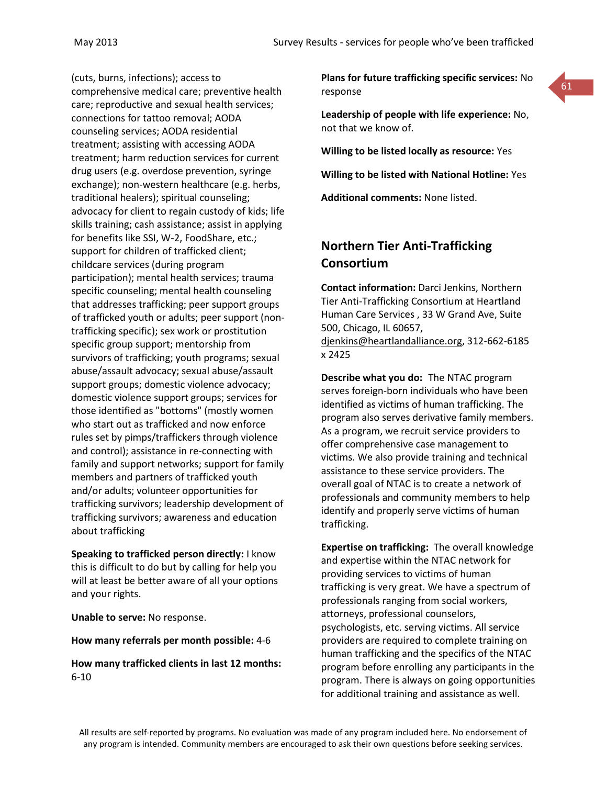(cuts, burns, infections); access to comprehensive medical care; preventive health care; reproductive and sexual health services; connections for tattoo removal; AODA counseling services; AODA residential treatment; assisting with accessing AODA treatment; harm reduction services for current drug users (e.g. overdose prevention, syringe exchange); non-western healthcare (e.g. herbs, traditional healers); spiritual counseling; advocacy for client to regain custody of kids; life skills training; cash assistance; assist in applying for benefits like SSI, W-2, FoodShare, etc.; support for children of trafficked client; childcare services (during program participation); mental health services; trauma specific counseling; mental health counseling that addresses trafficking; peer support groups of trafficked youth or adults; peer support (nontrafficking specific); sex work or prostitution specific group support; mentorship from survivors of trafficking; youth programs; sexual abuse/assault advocacy; sexual abuse/assault support groups; domestic violence advocacy; domestic violence support groups; services for those identified as "bottoms" (mostly women who start out as trafficked and now enforce rules set by pimps/traffickers through violence and control); assistance in re-connecting with family and support networks; support for family members and partners of trafficked youth and/or adults; volunteer opportunities for trafficking survivors; leadership development of trafficking survivors; awareness and education about trafficking

**Speaking to trafficked person directly:** I know this is difficult to do but by calling for help you will at least be better aware of all your options and your rights.

**Unable to serve:** No response.

#### **How many referrals per month possible:** 4-6

**How many trafficked clients in last 12 months:** 6-10

**Plans for future trafficking specific services:** No response



**Leadership of people with life experience:** No, not that we know of.

**Willing to be listed locally as resource:** Yes

**Willing to be listed with National Hotline:** Yes

**Additional comments:** None listed.

# **Northern Tier Anti-Trafficking Consortium**

**Contact information:** Darci Jenkins, Northern Tier Anti-Trafficking Consortium at Heartland Human Care Services , 33 W Grand Ave, Suite 500, Chicago, IL 60657, [djenkins@heartlandalliance.org,](mailto:djenkins@heartlandalliance.org) 312-662-6185 x 2425

**Describe what you do:** The NTAC program serves foreign-born individuals who have been identified as victims of human trafficking. The program also serves derivative family members. As a program, we recruit service providers to offer comprehensive case management to victims. We also provide training and technical assistance to these service providers. The overall goal of NTAC is to create a network of professionals and community members to help identify and properly serve victims of human trafficking.

**Expertise on trafficking:** The overall knowledge and expertise within the NTAC network for providing services to victims of human trafficking is very great. We have a spectrum of professionals ranging from social workers, attorneys, professional counselors, psychologists, etc. serving victims. All service providers are required to complete training on human trafficking and the specifics of the NTAC program before enrolling any participants in the program. There is always on going opportunities for additional training and assistance as well.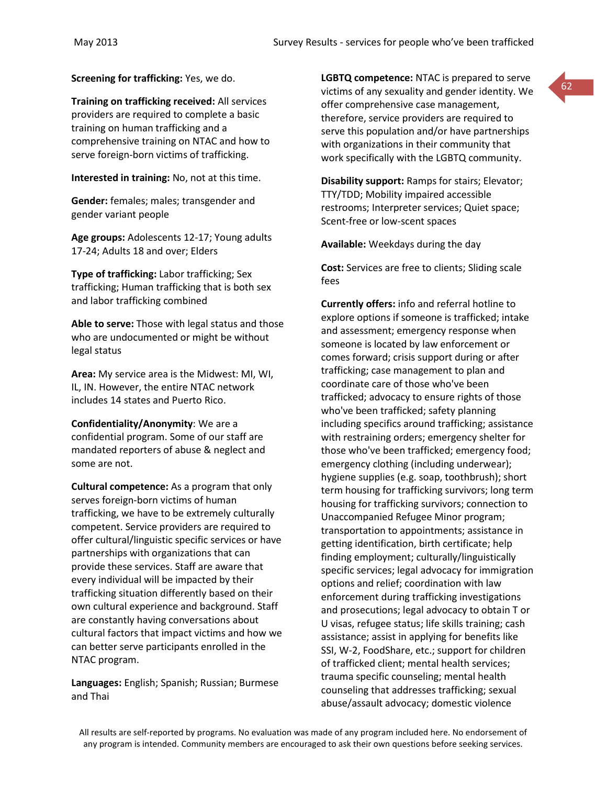**Screening for trafficking:** Yes, we do.

**Training on trafficking received:** All services providers are required to complete a basic training on human trafficking and a comprehensive training on NTAC and how to serve foreign-born victims of trafficking.

**Interested in training:** No, not at this time.

**Gender:** females; males; transgender and gender variant people

**Age groups:** Adolescents 12-17; Young adults 17-24; Adults 18 and over; Elders

**Type of trafficking:** Labor trafficking; Sex trafficking; Human trafficking that is both sex and labor trafficking combined

**Able to serve:** Those with legal status and those who are undocumented or might be without legal status

**Area:** My service area is the Midwest: MI, WI, IL, IN. However, the entire NTAC network includes 14 states and Puerto Rico.

**Confidentiality/Anonymity**: We are a confidential program. Some of our staff are mandated reporters of abuse & neglect and some are not.

**Cultural competence:** As a program that only serves foreign-born victims of human trafficking, we have to be extremely culturally competent. Service providers are required to offer cultural/linguistic specific services or have partnerships with organizations that can provide these services. Staff are aware that every individual will be impacted by their trafficking situation differently based on their own cultural experience and background. Staff are constantly having conversations about cultural factors that impact victims and how we can better serve participants enrolled in the NTAC program.

**Languages:** English; Spanish; Russian; Burmese and Thai

**LGBTQ competence:** NTAC is prepared to serve victims of any sexuality and gender identity. We offer comprehensive case management, therefore, service providers are required to serve this population and/or have partnerships with organizations in their community that work specifically with the LGBTQ community.

**Disability support:** Ramps for stairs; Elevator; TTY/TDD; Mobility impaired accessible restrooms; Interpreter services; Quiet space; Scent-free or low-scent spaces

**Available:** Weekdays during the day

**Cost:** Services are free to clients; Sliding scale fees

**Currently offers:** info and referral hotline to explore options if someone is trafficked; intake and assessment; emergency response when someone is located by law enforcement or comes forward; crisis support during or after trafficking; case management to plan and coordinate care of those who've been trafficked; advocacy to ensure rights of those who've been trafficked; safety planning including specifics around trafficking; assistance with restraining orders; emergency shelter for those who've been trafficked; emergency food; emergency clothing (including underwear); hygiene supplies (e.g. soap, toothbrush); short term housing for trafficking survivors; long term housing for trafficking survivors; connection to Unaccompanied Refugee Minor program; transportation to appointments; assistance in getting identification, birth certificate; help finding employment; culturally/linguistically specific services; legal advocacy for immigration options and relief; coordination with law enforcement during trafficking investigations and prosecutions; legal advocacy to obtain T or U visas, refugee status; life skills training; cash assistance; assist in applying for benefits like SSI, W-2, FoodShare, etc.; support for children of trafficked client; mental health services; trauma specific counseling; mental health counseling that addresses trafficking; sexual abuse/assault advocacy; domestic violence

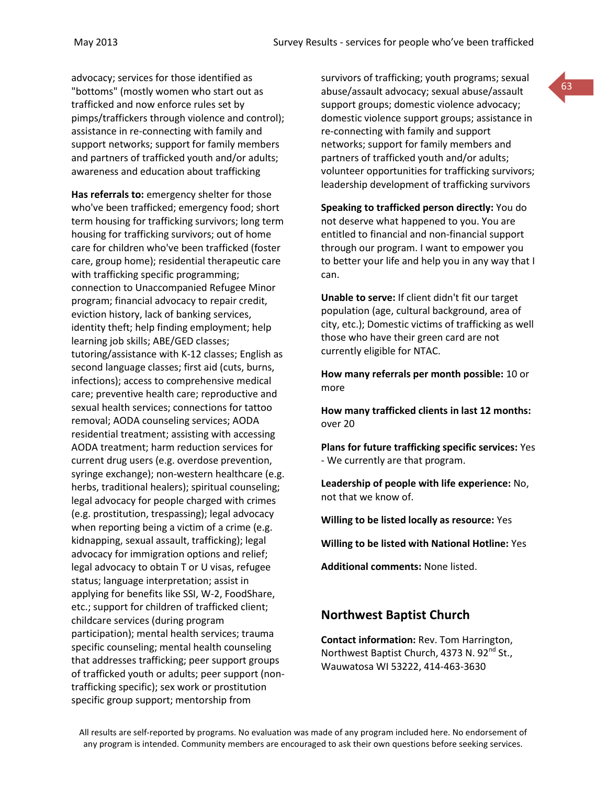advocacy; services for those identified as "bottoms" (mostly women who start out as trafficked and now enforce rules set by pimps/traffickers through violence and control); assistance in re-connecting with family and support networks; support for family members and partners of trafficked youth and/or adults; awareness and education about trafficking

**Has referrals to:** emergency shelter for those who've been trafficked; emergency food; short term housing for trafficking survivors; long term housing for trafficking survivors; out of home care for children who've been trafficked (foster care, group home); residential therapeutic care with trafficking specific programming; connection to Unaccompanied Refugee Minor program; financial advocacy to repair credit, eviction history, lack of banking services, identity theft; help finding employment; help learning job skills; ABE/GED classes; tutoring/assistance with K-12 classes; English as second language classes; first aid (cuts, burns, infections); access to comprehensive medical care; preventive health care; reproductive and sexual health services; connections for tattoo removal; AODA counseling services; AODA residential treatment; assisting with accessing AODA treatment; harm reduction services for current drug users (e.g. overdose prevention, syringe exchange); non-western healthcare (e.g. herbs, traditional healers); spiritual counseling; legal advocacy for people charged with crimes (e.g. prostitution, trespassing); legal advocacy when reporting being a victim of a crime (e.g. kidnapping, sexual assault, trafficking); legal advocacy for immigration options and relief; legal advocacy to obtain T or U visas, refugee status; language interpretation; assist in applying for benefits like SSI, W-2, FoodShare, etc.; support for children of trafficked client; childcare services (during program participation); mental health services; trauma specific counseling; mental health counseling that addresses trafficking; peer support groups of trafficked youth or adults; peer support (nontrafficking specific); sex work or prostitution specific group support; mentorship from

survivors of trafficking; youth programs; sexual abuse/assault advocacy; sexual abuse/assault support groups; domestic violence advocacy; domestic violence support groups; assistance in re-connecting with family and support networks; support for family members and partners of trafficked youth and/or adults; volunteer opportunities for trafficking survivors; leadership development of trafficking survivors

**Speaking to trafficked person directly:** You do not deserve what happened to you. You are entitled to financial and non-financial support through our program. I want to empower you to better your life and help you in any way that I can.

**Unable to serve:** If client didn't fit our target population (age, cultural background, area of city, etc.); Domestic victims of trafficking as well those who have their green card are not currently eligible for NTAC.

**How many referrals per month possible:** 10 or more

**How many trafficked clients in last 12 months:** over 20

**Plans for future trafficking specific services:** Yes - We currently are that program.

**Leadership of people with life experience:** No, not that we know of.

**Willing to be listed locally as resource:** Yes

**Willing to be listed with National Hotline:** Yes

**Additional comments:** None listed.

## **Northwest Baptist Church**

**Contact information:** Rev. Tom Harrington, Northwest Baptist Church, 4373 N. 92<sup>nd</sup> St., Wauwatosa WI 53222, 414-463-3630

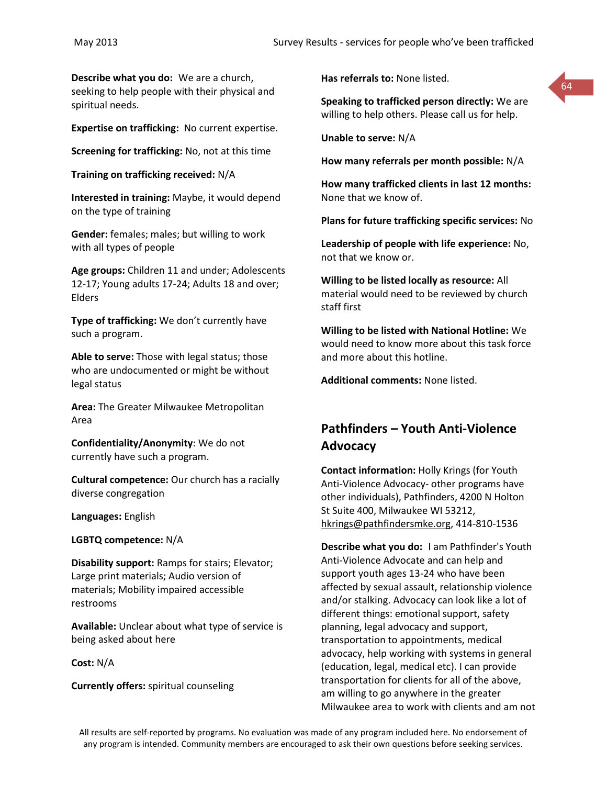**Describe what you do:** We are a church, seeking to help people with their physical and spiritual needs.

**Expertise on trafficking:** No current expertise.

**Screening for trafficking:** No, not at this time

**Training on trafficking received:** N/A

**Interested in training:** Maybe, it would depend on the type of training

**Gender:** females; males; but willing to work with all types of people

**Age groups:** Children 11 and under; Adolescents 12-17; Young adults 17-24; Adults 18 and over; Elders

**Type of trafficking:** We don't currently have such a program.

**Able to serve:** Those with legal status; those who are undocumented or might be without legal status

**Area:** The Greater Milwaukee Metropolitan Area

**Confidentiality/Anonymity**: We do not currently have such a program.

**Cultural competence:** Our church has a racially diverse congregation

**Languages:** English

**LGBTQ competence:** N/A

**Disability support:** Ramps for stairs; Elevator; Large print materials; Audio version of materials; Mobility impaired accessible restrooms

**Available:** Unclear about what type of service is being asked about here

**Cost:** N/A

**Currently offers:** spiritual counseling

**Has referrals to:** None listed.

**Speaking to trafficked person directly:** We are willing to help others. Please call us for help.

64

**Unable to serve:** N/A

**How many referrals per month possible:** N/A

**How many trafficked clients in last 12 months:** None that we know of.

**Plans for future trafficking specific services:** No

**Leadership of people with life experience:** No, not that we know or.

**Willing to be listed locally as resource:** All material would need to be reviewed by church staff first

**Willing to be listed with National Hotline:** We would need to know more about this task force and more about this hotline.

**Additional comments:** None listed.

# **Pathfinders – Youth Anti-Violence Advocacy**

**Contact information:** Holly Krings (for Youth Anti-Violence Advocacy- other programs have other individuals), Pathfinders, 4200 N Holton St Suite 400, Milwaukee WI 53212, [hkrings@pathfindersmke.org,](mailto:hkrings@pathfindersmke.org) 414-810-1536

**Describe what you do:** I am Pathfinder's Youth Anti-Violence Advocate and can help and support youth ages 13-24 who have been affected by sexual assault, relationship violence and/or stalking. Advocacy can look like a lot of different things: emotional support, safety planning, legal advocacy and support, transportation to appointments, medical advocacy, help working with systems in general (education, legal, medical etc). I can provide transportation for clients for all of the above, am willing to go anywhere in the greater Milwaukee area to work with clients and am not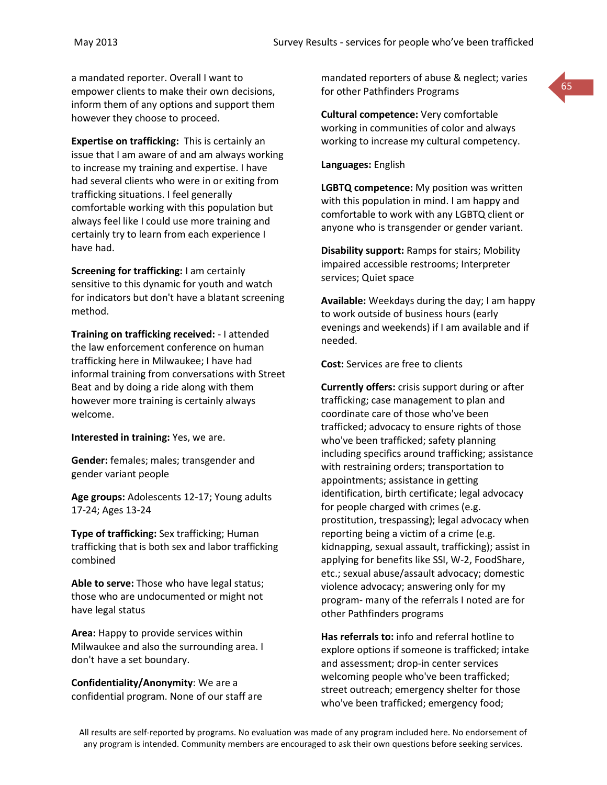a mandated reporter. Overall I want to empower clients to make their own decisions, inform them of any options and support them however they choose to proceed.

**Expertise on trafficking:** This is certainly an issue that I am aware of and am always working to increase my training and expertise. I have had several clients who were in or exiting from trafficking situations. I feel generally comfortable working with this population but always feel like I could use more training and certainly try to learn from each experience I have had.

**Screening for trafficking:** I am certainly sensitive to this dynamic for youth and watch for indicators but don't have a blatant screening method.

**Training on trafficking received:** - I attended the law enforcement conference on human trafficking here in Milwaukee; I have had informal training from conversations with Street Beat and by doing a ride along with them however more training is certainly always welcome.

**Interested in training:** Yes, we are.

**Gender:** females; males; transgender and gender variant people

**Age groups:** Adolescents 12-17; Young adults 17-24; Ages 13-24

**Type of trafficking:** Sex trafficking; Human trafficking that is both sex and labor trafficking combined

**Able to serve:** Those who have legal status; those who are undocumented or might not have legal status

**Area:** Happy to provide services within Milwaukee and also the surrounding area. I don't have a set boundary.

**Confidentiality/Anonymity**: We are a confidential program. None of our staff are mandated reporters of abuse & neglect; varies for other Pathfinders Programs

**Cultural competence:** Very comfortable working in communities of color and always working to increase my cultural competency.

**Languages:** English

**LGBTQ competence:** My position was written with this population in mind. I am happy and comfortable to work with any LGBTQ client or anyone who is transgender or gender variant.

**Disability support:** Ramps for stairs; Mobility impaired accessible restrooms; Interpreter services; Quiet space

**Available:** Weekdays during the day; I am happy to work outside of business hours (early evenings and weekends) if I am available and if needed.

**Cost:** Services are free to clients

**Currently offers:** crisis support during or after trafficking; case management to plan and coordinate care of those who've been trafficked; advocacy to ensure rights of those who've been trafficked; safety planning including specifics around trafficking; assistance with restraining orders; transportation to appointments; assistance in getting identification, birth certificate; legal advocacy for people charged with crimes (e.g. prostitution, trespassing); legal advocacy when reporting being a victim of a crime (e.g. kidnapping, sexual assault, trafficking); assist in applying for benefits like SSI, W-2, FoodShare, etc.; sexual abuse/assault advocacy; domestic violence advocacy; answering only for my program- many of the referrals I noted are for other Pathfinders programs

**Has referrals to:** info and referral hotline to explore options if someone is trafficked; intake and assessment; drop-in center services welcoming people who've been trafficked; street outreach; emergency shelter for those who've been trafficked; emergency food;

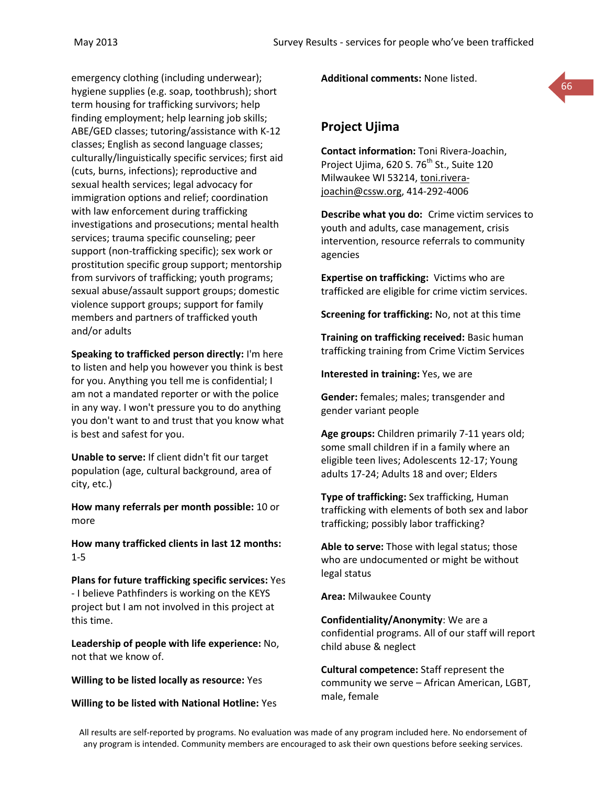emergency clothing (including underwear); hygiene supplies (e.g. soap, toothbrush); short term housing for trafficking survivors; help finding employment; help learning job skills; ABE/GED classes; tutoring/assistance with K-12 classes; English as second language classes; culturally/linguistically specific services; first aid (cuts, burns, infections); reproductive and sexual health services; legal advocacy for immigration options and relief; coordination with law enforcement during trafficking investigations and prosecutions; mental health services; trauma specific counseling; peer support (non-trafficking specific); sex work or prostitution specific group support; mentorship from survivors of trafficking; youth programs; sexual abuse/assault support groups; domestic violence support groups; support for family members and partners of trafficked youth and/or adults

**Speaking to trafficked person directly:** I'm here to listen and help you however you think is best for you. Anything you tell me is confidential; I am not a mandated reporter or with the police in any way. I won't pressure you to do anything you don't want to and trust that you know what is best and safest for you.

**Unable to serve:** If client didn't fit our target population (age, cultural background, area of city, etc.)

**How many referrals per month possible:** 10 or more

**How many trafficked clients in last 12 months:** 1-5

**Plans for future trafficking specific services:** Yes - I believe Pathfinders is working on the KEYS project but I am not involved in this project at this time.

**Leadership of people with life experience:** No, not that we know of.

**Willing to be listed locally as resource:** Yes

**Willing to be listed with National Hotline:** Yes

**Additional comments:** None listed.



# **Project Ujima**

**Contact information:** Toni Rivera-Joachin, Project Ujima, 620 S. 76<sup>th</sup> St., Suite 120 Milwaukee WI 53214, [toni.rivera](mailto:toni.rivera-joachin@cssw.org)[joachin@cssw.org,](mailto:toni.rivera-joachin@cssw.org) 414-292-4006

**Describe what you do:** Crime victim services to youth and adults, case management, crisis intervention, resource referrals to community agencies

**Expertise on trafficking:** Victims who are trafficked are eligible for crime victim services.

**Screening for trafficking:** No, not at this time

**Training on trafficking received:** Basic human trafficking training from Crime Victim Services

**Interested in training:** Yes, we are

**Gender:** females; males; transgender and gender variant people

**Age groups:** Children primarily 7-11 years old; some small children if in a family where an eligible teen lives; Adolescents 12-17; Young adults 17-24; Adults 18 and over; Elders

**Type of trafficking:** Sex trafficking, Human trafficking with elements of both sex and labor trafficking; possibly labor trafficking?

**Able to serve:** Those with legal status; those who are undocumented or might be without legal status

**Area:** Milwaukee County

**Confidentiality/Anonymity**: We are a confidential programs. All of our staff will report child abuse & neglect

**Cultural competence:** Staff represent the community we serve – African American, LGBT, male, female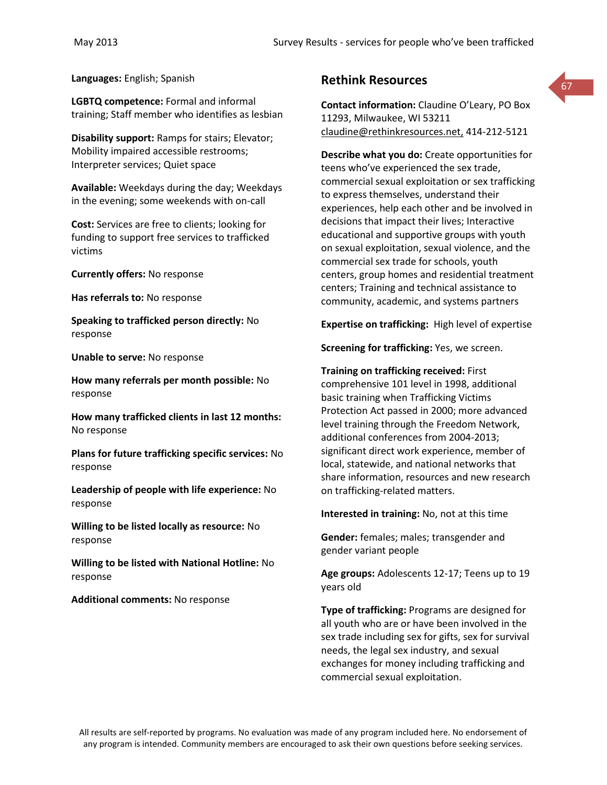**Languages:** English; Spanish

**LGBTQ competence:** Formal and informal training; Staff member who identifies as lesbian

**Disability support:** Ramps for stairs; Elevator; Mobility impaired accessible restrooms; Interpreter services; Quiet space

**Available:** Weekdays during the day; Weekdays in the evening; some weekends with on-call

**Cost:** Services are free to clients; looking for funding to support free services to trafficked victims

**Currently offers:** No response

**Has referrals to:** No response

**Speaking to trafficked person directly:** No response

**Unable to serve:** No response

**How many referrals per month possible:** No response

**How many trafficked clients in last 12 months:** No response

**Plans for future trafficking specific services:** No response

**Leadership of people with life experience:** No response

**Willing to be listed locally as resource:** No response

**Willing to be listed with National Hotline:** No response

**Additional comments:** No response

## **Rethink Resources**

**Contact information:** Claudine O'Leary, PO Box 11293, Milwaukee, WI 53211 [claudine@rethinkresources.net,](mailto:claudine@rethinkresources.net) 414-212-5121

67

**Describe what you do:** Create opportunities for teens who've experienced the sex trade, commercial sexual exploitation or sex trafficking to express themselves, understand their experiences, help each other and be involved in decisions that impact their lives; Interactive educational and supportive groups with youth on sexual exploitation, sexual violence, and the commercial sex trade for schools, youth centers, group homes and residential treatment centers; Training and technical assistance to community, academic, and systems partners

**Expertise on trafficking:** High level of expertise

**Screening for trafficking:** Yes, we screen.

**Training on trafficking received:** First comprehensive 101 level in 1998, additional basic training when Trafficking Victims Protection Act passed in 2000; more advanced level training through the Freedom Network, additional conferences from 2004-2013; significant direct work experience, member of local, statewide, and national networks that share information, resources and new research on trafficking-related matters.

**Interested in training:** No, not at this time

**Gender:** females; males; transgender and gender variant people

**Age groups:** Adolescents 12-17; Teens up to 19 years old

**Type of trafficking:** Programs are designed for all youth who are or have been involved in the sex trade including sex for gifts, sex for survival needs, the legal sex industry, and sexual exchanges for money including trafficking and commercial sexual exploitation.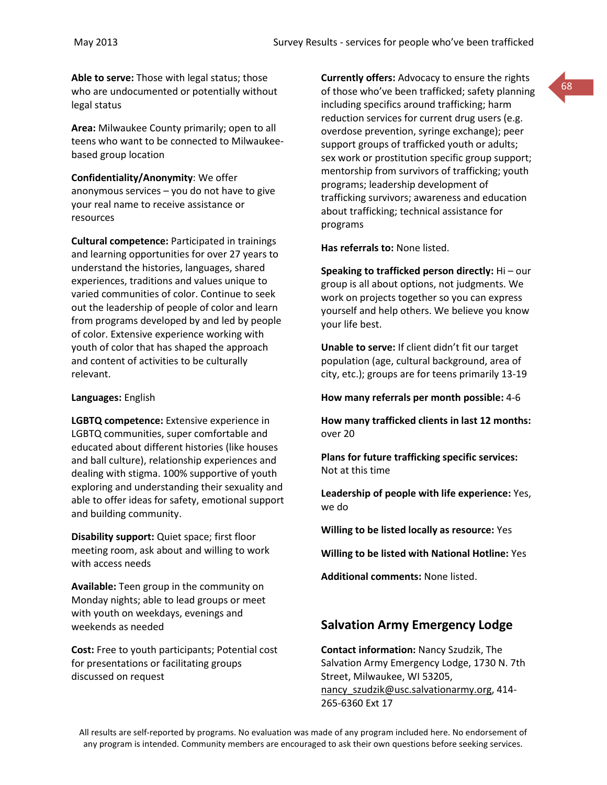**Able to serve:** Those with legal status; those who are undocumented or potentially without legal status

**Area:** Milwaukee County primarily; open to all teens who want to be connected to Milwaukeebased group location

**Confidentiality/Anonymity**: We offer anonymous services – you do not have to give your real name to receive assistance or resources

**Cultural competence:** Participated in trainings and learning opportunities for over 27 years to understand the histories, languages, shared experiences, traditions and values unique to varied communities of color. Continue to seek out the leadership of people of color and learn from programs developed by and led by people of color. Extensive experience working with youth of color that has shaped the approach and content of activities to be culturally relevant.

#### **Languages:** English

**LGBTQ competence:** Extensive experience in LGBTQ communities, super comfortable and educated about different histories (like houses and ball culture), relationship experiences and dealing with stigma. 100% supportive of youth exploring and understanding their sexuality and able to offer ideas for safety, emotional support and building community.

**Disability support:** Quiet space; first floor meeting room, ask about and willing to work with access needs

**Available:** Teen group in the community on Monday nights; able to lead groups or meet with youth on weekdays, evenings and weekends as needed

**Cost:** Free to youth participants; Potential cost for presentations or facilitating groups discussed on request

**Currently offers:** Advocacy to ensure the rights of those who've been trafficked; safety planning including specifics around trafficking; harm reduction services for current drug users (e.g. overdose prevention, syringe exchange); peer support groups of trafficked youth or adults; sex work or prostitution specific group support; mentorship from survivors of trafficking; youth programs; leadership development of trafficking survivors; awareness and education about trafficking; technical assistance for programs

**Has referrals to:** None listed.

**Speaking to trafficked person directly:** Hi – our group is all about options, not judgments. We work on projects together so you can express yourself and help others. We believe you know your life best.

**Unable to serve:** If client didn't fit our target population (age, cultural background, area of city, etc.); groups are for teens primarily 13-19

**How many referrals per month possible:** 4-6

**How many trafficked clients in last 12 months:** over 20

**Plans for future trafficking specific services:** Not at this time

**Leadership of people with life experience:** Yes, we do

**Willing to be listed locally as resource:** Yes

**Willing to be listed with National Hotline:** Yes

**Additional comments:** None listed.

# **Salvation Army Emergency Lodge**

**Contact information:** Nancy Szudzik, The Salvation Army Emergency Lodge, 1730 N. 7th Street, Milwaukee, WI 53205, nancy szudzik@usc.salvationarmy.org, 414-265-6360 Ext 17

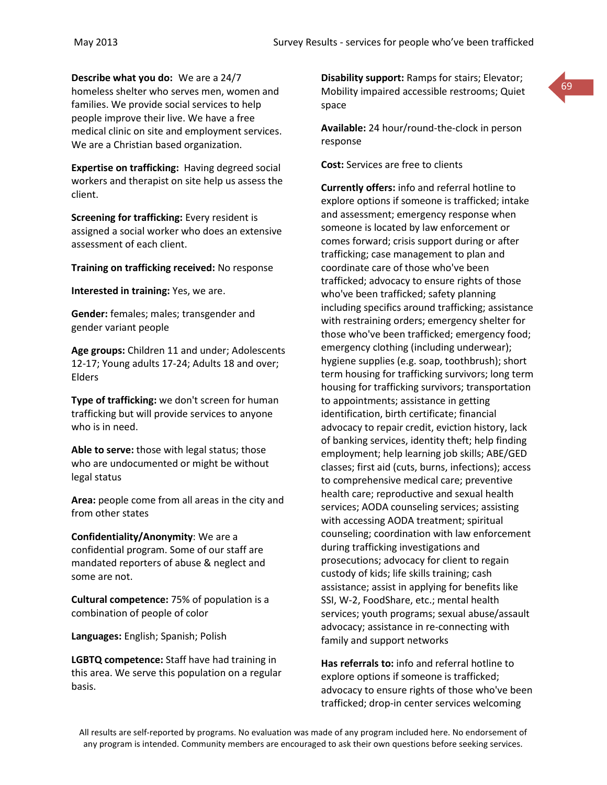**Describe what you do:** We are a 24/7 homeless shelter who serves men, women and families. We provide social services to help people improve their live. We have a free medical clinic on site and employment services. We are a Christian based organization.

**Expertise on trafficking:** Having degreed social workers and therapist on site help us assess the client.

**Screening for trafficking:** Every resident is assigned a social worker who does an extensive assessment of each client.

**Training on trafficking received:** No response

**Interested in training:** Yes, we are.

**Gender:** females; males; transgender and gender variant people

**Age groups:** Children 11 and under; Adolescents 12-17; Young adults 17-24; Adults 18 and over; Elders

**Type of trafficking:** we don't screen for human trafficking but will provide services to anyone who is in need.

**Able to serve:** those with legal status; those who are undocumented or might be without legal status

**Area:** people come from all areas in the city and from other states

**Confidentiality/Anonymity**: We are a confidential program. Some of our staff are mandated reporters of abuse & neglect and some are not.

**Cultural competence:** 75% of population is a combination of people of color

**Languages:** English; Spanish; Polish

**LGBTQ competence:** Staff have had training in this area. We serve this population on a regular basis.

**Disability support:** Ramps for stairs; Elevator; Mobility impaired accessible restrooms; Quiet space



**Available:** 24 hour/round-the-clock in person response

**Cost:** Services are free to clients

**Currently offers:** info and referral hotline to explore options if someone is trafficked; intake and assessment; emergency response when someone is located by law enforcement or comes forward; crisis support during or after trafficking; case management to plan and coordinate care of those who've been trafficked; advocacy to ensure rights of those who've been trafficked; safety planning including specifics around trafficking; assistance with restraining orders; emergency shelter for those who've been trafficked; emergency food; emergency clothing (including underwear); hygiene supplies (e.g. soap, toothbrush); short term housing for trafficking survivors; long term housing for trafficking survivors; transportation to appointments; assistance in getting identification, birth certificate; financial advocacy to repair credit, eviction history, lack of banking services, identity theft; help finding employment; help learning job skills; ABE/GED classes; first aid (cuts, burns, infections); access to comprehensive medical care; preventive health care; reproductive and sexual health services; AODA counseling services; assisting with accessing AODA treatment; spiritual counseling; coordination with law enforcement during trafficking investigations and prosecutions; advocacy for client to regain custody of kids; life skills training; cash assistance; assist in applying for benefits like SSI, W-2, FoodShare, etc.; mental health services; youth programs; sexual abuse/assault advocacy; assistance in re-connecting with family and support networks

**Has referrals to:** info and referral hotline to explore options if someone is trafficked; advocacy to ensure rights of those who've been trafficked; drop-in center services welcoming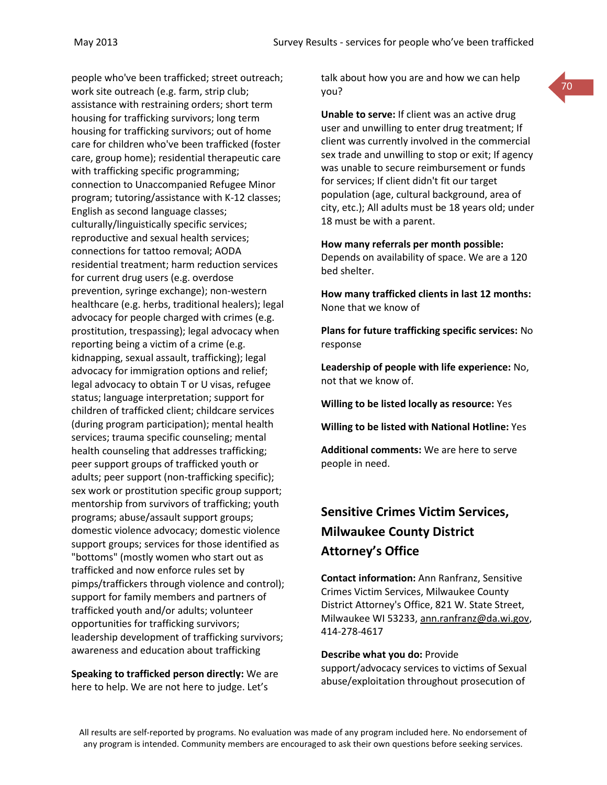people who've been trafficked; street outreach; work site outreach (e.g. farm, strip club; assistance with restraining orders; short term housing for trafficking survivors; long term housing for trafficking survivors; out of home care for children who've been trafficked (foster care, group home); residential therapeutic care with trafficking specific programming; connection to Unaccompanied Refugee Minor program; tutoring/assistance with K-12 classes; English as second language classes; culturally/linguistically specific services; reproductive and sexual health services; connections for tattoo removal; AODA residential treatment; harm reduction services for current drug users (e.g. overdose prevention, syringe exchange); non-western healthcare (e.g. herbs, traditional healers); legal advocacy for people charged with crimes (e.g. prostitution, trespassing); legal advocacy when reporting being a victim of a crime (e.g. kidnapping, sexual assault, trafficking); legal advocacy for immigration options and relief; legal advocacy to obtain T or U visas, refugee status; language interpretation; support for children of trafficked client; childcare services (during program participation); mental health services; trauma specific counseling; mental health counseling that addresses trafficking; peer support groups of trafficked youth or adults; peer support (non-trafficking specific); sex work or prostitution specific group support; mentorship from survivors of trafficking; youth programs; abuse/assault support groups; domestic violence advocacy; domestic violence support groups; services for those identified as "bottoms" (mostly women who start out as trafficked and now enforce rules set by pimps/traffickers through violence and control); support for family members and partners of trafficked youth and/or adults; volunteer opportunities for trafficking survivors; leadership development of trafficking survivors; awareness and education about trafficking

**Speaking to trafficked person directly:** We are here to help. We are not here to judge. Let's

talk about how you are and how we can help you?

70

**Unable to serve:** If client was an active drug user and unwilling to enter drug treatment; If client was currently involved in the commercial sex trade and unwilling to stop or exit; If agency was unable to secure reimbursement or funds for services; If client didn't fit our target population (age, cultural background, area of city, etc.); All adults must be 18 years old; under 18 must be with a parent.

**How many referrals per month possible:** Depends on availability of space. We are a 120 bed shelter.

**How many trafficked clients in last 12 months:** None that we know of

**Plans for future trafficking specific services:** No response

**Leadership of people with life experience:** No, not that we know of.

**Willing to be listed locally as resource:** Yes

**Willing to be listed with National Hotline:** Yes

**Additional comments:** We are here to serve people in need.

# **Sensitive Crimes Victim Services, Milwaukee County District Attorney's Office**

**Contact information:** Ann Ranfranz, Sensitive Crimes Victim Services, Milwaukee County District Attorney's Office, 821 W. State Street, Milwaukee WI 53233, [ann.ranfranz@da.wi.gov,](mailto:ann.ranfranz@da.wi.gov) 414-278-4617

**Describe what you do:** Provide

support/advocacy services to victims of Sexual abuse/exploitation throughout prosecution of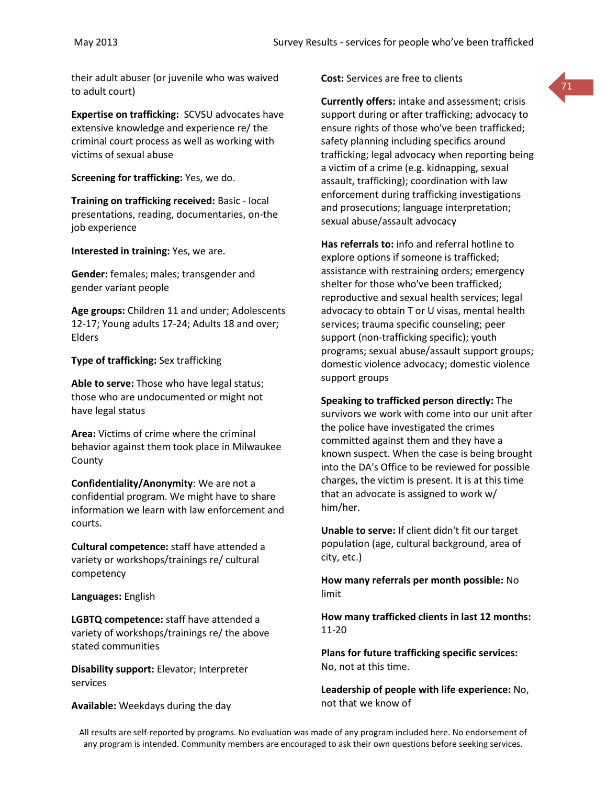their adult abuser (or juvenile who was waived to adult court)

**Expertise on trafficking:** SCVSU advocates have extensive knowledge and experience re/ the criminal court process as well as working with victims of sexual abuse

**Screening for trafficking:** Yes, we do.

**Training on trafficking received:** Basic - local presentations, reading, documentaries, on-the job experience

**Interested in training:** Yes, we are.

**Gender:** females; males; transgender and gender variant people

**Age groups:** Children 11 and under; Adolescents 12-17; Young adults 17-24; Adults 18 and over; Elders

**Type of trafficking:** Sex trafficking

**Able to serve:** Those who have legal status; those who are undocumented or might not have legal status

**Area:** Victims of crime where the criminal behavior against them took place in Milwaukee County

**Confidentiality/Anonymity**: We are not a confidential program. We might have to share information we learn with law enforcement and courts.

**Cultural competence:** staff have attended a variety or workshops/trainings re/ cultural competency

**Languages:** English

**LGBTQ competence:** staff have attended a variety of workshops/trainings re/ the above stated communities

**Disability support:** Elevator; Interpreter services

**Available:** Weekdays during the day

**Cost:** Services are free to clients

**Currently offers:** intake and assessment; crisis support during or after trafficking; advocacy to ensure rights of those who've been trafficked; safety planning including specifics around trafficking; legal advocacy when reporting being a victim of a crime (e.g. kidnapping, sexual assault, trafficking); coordination with law enforcement during trafficking investigations and prosecutions; language interpretation; sexual abuse/assault advocacy

**Has referrals to:** info and referral hotline to explore options if someone is trafficked; assistance with restraining orders; emergency shelter for those who've been trafficked; reproductive and sexual health services; legal advocacy to obtain T or U visas, mental health services; trauma specific counseling; peer support (non-trafficking specific); youth programs; sexual abuse/assault support groups; domestic violence advocacy; domestic violence support groups

**Speaking to trafficked person directly:** The survivors we work with come into our unit after the police have investigated the crimes committed against them and they have a known suspect. When the case is being brought into the DA's Office to be reviewed for possible charges, the victim is present. It is at this time that an advocate is assigned to work w/ him/her.

**Unable to serve:** If client didn't fit our target population (age, cultural background, area of city, etc.)

**How many referrals per month possible:** No limit

**How many trafficked clients in last 12 months:** 11-20

**Plans for future trafficking specific services:** No, not at this time.

**Leadership of people with life experience:** No, not that we know of

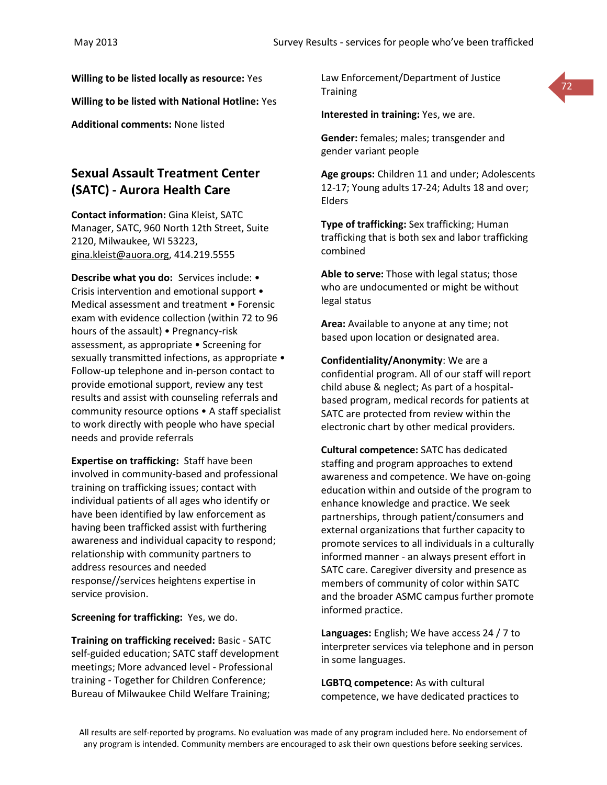**Willing to be listed locally as resource:** Yes

**Willing to be listed with National Hotline:** Yes

**Additional comments:** None listed

# **Sexual Assault Treatment Center (SATC) - Aurora Health Care**

**Contact information:** Gina Kleist, SATC Manager, SATC, 960 North 12th Street, Suite 2120, Milwaukee, WI 53223, [gina.kleist@auora.org,](mailto:gina.kleist@auora.org) 414.219.5555

**Describe what you do:** Services include: • Crisis intervention and emotional support • Medical assessment and treatment • Forensic exam with evidence collection (within 72 to 96 hours of the assault) • Pregnancy-risk assessment, as appropriate • Screening for sexually transmitted infections, as appropriate • Follow-up telephone and in-person contact to provide emotional support, review any test results and assist with counseling referrals and community resource options • A staff specialist to work directly with people who have special needs and provide referrals

**Expertise on trafficking:** Staff have been involved in community-based and professional training on trafficking issues; contact with individual patients of all ages who identify or have been identified by law enforcement as having been trafficked assist with furthering awareness and individual capacity to respond; relationship with community partners to address resources and needed response//services heightens expertise in service provision.

**Screening for trafficking:** Yes, we do.

**Training on trafficking received:** Basic - SATC self-guided education; SATC staff development meetings; More advanced level - Professional training - Together for Children Conference; Bureau of Milwaukee Child Welfare Training;

Law Enforcement/Department of Justice **Training** 



**Interested in training:** Yes, we are.

**Gender:** females; males; transgender and gender variant people

**Age groups:** Children 11 and under; Adolescents 12-17; Young adults 17-24; Adults 18 and over; Elders

**Type of trafficking:** Sex trafficking; Human trafficking that is both sex and labor trafficking combined

**Able to serve:** Those with legal status; those who are undocumented or might be without legal status

**Area:** Available to anyone at any time; not based upon location or designated area.

**Confidentiality/Anonymity**: We are a confidential program. All of our staff will report child abuse & neglect; As part of a hospitalbased program, medical records for patients at SATC are protected from review within the electronic chart by other medical providers.

**Cultural competence:** SATC has dedicated staffing and program approaches to extend awareness and competence. We have on-going education within and outside of the program to enhance knowledge and practice. We seek partnerships, through patient/consumers and external organizations that further capacity to promote services to all individuals in a culturally informed manner - an always present effort in SATC care. Caregiver diversity and presence as members of community of color within SATC and the broader ASMC campus further promote informed practice.

**Languages:** English; We have access 24 / 7 to interpreter services via telephone and in person in some languages.

**LGBTQ competence:** As with cultural competence, we have dedicated practices to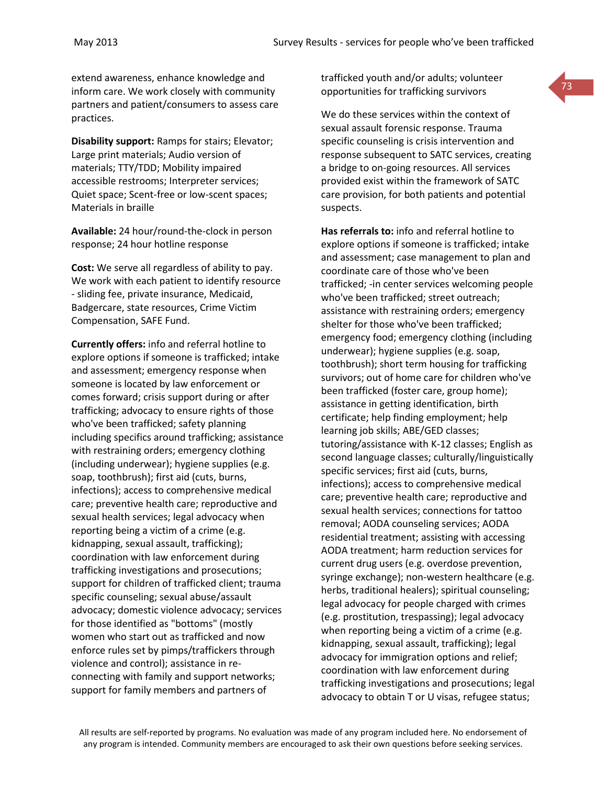extend awareness, enhance knowledge and inform care. We work closely with community partners and patient/consumers to assess care practices.

**Disability support:** Ramps for stairs; Elevator; Large print materials; Audio version of materials; TTY/TDD; Mobility impaired accessible restrooms; Interpreter services; Quiet space; Scent-free or low-scent spaces; Materials in braille

**Available:** 24 hour/round-the-clock in person response; 24 hour hotline response

**Cost:** We serve all regardless of ability to pay. We work with each patient to identify resource - sliding fee, private insurance, Medicaid, Badgercare, state resources, Crime Victim Compensation, SAFE Fund.

**Currently offers:** info and referral hotline to explore options if someone is trafficked; intake and assessment; emergency response when someone is located by law enforcement or comes forward; crisis support during or after trafficking; advocacy to ensure rights of those who've been trafficked; safety planning including specifics around trafficking; assistance with restraining orders; emergency clothing (including underwear); hygiene supplies (e.g. soap, toothbrush); first aid (cuts, burns, infections); access to comprehensive medical care; preventive health care; reproductive and sexual health services; legal advocacy when reporting being a victim of a crime (e.g. kidnapping, sexual assault, trafficking); coordination with law enforcement during trafficking investigations and prosecutions; support for children of trafficked client; trauma specific counseling; sexual abuse/assault advocacy; domestic violence advocacy; services for those identified as "bottoms" (mostly women who start out as trafficked and now enforce rules set by pimps/traffickers through violence and control); assistance in reconnecting with family and support networks; support for family members and partners of

trafficked youth and/or adults; volunteer opportunities for trafficking survivors

We do these services within the context of sexual assault forensic response. Trauma specific counseling is crisis intervention and response subsequent to SATC services, creating a bridge to on-going resources. All services provided exist within the framework of SATC care provision, for both patients and potential suspects.

**Has referrals to:** info and referral hotline to explore options if someone is trafficked; intake and assessment; case management to plan and coordinate care of those who've been trafficked; -in center services welcoming people who've been trafficked; street outreach; assistance with restraining orders; emergency shelter for those who've been trafficked; emergency food; emergency clothing (including underwear); hygiene supplies (e.g. soap, toothbrush); short term housing for trafficking survivors; out of home care for children who've been trafficked (foster care, group home); assistance in getting identification, birth certificate; help finding employment; help learning job skills; ABE/GED classes; tutoring/assistance with K-12 classes; English as second language classes; culturally/linguistically specific services; first aid (cuts, burns, infections); access to comprehensive medical care; preventive health care; reproductive and sexual health services; connections for tattoo removal; AODA counseling services; AODA residential treatment; assisting with accessing AODA treatment; harm reduction services for current drug users (e.g. overdose prevention, syringe exchange); non-western healthcare (e.g. herbs, traditional healers); spiritual counseling; legal advocacy for people charged with crimes (e.g. prostitution, trespassing); legal advocacy when reporting being a victim of a crime (e.g. kidnapping, sexual assault, trafficking); legal advocacy for immigration options and relief; coordination with law enforcement during trafficking investigations and prosecutions; legal advocacy to obtain T or U visas, refugee status;

73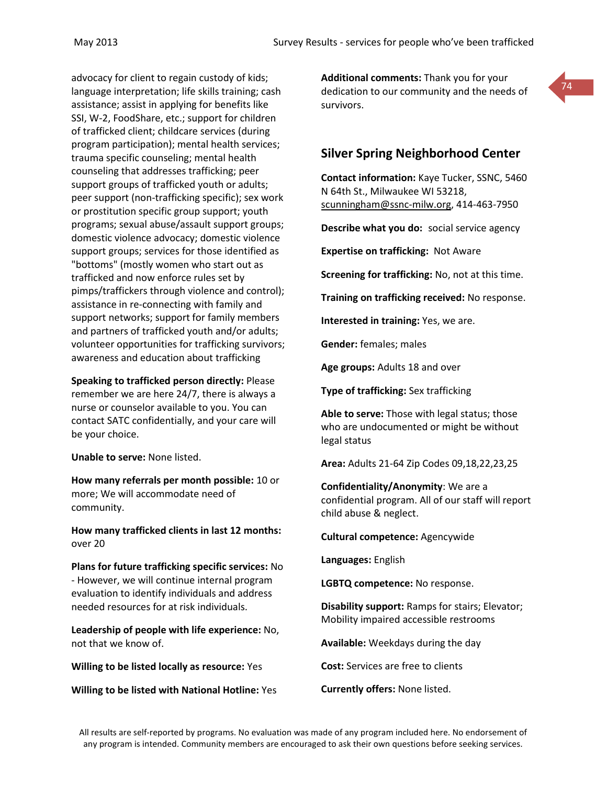advocacy for client to regain custody of kids; language interpretation; life skills training; cash assistance; assist in applying for benefits like SSI, W-2, FoodShare, etc.; support for children of trafficked client; childcare services (during program participation); mental health services; trauma specific counseling; mental health counseling that addresses trafficking; peer support groups of trafficked youth or adults; peer support (non-trafficking specific); sex work or prostitution specific group support; youth programs; sexual abuse/assault support groups; domestic violence advocacy; domestic violence support groups; services for those identified as "bottoms" (mostly women who start out as trafficked and now enforce rules set by pimps/traffickers through violence and control); assistance in re-connecting with family and support networks; support for family members and partners of trafficked youth and/or adults; volunteer opportunities for trafficking survivors; awareness and education about trafficking

**Speaking to trafficked person directly:** Please remember we are here 24/7, there is always a nurse or counselor available to you. You can contact SATC confidentially, and your care will be your choice.

**Unable to serve:** None listed.

**How many referrals per month possible:** 10 or more; We will accommodate need of community.

**How many trafficked clients in last 12 months:** over 20

**Plans for future trafficking specific services:** No - However, we will continue internal program evaluation to identify individuals and address needed resources for at risk individuals.

**Leadership of people with life experience:** No, not that we know of.

**Willing to be listed locally as resource:** Yes

**Willing to be listed with National Hotline:** Yes

**Additional comments:** Thank you for your dedication to our community and the needs of survivors.



# **Silver Spring Neighborhood Center**

**Contact information:** Kaye Tucker, SSNC, 5460 N 64th St., Milwaukee WI 53218, [scunningham@ssnc-milw.org,](mailto:scunningham@ssnc-milw.org) 414-463-7950

**Describe what you do:** social service agency

**Expertise on trafficking:** Not Aware

**Screening for trafficking:** No, not at this time.

**Training on trafficking received:** No response.

**Interested in training:** Yes, we are.

**Gender:** females; males

**Age groups:** Adults 18 and over

**Type of trafficking:** Sex trafficking

**Able to serve:** Those with legal status; those who are undocumented or might be without legal status

**Area:** Adults 21-64 Zip Codes 09,18,22,23,25

**Confidentiality/Anonymity**: We are a confidential program. All of our staff will report child abuse & neglect.

**Cultural competence:** Agencywide

**Languages:** English

**LGBTQ competence:** No response.

**Disability support:** Ramps for stairs; Elevator; Mobility impaired accessible restrooms

**Available:** Weekdays during the day

**Cost:** Services are free to clients

**Currently offers:** None listed.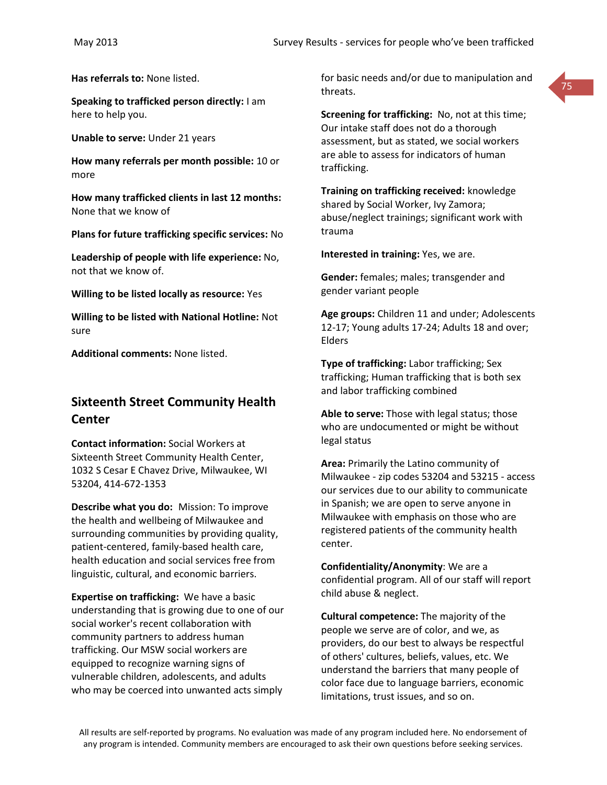**Has referrals to:** None listed.

**Speaking to trafficked person directly:** I am here to help you.

**Unable to serve:** Under 21 years

**How many referrals per month possible:** 10 or more

**How many trafficked clients in last 12 months:** None that we know of

**Plans for future trafficking specific services:** No

**Leadership of people with life experience:** No, not that we know of.

**Willing to be listed locally as resource:** Yes

**Willing to be listed with National Hotline:** Not sure

**Additional comments:** None listed.

# **Sixteenth Street Community Health Center**

**Contact information:** Social Workers at Sixteenth Street Community Health Center, 1032 S Cesar E Chavez Drive, Milwaukee, WI 53204, 414-672-1353

**Describe what you do:** Mission: To improve the health and wellbeing of Milwaukee and surrounding communities by providing quality, patient-centered, family-based health care, health education and social services free from linguistic, cultural, and economic barriers.

**Expertise on trafficking:** We have a basic understanding that is growing due to one of our social worker's recent collaboration with community partners to address human trafficking. Our MSW social workers are equipped to recognize warning signs of vulnerable children, adolescents, and adults who may be coerced into unwanted acts simply

for basic needs and/or due to manipulation and threats.



**Screening for trafficking:** No, not at this time; Our intake staff does not do a thorough assessment, but as stated, we social workers are able to assess for indicators of human trafficking.

**Training on trafficking received:** knowledge shared by Social Worker, Ivy Zamora; abuse/neglect trainings; significant work with trauma

**Interested in training:** Yes, we are.

**Gender:** females; males; transgender and gender variant people

**Age groups:** Children 11 and under; Adolescents 12-17; Young adults 17-24; Adults 18 and over; Elders

**Type of trafficking:** Labor trafficking; Sex trafficking; Human trafficking that is both sex and labor trafficking combined

**Able to serve:** Those with legal status; those who are undocumented or might be without legal status

**Area:** Primarily the Latino community of Milwaukee - zip codes 53204 and 53215 - access our services due to our ability to communicate in Spanish; we are open to serve anyone in Milwaukee with emphasis on those who are registered patients of the community health center.

**Confidentiality/Anonymity**: We are a confidential program. All of our staff will report child abuse & neglect.

**Cultural competence:** The majority of the people we serve are of color, and we, as providers, do our best to always be respectful of others' cultures, beliefs, values, etc. We understand the barriers that many people of color face due to language barriers, economic limitations, trust issues, and so on.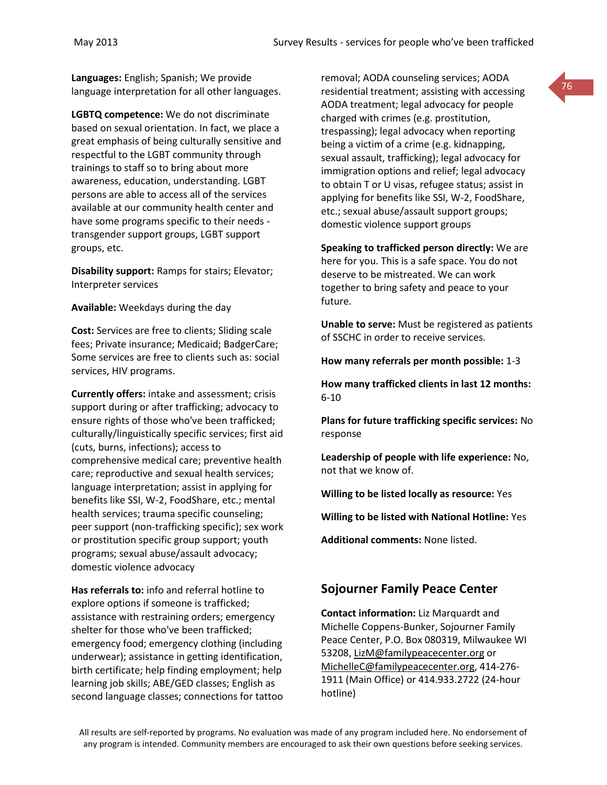**Languages:** English; Spanish; We provide language interpretation for all other languages.

**LGBTQ competence:** We do not discriminate based on sexual orientation. In fact, we place a great emphasis of being culturally sensitive and respectful to the LGBT community through trainings to staff so to bring about more awareness, education, understanding. LGBT persons are able to access all of the services available at our community health center and have some programs specific to their needs transgender support groups, LGBT support groups, etc.

**Disability support:** Ramps for stairs; Elevator; Interpreter services

**Available:** Weekdays during the day

**Cost:** Services are free to clients; Sliding scale fees; Private insurance; Medicaid; BadgerCare; Some services are free to clients such as: social services, HIV programs.

**Currently offers:** intake and assessment; crisis support during or after trafficking; advocacy to ensure rights of those who've been trafficked; culturally/linguistically specific services; first aid (cuts, burns, infections); access to comprehensive medical care; preventive health care; reproductive and sexual health services; language interpretation; assist in applying for benefits like SSI, W-2, FoodShare, etc.; mental health services; trauma specific counseling; peer support (non-trafficking specific); sex work or prostitution specific group support; youth programs; sexual abuse/assault advocacy; domestic violence advocacy

**Has referrals to:** info and referral hotline to explore options if someone is trafficked; assistance with restraining orders; emergency shelter for those who've been trafficked; emergency food; emergency clothing (including underwear); assistance in getting identification, birth certificate; help finding employment; help learning job skills; ABE/GED classes; English as second language classes; connections for tattoo removal; AODA counseling services; AODA residential treatment; assisting with accessing AODA treatment; legal advocacy for people charged with crimes (e.g. prostitution, trespassing); legal advocacy when reporting being a victim of a crime (e.g. kidnapping, sexual assault, trafficking); legal advocacy for immigration options and relief; legal advocacy to obtain T or U visas, refugee status; assist in applying for benefits like SSI, W-2, FoodShare, etc.; sexual abuse/assault support groups; domestic violence support groups

**Speaking to trafficked person directly:** We are here for you. This is a safe space. You do not deserve to be mistreated. We can work together to bring safety and peace to your future.

**Unable to serve:** Must be registered as patients of SSCHC in order to receive services.

**How many referrals per month possible:** 1-3

**How many trafficked clients in last 12 months:** 6-10

**Plans for future trafficking specific services:** No response

**Leadership of people with life experience:** No, not that we know of.

**Willing to be listed locally as resource:** Yes

**Willing to be listed with National Hotline:** Yes

**Additional comments:** None listed.

# **Sojourner Family Peace Center**

**Contact information:** Liz Marquardt and Michelle Coppens-Bunker, Sojourner Family Peace Center, P.O. Box 080319, Milwaukee WI 53208, [LizM@familypeacecenter.org](mailto:LizM@familypeacecenter.org) or [MichelleC@familypeacecenter.org,](mailto:MichelleC@familypeacecenter.org) 414-276- 1911 (Main Office) or 414.933.2722 (24-hour hotline)

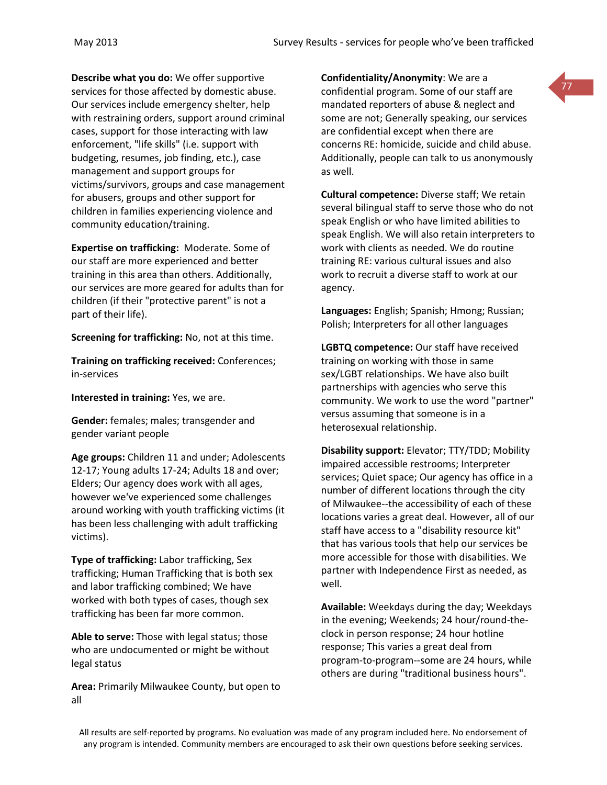**Describe what you do:** We offer supportive services for those affected by domestic abuse. Our services include emergency shelter, help with restraining orders, support around criminal cases, support for those interacting with law enforcement, "life skills" (i.e. support with budgeting, resumes, job finding, etc.), case management and support groups for victims/survivors, groups and case management for abusers, groups and other support for children in families experiencing violence and community education/training.

**Expertise on trafficking:** Moderate. Some of our staff are more experienced and better training in this area than others. Additionally, our services are more geared for adults than for children (if their "protective parent" is not a part of their life).

**Screening for trafficking:** No, not at this time.

**Training on trafficking received:** Conferences; in-services

**Interested in training:** Yes, we are.

**Gender:** females; males; transgender and gender variant people

**Age groups:** Children 11 and under; Adolescents 12-17; Young adults 17-24; Adults 18 and over; Elders; Our agency does work with all ages, however we've experienced some challenges around working with youth trafficking victims (it has been less challenging with adult trafficking victims).

**Type of trafficking:** Labor trafficking, Sex trafficking; Human Trafficking that is both sex and labor trafficking combined; We have worked with both types of cases, though sex trafficking has been far more common.

**Able to serve:** Those with legal status; those who are undocumented or might be without legal status

**Area:** Primarily Milwaukee County, but open to all

**Confidentiality/Anonymity**: We are a confidential program. Some of our staff are mandated reporters of abuse & neglect and some are not; Generally speaking, our services are confidential except when there are concerns RE: homicide, suicide and child abuse. Additionally, people can talk to us anonymously as well.

**Cultural competence:** Diverse staff; We retain several bilingual staff to serve those who do not speak English or who have limited abilities to speak English. We will also retain interpreters to work with clients as needed. We do routine training RE: various cultural issues and also work to recruit a diverse staff to work at our agency.

**Languages:** English; Spanish; Hmong; Russian; Polish; Interpreters for all other languages

**LGBTQ competence:** Our staff have received training on working with those in same sex/LGBT relationships. We have also built partnerships with agencies who serve this community. We work to use the word "partner" versus assuming that someone is in a heterosexual relationship.

**Disability support:** Elevator; TTY/TDD; Mobility impaired accessible restrooms; Interpreter services; Quiet space; Our agency has office in a number of different locations through the city of Milwaukee--the accessibility of each of these locations varies a great deal. However, all of our staff have access to a "disability resource kit" that has various tools that help our services be more accessible for those with disabilities. We partner with Independence First as needed, as well.

**Available:** Weekdays during the day; Weekdays in the evening; Weekends; 24 hour/round-theclock in person response; 24 hour hotline response; This varies a great deal from program-to-program--some are 24 hours, while others are during "traditional business hours".

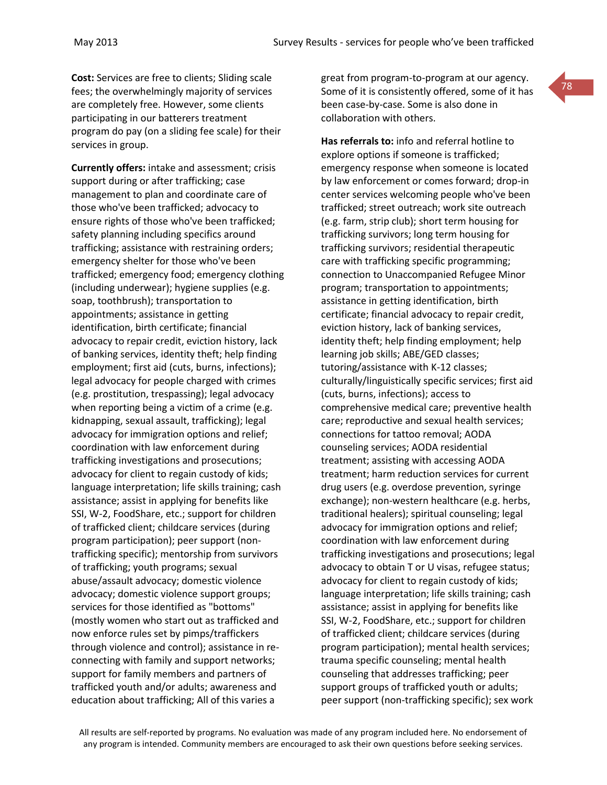**Cost:** Services are free to clients; Sliding scale fees; the overwhelmingly majority of services are completely free. However, some clients participating in our batterers treatment program do pay (on a sliding fee scale) for their services in group.

**Currently offers:** intake and assessment; crisis support during or after trafficking; case management to plan and coordinate care of those who've been trafficked; advocacy to ensure rights of those who've been trafficked; safety planning including specifics around trafficking; assistance with restraining orders; emergency shelter for those who've been trafficked; emergency food; emergency clothing (including underwear); hygiene supplies (e.g. soap, toothbrush); transportation to appointments; assistance in getting identification, birth certificate; financial advocacy to repair credit, eviction history, lack of banking services, identity theft; help finding employment; first aid (cuts, burns, infections); legal advocacy for people charged with crimes (e.g. prostitution, trespassing); legal advocacy when reporting being a victim of a crime (e.g. kidnapping, sexual assault, trafficking); legal advocacy for immigration options and relief; coordination with law enforcement during trafficking investigations and prosecutions; advocacy for client to regain custody of kids; language interpretation; life skills training; cash assistance; assist in applying for benefits like SSI, W-2, FoodShare, etc.; support for children of trafficked client; childcare services (during program participation); peer support (nontrafficking specific); mentorship from survivors of trafficking; youth programs; sexual abuse/assault advocacy; domestic violence advocacy; domestic violence support groups; services for those identified as "bottoms" (mostly women who start out as trafficked and now enforce rules set by pimps/traffickers through violence and control); assistance in reconnecting with family and support networks; support for family members and partners of trafficked youth and/or adults; awareness and education about trafficking; All of this varies a

great from program-to-program at our agency. Some of it is consistently offered, some of it has been case-by-case. Some is also done in collaboration with others.

78

**Has referrals to:** info and referral hotline to explore options if someone is trafficked; emergency response when someone is located by law enforcement or comes forward; drop-in center services welcoming people who've been trafficked; street outreach; work site outreach (e.g. farm, strip club); short term housing for trafficking survivors; long term housing for trafficking survivors; residential therapeutic care with trafficking specific programming; connection to Unaccompanied Refugee Minor program; transportation to appointments; assistance in getting identification, birth certificate; financial advocacy to repair credit, eviction history, lack of banking services, identity theft; help finding employment; help learning job skills; ABE/GED classes; tutoring/assistance with K-12 classes; culturally/linguistically specific services; first aid (cuts, burns, infections); access to comprehensive medical care; preventive health care; reproductive and sexual health services; connections for tattoo removal; AODA counseling services; AODA residential treatment; assisting with accessing AODA treatment; harm reduction services for current drug users (e.g. overdose prevention, syringe exchange); non-western healthcare (e.g. herbs, traditional healers); spiritual counseling; legal advocacy for immigration options and relief; coordination with law enforcement during trafficking investigations and prosecutions; legal advocacy to obtain T or U visas, refugee status; advocacy for client to regain custody of kids; language interpretation; life skills training; cash assistance; assist in applying for benefits like SSI, W-2, FoodShare, etc.; support for children of trafficked client; childcare services (during program participation); mental health services; trauma specific counseling; mental health counseling that addresses trafficking; peer support groups of trafficked youth or adults; peer support (non-trafficking specific); sex work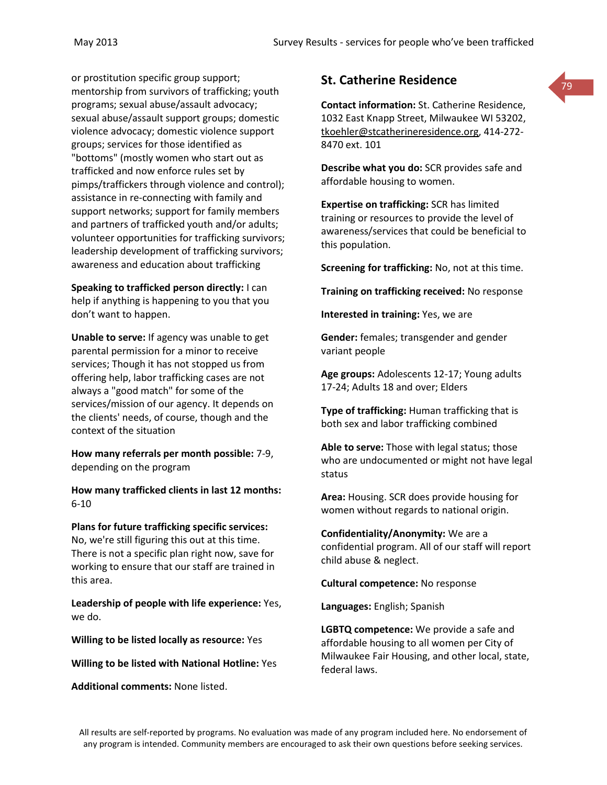or prostitution specific group support; mentorship from survivors of trafficking; youth programs; sexual abuse/assault advocacy; sexual abuse/assault support groups; domestic violence advocacy; domestic violence support groups; services for those identified as "bottoms" (mostly women who start out as trafficked and now enforce rules set by pimps/traffickers through violence and control); assistance in re-connecting with family and support networks; support for family members and partners of trafficked youth and/or adults; volunteer opportunities for trafficking survivors; leadership development of trafficking survivors; awareness and education about trafficking

**Speaking to trafficked person directly:** I can help if anything is happening to you that you don't want to happen.

**Unable to serve:** If agency was unable to get parental permission for a minor to receive services; Though it has not stopped us from offering help, labor trafficking cases are not always a "good match" for some of the services/mission of our agency. It depends on the clients' needs, of course, though and the context of the situation

**How many referrals per month possible:** 7-9, depending on the program

**How many trafficked clients in last 12 months:** 6-10

**Plans for future trafficking specific services:** No, we're still figuring this out at this time. There is not a specific plan right now, save for working to ensure that our staff are trained in this area.

**Leadership of people with life experience:** Yes, we do.

**Willing to be listed locally as resource:** Yes

**Willing to be listed with National Hotline:** Yes

**Additional comments:** None listed.

# **St. Catherine Residence**

**Contact information:** St. Catherine Residence, 1032 East Knapp Street, Milwaukee WI 53202, [tkoehler@stcatherineresidence.org,](mailto:tkoehler@stcatherineresidence.org) 414-272- 8470 ext. 101

79

**Describe what you do:** SCR provides safe and affordable housing to women.

**Expertise on trafficking:** SCR has limited training or resources to provide the level of awareness/services that could be beneficial to this population.

**Screening for trafficking:** No, not at this time.

**Training on trafficking received:** No response

**Interested in training:** Yes, we are

**Gender:** females; transgender and gender variant people

**Age groups:** Adolescents 12-17; Young adults 17-24; Adults 18 and over; Elders

**Type of trafficking:** Human trafficking that is both sex and labor trafficking combined

**Able to serve:** Those with legal status; those who are undocumented or might not have legal status

**Area:** Housing. SCR does provide housing for women without regards to national origin.

**Confidentiality/Anonymity:** We are a confidential program. All of our staff will report child abuse & neglect.

**Cultural competence:** No response

**Languages:** English; Spanish

**LGBTQ competence:** We provide a safe and affordable housing to all women per City of Milwaukee Fair Housing, and other local, state, federal laws.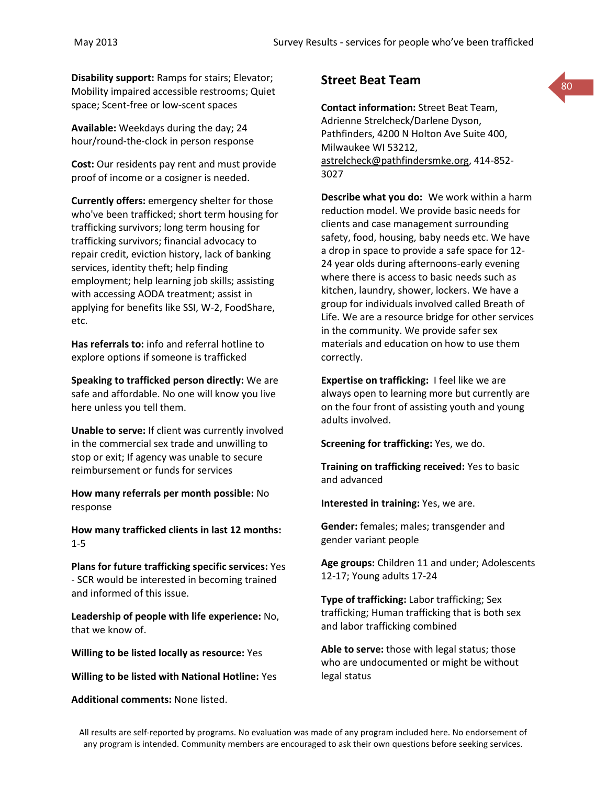**Disability support:** Ramps for stairs; Elevator; Mobility impaired accessible restrooms; Quiet space; Scent-free or low-scent spaces

**Available:** Weekdays during the day; 24 hour/round-the-clock in person response

**Cost:** Our residents pay rent and must provide proof of income or a cosigner is needed.

**Currently offers:** emergency shelter for those who've been trafficked; short term housing for trafficking survivors; long term housing for trafficking survivors; financial advocacy to repair credit, eviction history, lack of banking services, identity theft; help finding employment; help learning job skills; assisting with accessing AODA treatment; assist in applying for benefits like SSI, W-2, FoodShare, etc.

**Has referrals to:** info and referral hotline to explore options if someone is trafficked

**Speaking to trafficked person directly:** We are safe and affordable. No one will know you live here unless you tell them.

**Unable to serve:** If client was currently involved in the commercial sex trade and unwilling to stop or exit; If agency was unable to secure reimbursement or funds for services

**How many referrals per month possible:** No response

**How many trafficked clients in last 12 months:** 1-5

**Plans for future trafficking specific services:** Yes - SCR would be interested in becoming trained and informed of this issue.

**Leadership of people with life experience:** No, that we know of.

**Willing to be listed locally as resource:** Yes

**Willing to be listed with National Hotline:** Yes

**Additional comments:** None listed.

# **Street Beat Team**

**Contact information:** Street Beat Team, Adrienne Strelcheck/Darlene Dyson, Pathfinders, 4200 N Holton Ave Suite 400, Milwaukee WI 53212, [astrelcheck@pathfindersmke.org,](mailto:astrelcheck@pathfindersmke.org) 414-852- 3027

80

**Describe what you do:** We work within a harm reduction model. We provide basic needs for clients and case management surrounding safety, food, housing, baby needs etc. We have a drop in space to provide a safe space for 12- 24 year olds during afternoons-early evening where there is access to basic needs such as kitchen, laundry, shower, lockers. We have a group for individuals involved called Breath of Life. We are a resource bridge for other services in the community. We provide safer sex materials and education on how to use them correctly.

**Expertise on trafficking:** I feel like we are always open to learning more but currently are on the four front of assisting youth and young adults involved.

**Screening for trafficking:** Yes, we do.

**Training on trafficking received:** Yes to basic and advanced

**Interested in training:** Yes, we are.

**Gender:** females; males; transgender and gender variant people

**Age groups:** Children 11 and under; Adolescents 12-17; Young adults 17-24

**Type of trafficking:** Labor trafficking; Sex trafficking; Human trafficking that is both sex and labor trafficking combined

**Able to serve:** those with legal status; those who are undocumented or might be without legal status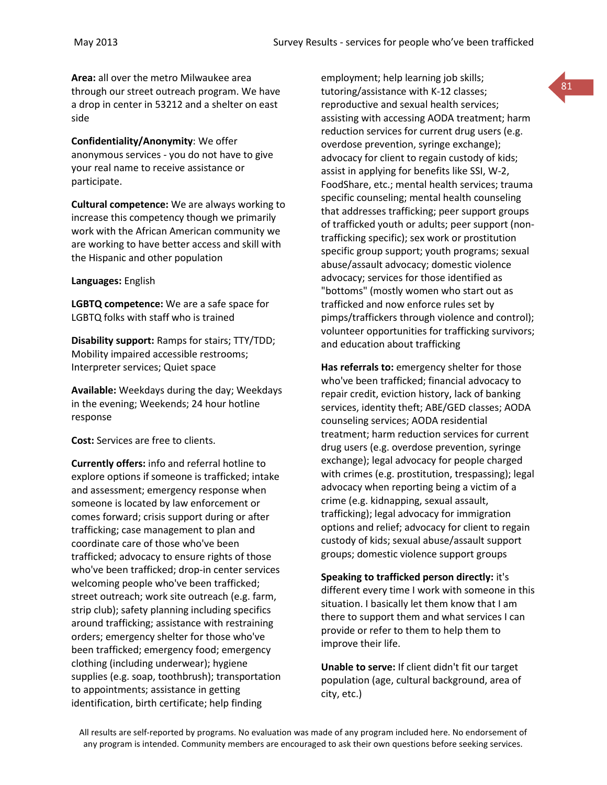**Area:** all over the metro Milwaukee area through our street outreach program. We have a drop in center in 53212 and a shelter on east side

**Confidentiality/Anonymity**: We offer anonymous services - you do not have to give your real name to receive assistance or participate.

**Cultural competence:** We are always working to increase this competency though we primarily work with the African American community we are working to have better access and skill with the Hispanic and other population

**Languages:** English

**LGBTQ competence:** We are a safe space for LGBTQ folks with staff who is trained

**Disability support:** Ramps for stairs; TTY/TDD; Mobility impaired accessible restrooms; Interpreter services; Quiet space

**Available:** Weekdays during the day; Weekdays in the evening; Weekends; 24 hour hotline response

**Cost:** Services are free to clients.

**Currently offers:** info and referral hotline to explore options if someone is trafficked; intake and assessment; emergency response when someone is located by law enforcement or comes forward; crisis support during or after trafficking; case management to plan and coordinate care of those who've been trafficked; advocacy to ensure rights of those who've been trafficked; drop-in center services welcoming people who've been trafficked; street outreach; work site outreach (e.g. farm, strip club); safety planning including specifics around trafficking; assistance with restraining orders; emergency shelter for those who've been trafficked; emergency food; emergency clothing (including underwear); hygiene supplies (e.g. soap, toothbrush); transportation to appointments; assistance in getting identification, birth certificate; help finding

employment; help learning job skills; tutoring/assistance with K-12 classes; reproductive and sexual health services; assisting with accessing AODA treatment; harm reduction services for current drug users (e.g. overdose prevention, syringe exchange); advocacy for client to regain custody of kids; assist in applying for benefits like SSI, W-2, FoodShare, etc.; mental health services; trauma specific counseling; mental health counseling that addresses trafficking; peer support groups of trafficked youth or adults; peer support (nontrafficking specific); sex work or prostitution specific group support; youth programs; sexual abuse/assault advocacy; domestic violence advocacy; services for those identified as "bottoms" (mostly women who start out as trafficked and now enforce rules set by pimps/traffickers through violence and control); volunteer opportunities for trafficking survivors; and education about trafficking

81

**Has referrals to:** emergency shelter for those who've been trafficked; financial advocacy to repair credit, eviction history, lack of banking services, identity theft; ABE/GED classes; AODA counseling services; AODA residential treatment; harm reduction services for current drug users (e.g. overdose prevention, syringe exchange); legal advocacy for people charged with crimes (e.g. prostitution, trespassing); legal advocacy when reporting being a victim of a crime (e.g. kidnapping, sexual assault, trafficking); legal advocacy for immigration options and relief; advocacy for client to regain custody of kids; sexual abuse/assault support groups; domestic violence support groups

**Speaking to trafficked person directly:** it's different every time I work with someone in this situation. I basically let them know that I am there to support them and what services I can provide or refer to them to help them to improve their life.

**Unable to serve:** If client didn't fit our target population (age, cultural background, area of city, etc.)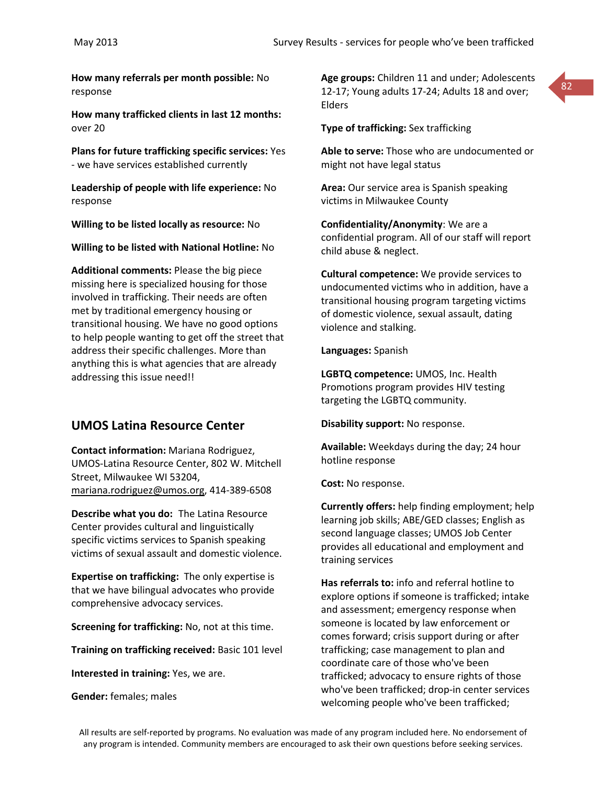**How many referrals per month possible:** No response

**How many trafficked clients in last 12 months:** over 20

**Plans for future trafficking specific services:** Yes - we have services established currently

**Leadership of people with life experience:** No response

**Willing to be listed locally as resource:** No

**Willing to be listed with National Hotline:** No

**Additional comments:** Please the big piece missing here is specialized housing for those involved in trafficking. Their needs are often met by traditional emergency housing or transitional housing. We have no good options to help people wanting to get off the street that address their specific challenges. More than anything this is what agencies that are already addressing this issue need!!

# **UMOS Latina Resource Center**

**Contact information:** Mariana Rodriguez, UMOS-Latina Resource Center, 802 W. Mitchell Street, Milwaukee WI 53204, [mariana.rodriguez@umos.org,](mailto:mariana.rodriguez@umos.org) 414-389-6508

**Describe what you do:** The Latina Resource Center provides cultural and linguistically specific victims services to Spanish speaking victims of sexual assault and domestic violence.

**Expertise on trafficking:** The only expertise is that we have bilingual advocates who provide comprehensive advocacy services.

**Screening for trafficking:** No, not at this time.

**Training on trafficking received:** Basic 101 level

**Interested in training:** Yes, we are.

**Gender:** females; males

**Age groups:** Children 11 and under; Adolescents 12-17; Young adults 17-24; Adults 18 and over; Elders



### **Type of trafficking:** Sex trafficking

**Able to serve:** Those who are undocumented or might not have legal status

**Area:** Our service area is Spanish speaking victims in Milwaukee County

**Confidentiality/Anonymity**: We are a confidential program. All of our staff will report child abuse & neglect.

**Cultural competence:** We provide services to undocumented victims who in addition, have a transitional housing program targeting victims of domestic violence, sexual assault, dating violence and stalking.

#### **Languages:** Spanish

**LGBTQ competence:** UMOS, Inc. Health Promotions program provides HIV testing targeting the LGBTQ community.

**Disability support:** No response.

**Available:** Weekdays during the day; 24 hour hotline response

**Cost:** No response.

**Currently offers:** help finding employment; help learning job skills; ABE/GED classes; English as second language classes; UMOS Job Center provides all educational and employment and training services

**Has referrals to:** info and referral hotline to explore options if someone is trafficked; intake and assessment; emergency response when someone is located by law enforcement or comes forward; crisis support during or after trafficking; case management to plan and coordinate care of those who've been trafficked; advocacy to ensure rights of those who've been trafficked; drop-in center services welcoming people who've been trafficked;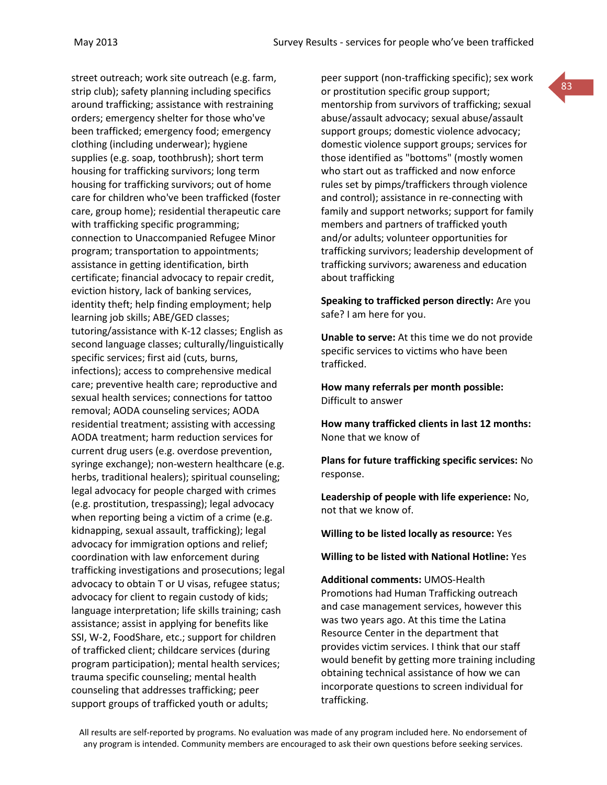street outreach; work site outreach (e.g. farm, strip club); safety planning including specifics around trafficking; assistance with restraining orders; emergency shelter for those who've been trafficked; emergency food; emergency clothing (including underwear); hygiene supplies (e.g. soap, toothbrush); short term housing for trafficking survivors; long term housing for trafficking survivors; out of home care for children who've been trafficked (foster care, group home); residential therapeutic care with trafficking specific programming; connection to Unaccompanied Refugee Minor program; transportation to appointments; assistance in getting identification, birth certificate; financial advocacy to repair credit, eviction history, lack of banking services, identity theft; help finding employment; help learning job skills; ABE/GED classes; tutoring/assistance with K-12 classes; English as second language classes; culturally/linguistically specific services; first aid (cuts, burns, infections); access to comprehensive medical care; preventive health care; reproductive and sexual health services; connections for tattoo removal; AODA counseling services; AODA residential treatment; assisting with accessing AODA treatment; harm reduction services for current drug users (e.g. overdose prevention, syringe exchange); non-western healthcare (e.g. herbs, traditional healers); spiritual counseling; legal advocacy for people charged with crimes (e.g. prostitution, trespassing); legal advocacy when reporting being a victim of a crime (e.g. kidnapping, sexual assault, trafficking); legal advocacy for immigration options and relief; coordination with law enforcement during trafficking investigations and prosecutions; legal advocacy to obtain T or U visas, refugee status; advocacy for client to regain custody of kids; language interpretation; life skills training; cash assistance; assist in applying for benefits like SSI, W-2, FoodShare, etc.; support for children of trafficked client; childcare services (during program participation); mental health services; trauma specific counseling; mental health counseling that addresses trafficking; peer support groups of trafficked youth or adults;

peer support (non-trafficking specific); sex work or prostitution specific group support; mentorship from survivors of trafficking; sexual abuse/assault advocacy; sexual abuse/assault support groups; domestic violence advocacy; domestic violence support groups; services for those identified as "bottoms" (mostly women who start out as trafficked and now enforce rules set by pimps/traffickers through violence and control); assistance in re-connecting with family and support networks; support for family members and partners of trafficked youth and/or adults; volunteer opportunities for trafficking survivors; leadership development of trafficking survivors; awareness and education about trafficking

**Speaking to trafficked person directly:** Are you safe? I am here for you.

**Unable to serve:** At this time we do not provide specific services to victims who have been trafficked.

**How many referrals per month possible:** Difficult to answer

**How many trafficked clients in last 12 months:** None that we know of

**Plans for future trafficking specific services:** No response.

**Leadership of people with life experience:** No, not that we know of.

**Willing to be listed locally as resource:** Yes

**Willing to be listed with National Hotline:** Yes

**Additional comments:** UMOS-Health Promotions had Human Trafficking outreach and case management services, however this was two years ago. At this time the Latina Resource Center in the department that provides victim services. I think that our staff would benefit by getting more training including obtaining technical assistance of how we can incorporate questions to screen individual for trafficking.

All results are self-reported by programs. No evaluation was made of any program included here. No endorsement of any program is intended. Community members are encouraged to ask their own questions before seeking services.

83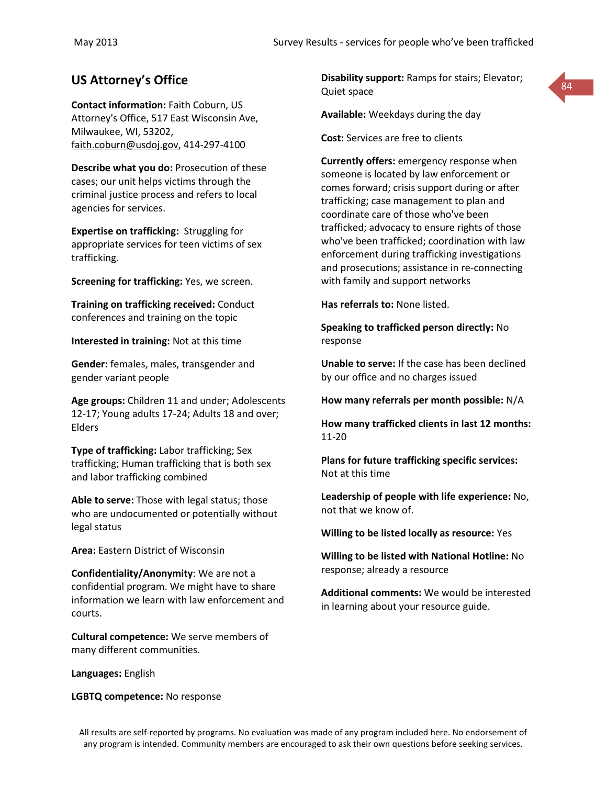**Contact information:** Faith Coburn, US Attorney's Office, 517 East Wisconsin Ave, Milwaukee, WI, 53202, [faith.coburn@usdoj.gov,](mailto:faith.coburn@usdoj.gov) 414-297-4100

**Describe what you do:** Prosecution of these cases; our unit helps victims through the criminal justice process and refers to local agencies for services.

**Expertise on trafficking:** Struggling for appropriate services for teen victims of sex trafficking.

**Screening for trafficking:** Yes, we screen.

**Training on trafficking received:** Conduct conferences and training on the topic

**Interested in training:** Not at this time

**Gender:** females, males, transgender and gender variant people

**Age groups:** Children 11 and under; Adolescents 12-17; Young adults 17-24; Adults 18 and over; Elders

**Type of trafficking:** Labor trafficking; Sex trafficking; Human trafficking that is both sex and labor trafficking combined

**Able to serve:** Those with legal status; those who are undocumented or potentially without legal status

**Area:** Eastern District of Wisconsin

**Confidentiality/Anonymity**: We are not a confidential program. We might have to share information we learn with law enforcement and courts.

**Cultural competence:** We serve members of many different communities.

**Languages:** English

**LGBTQ competence:** No response

**US Attorney's Office Disability support:** Ramps for stairs; Elevator; **184** 84 Quiet space



**Available:** Weekdays during the day

**Cost:** Services are free to clients

**Currently offers:** emergency response when someone is located by law enforcement or comes forward; crisis support during or after trafficking; case management to plan and coordinate care of those who've been trafficked; advocacy to ensure rights of those who've been trafficked; coordination with law enforcement during trafficking investigations and prosecutions; assistance in re-connecting with family and support networks

**Has referrals to:** None listed.

**Speaking to trafficked person directly:** No response

**Unable to serve:** If the case has been declined by our office and no charges issued

**How many referrals per month possible:** N/A

**How many trafficked clients in last 12 months:** 11-20

**Plans for future trafficking specific services:** Not at this time

**Leadership of people with life experience:** No, not that we know of.

**Willing to be listed locally as resource:** Yes

**Willing to be listed with National Hotline:** No response; already a resource

**Additional comments:** We would be interested in learning about your resource guide.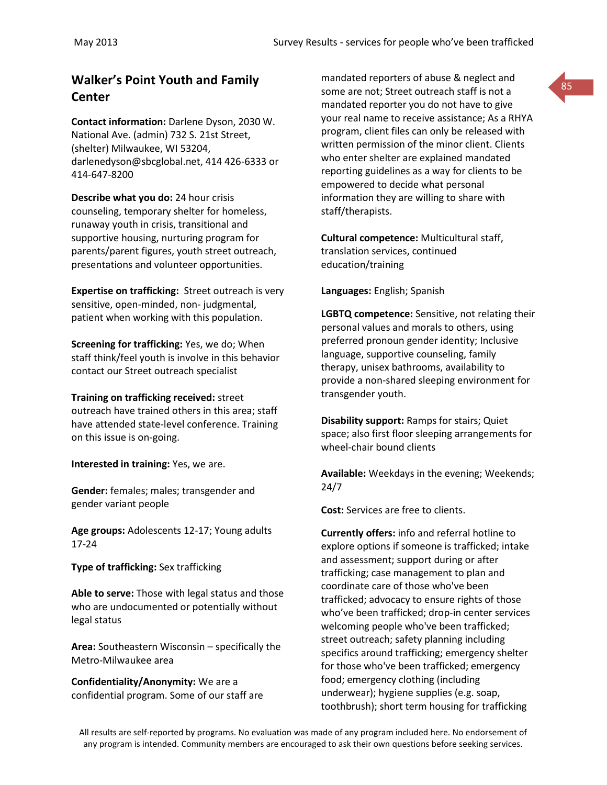# **Center**

**Contact information:** Darlene Dyson, 2030 W. National Ave. (admin) 732 S. 21st Street, (shelter) Milwaukee, WI 53204, darlenedyson@sbcglobal.net, 414 426-6333 or 414-647-8200

**Describe what you do:** 24 hour crisis counseling, temporary shelter for homeless, runaway youth in crisis, transitional and supportive housing, nurturing program for parents/parent figures, youth street outreach, presentations and volunteer opportunities.

**Expertise on trafficking:** Street outreach is very sensitive, open-minded, non- judgmental, patient when working with this population.

**Screening for trafficking:** Yes, we do; When staff think/feel youth is involve in this behavior contact our Street outreach specialist

**Training on trafficking received:** street outreach have trained others in this area; staff have attended state-level conference. Training on this issue is on-going.

**Interested in training:** Yes, we are.

**Gender:** females; males; transgender and gender variant people

**Age groups:** Adolescents 12-17; Young adults 17-24

**Type of trafficking:** Sex trafficking

**Able to serve:** Those with legal status and those who are undocumented or potentially without legal status

**Area:** Southeastern Wisconsin – specifically the Metro-Milwaukee area

**Confidentiality/Anonymity:** We are a confidential program. Some of our staff are

**Walker's Point Youth and Family Example 20 mandated reporters of abuse & neglect and 85** mandated reporters of abuse & neglect and some are not; Street outreach staff is not a mandated reporter you do not have to give your real name to receive assistance; As a RHYA program, client files can only be released with written permission of the minor client. Clients who enter shelter are explained mandated reporting guidelines as a way for clients to be empowered to decide what personal information they are willing to share with staff/therapists.

> **Cultural competence:** Multicultural staff, translation services, continued education/training

**Languages:** English; Spanish

**LGBTQ competence:** Sensitive, not relating their personal values and morals to others, using preferred pronoun gender identity; Inclusive language, supportive counseling, family therapy, unisex bathrooms, availability to provide a non-shared sleeping environment for transgender youth.

**Disability support:** Ramps for stairs; Quiet space; also first floor sleeping arrangements for wheel-chair bound clients

**Available:** Weekdays in the evening; Weekends; 24/7

**Cost:** Services are free to clients.

**Currently offers:** info and referral hotline to explore options if someone is trafficked; intake and assessment; support during or after trafficking; case management to plan and coordinate care of those who've been trafficked; advocacy to ensure rights of those who've been trafficked; drop-in center services welcoming people who've been trafficked; street outreach; safety planning including specifics around trafficking; emergency shelter for those who've been trafficked; emergency food; emergency clothing (including underwear); hygiene supplies (e.g. soap, toothbrush); short term housing for trafficking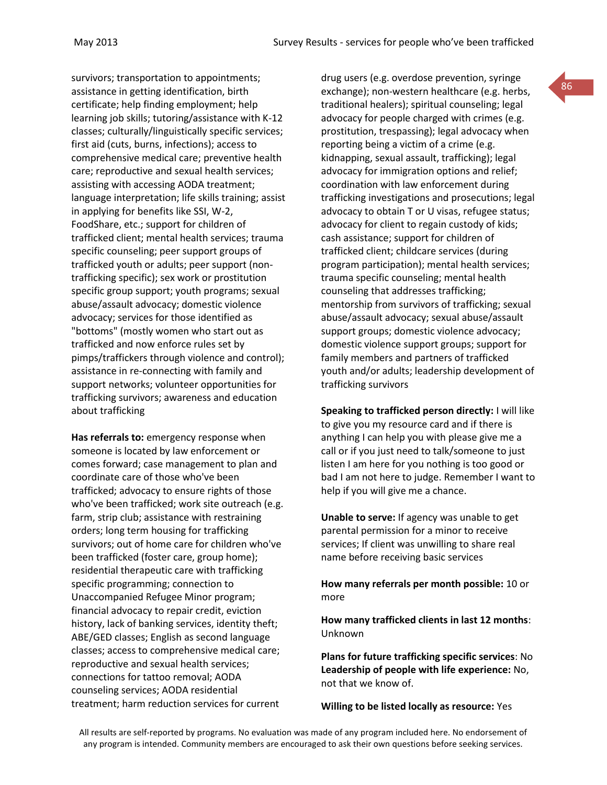survivors; transportation to appointments; assistance in getting identification, birth certificate; help finding employment; help learning job skills; tutoring/assistance with K-12 classes; culturally/linguistically specific services; first aid (cuts, burns, infections); access to comprehensive medical care; preventive health care; reproductive and sexual health services; assisting with accessing AODA treatment; language interpretation; life skills training; assist in applying for benefits like SSI, W-2, FoodShare, etc.; support for children of trafficked client; mental health services; trauma specific counseling; peer support groups of trafficked youth or adults; peer support (nontrafficking specific); sex work or prostitution specific group support; youth programs; sexual abuse/assault advocacy; domestic violence advocacy; services for those identified as "bottoms" (mostly women who start out as trafficked and now enforce rules set by pimps/traffickers through violence and control); assistance in re-connecting with family and support networks; volunteer opportunities for trafficking survivors; awareness and education about trafficking

**Has referrals to:** emergency response when someone is located by law enforcement or comes forward; case management to plan and coordinate care of those who've been trafficked; advocacy to ensure rights of those who've been trafficked; work site outreach (e.g. farm, strip club; assistance with restraining orders; long term housing for trafficking survivors; out of home care for children who've been trafficked (foster care, group home); residential therapeutic care with trafficking specific programming; connection to Unaccompanied Refugee Minor program; financial advocacy to repair credit, eviction history, lack of banking services, identity theft; ABE/GED classes; English as second language classes; access to comprehensive medical care; reproductive and sexual health services; connections for tattoo removal; AODA counseling services; AODA residential treatment; harm reduction services for current

drug users (e.g. overdose prevention, syringe exchange); non-western healthcare (e.g. herbs, traditional healers); spiritual counseling; legal advocacy for people charged with crimes (e.g. prostitution, trespassing); legal advocacy when reporting being a victim of a crime (e.g. kidnapping, sexual assault, trafficking); legal advocacy for immigration options and relief; coordination with law enforcement during trafficking investigations and prosecutions; legal advocacy to obtain T or U visas, refugee status; advocacy for client to regain custody of kids; cash assistance; support for children of trafficked client; childcare services (during program participation); mental health services; trauma specific counseling; mental health counseling that addresses trafficking; mentorship from survivors of trafficking; sexual abuse/assault advocacy; sexual abuse/assault support groups; domestic violence advocacy; domestic violence support groups; support for family members and partners of trafficked youth and/or adults; leadership development of trafficking survivors

**Speaking to trafficked person directly:** I will like to give you my resource card and if there is anything I can help you with please give me a call or if you just need to talk/someone to just listen I am here for you nothing is too good or bad I am not here to judge. Remember I want to help if you will give me a chance.

**Unable to serve:** If agency was unable to get parental permission for a minor to receive services; If client was unwilling to share real name before receiving basic services

**How many referrals per month possible:** 10 or more

**How many trafficked clients in last 12 months**: Unknown

**Plans for future trafficking specific services**: No **Leadership of people with life experience:** No, not that we know of.

**Willing to be listed locally as resource:** Yes

All results are self-reported by programs. No evaluation was made of any program included here. No endorsement of any program is intended. Community members are encouraged to ask their own questions before seeking services.

86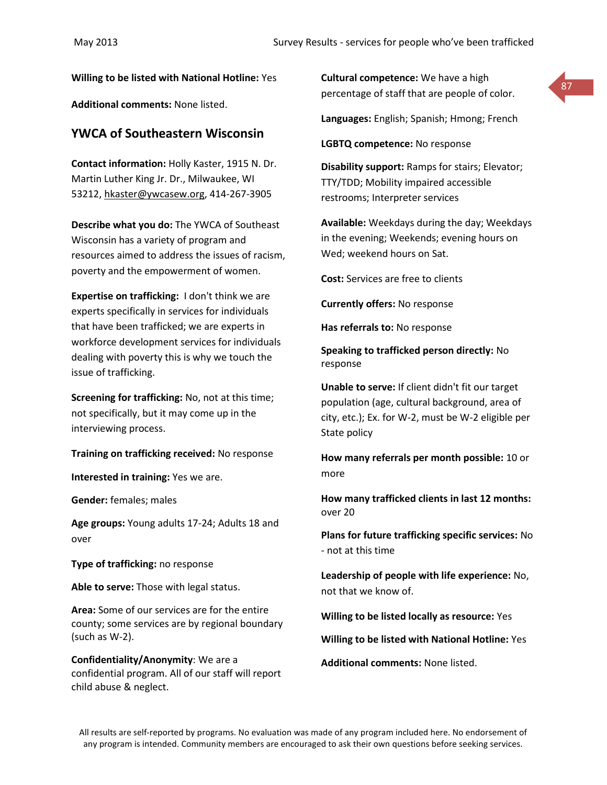**Willing to be listed with National Hotline:** Yes

**Additional comments:** None listed.

# **YWCA of Southeastern Wisconsin**

**Contact information:** Holly Kaster, 1915 N. Dr. Martin Luther King Jr. Dr., Milwaukee, WI 53212, [hkaster@ywcasew.org,](mailto:hkaster@ywcasew.org) 414-267-3905

**Describe what you do:** The YWCA of Southeast Wisconsin has a variety of program and resources aimed to address the issues of racism, poverty and the empowerment of women.

**Expertise on trafficking:** I don't think we are experts specifically in services for individuals that have been trafficked; we are experts in workforce development services for individuals dealing with poverty this is why we touch the issue of trafficking.

**Screening for trafficking:** No, not at this time; not specifically, but it may come up in the interviewing process.

**Training on trafficking received:** No response

**Interested in training:** Yes we are.

**Gender:** females; males

**Age groups:** Young adults 17-24; Adults 18 and over

**Type of trafficking:** no response

**Able to serve:** Those with legal status.

**Area:** Some of our services are for the entire county; some services are by regional boundary (such as W-2).

**Confidentiality/Anonymity**: We are a confidential program. All of our staff will report child abuse & neglect.

**Cultural competence:** We have a high percentage of staff that are people of color.



**Languages:** English; Spanish; Hmong; French

**LGBTQ competence:** No response

**Disability support:** Ramps for stairs; Elevator; TTY/TDD; Mobility impaired accessible restrooms; Interpreter services

**Available:** Weekdays during the day; Weekdays in the evening; Weekends; evening hours on Wed; weekend hours on Sat.

**Cost:** Services are free to clients

**Currently offers:** No response

**Has referrals to:** No response

**Speaking to trafficked person directly:** No response

**Unable to serve:** If client didn't fit our target population (age, cultural background, area of city, etc.); Ex. for W-2, must be W-2 eligible per State policy

**How many referrals per month possible:** 10 or more

**How many trafficked clients in last 12 months:** over 20

**Plans for future trafficking specific services:** No - not at this time

**Leadership of people with life experience:** No, not that we know of.

**Willing to be listed locally as resource:** Yes

**Willing to be listed with National Hotline:** Yes

**Additional comments:** None listed.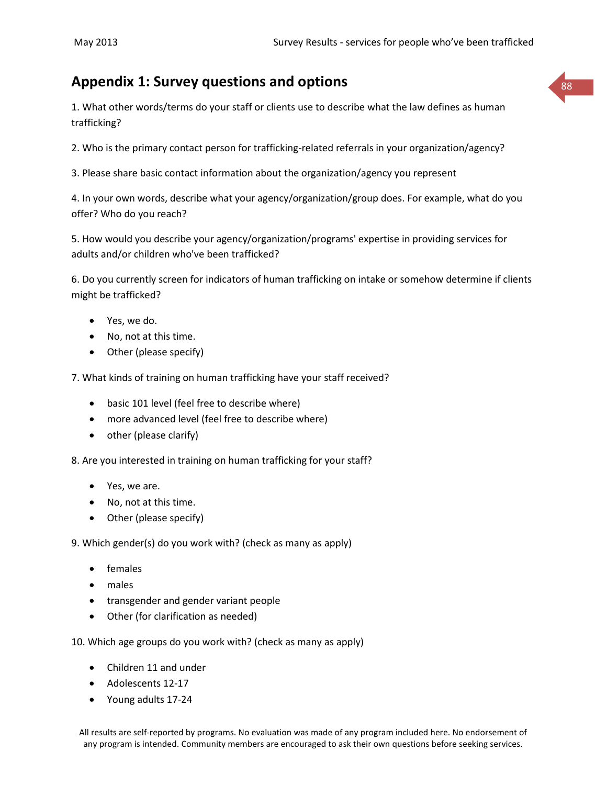# **Appendix 1: Survey questions and options** <sup>88</sup>

1. What other words/terms do your staff or clients use to describe what the law defines as human trafficking?

2. Who is the primary contact person for trafficking-related referrals in your organization/agency?

3. Please share basic contact information about the organization/agency you represent

4. In your own words, describe what your agency/organization/group does. For example, what do you offer? Who do you reach?

5. How would you describe your agency/organization/programs' expertise in providing services for adults and/or children who've been trafficked?

6. Do you currently screen for indicators of human trafficking on intake or somehow determine if clients might be trafficked?

- Yes, we do.
- No, not at this time.
- Other (please specify)

7. What kinds of training on human trafficking have your staff received?

- basic 101 level (feel free to describe where)
- more advanced level (feel free to describe where)
- other (please clarify)

8. Are you interested in training on human trafficking for your staff?

- Yes, we are.
- No, not at this time.
- Other (please specify)

9. Which gender(s) do you work with? (check as many as apply)

- females
- males
- transgender and gender variant people
- Other (for clarification as needed)

10. Which age groups do you work with? (check as many as apply)

- Children 11 and under
- Adolescents 12-17
- Young adults 17-24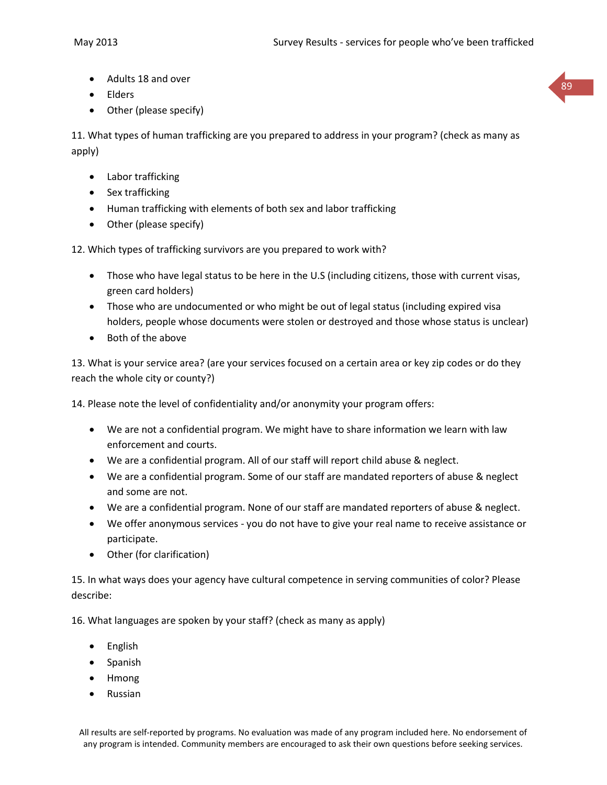89

- Adults 18 and over
- Elders
- Other (please specify)

11. What types of human trafficking are you prepared to address in your program? (check as many as apply)

- Labor trafficking
- Sex trafficking
- Human trafficking with elements of both sex and labor trafficking
- Other (please specify)

12. Which types of trafficking survivors are you prepared to work with?

- Those who have legal status to be here in the U.S (including citizens, those with current visas, green card holders)
- Those who are undocumented or who might be out of legal status (including expired visa holders, people whose documents were stolen or destroyed and those whose status is unclear)
- Both of the above

13. What is your service area? (are your services focused on a certain area or key zip codes or do they reach the whole city or county?)

14. Please note the level of confidentiality and/or anonymity your program offers:

- We are not a confidential program. We might have to share information we learn with law enforcement and courts.
- We are a confidential program. All of our staff will report child abuse & neglect.
- We are a confidential program. Some of our staff are mandated reporters of abuse & neglect and some are not.
- We are a confidential program. None of our staff are mandated reporters of abuse & neglect.
- We offer anonymous services you do not have to give your real name to receive assistance or participate.
- Other (for clarification)

15. In what ways does your agency have cultural competence in serving communities of color? Please describe:

16. What languages are spoken by your staff? (check as many as apply)

- English
- Spanish
- Hmong
- Russian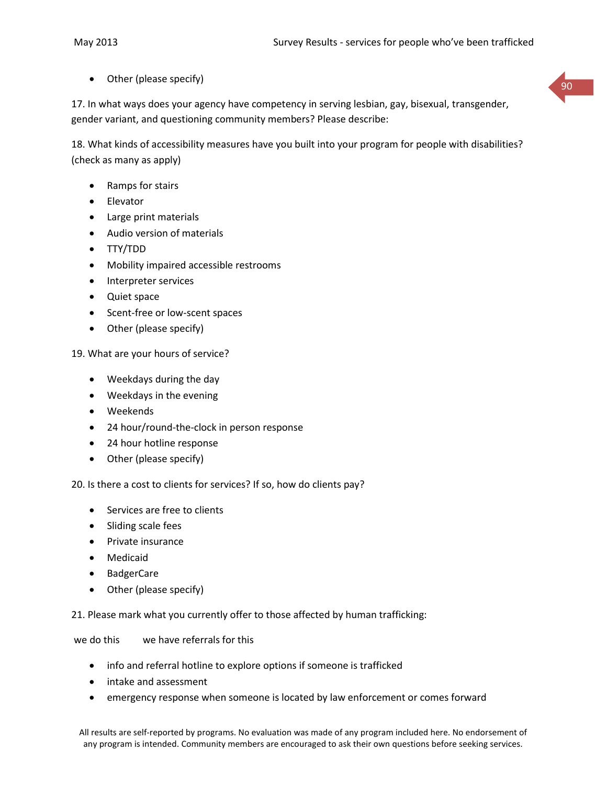Other (please specify)

17. In what ways does your agency have competency in serving lesbian, gay, bisexual, transgender, gender variant, and questioning community members? Please describe:

18. What kinds of accessibility measures have you built into your program for people with disabilities? (check as many as apply)

- Ramps for stairs
- Elevator
- Large print materials
- Audio version of materials
- TTY/TDD
- Mobility impaired accessible restrooms
- Interpreter services
- Quiet space
- Scent-free or low-scent spaces
- Other (please specify)

19. What are your hours of service?

- Weekdays during the day
- Weekdays in the evening
- Weekends
- 24 hour/round-the-clock in person response
- 24 hour hotline response
- Other (please specify)

20. Is there a cost to clients for services? If so, how do clients pay?

- Services are free to clients
- Sliding scale fees
- Private insurance
- Medicaid
- BadgerCare
- Other (please specify)

21. Please mark what you currently offer to those affected by human trafficking:

we do this we have referrals for this

- info and referral hotline to explore options if someone is trafficked
- intake and assessment
- emergency response when someone is located by law enforcement or comes forward

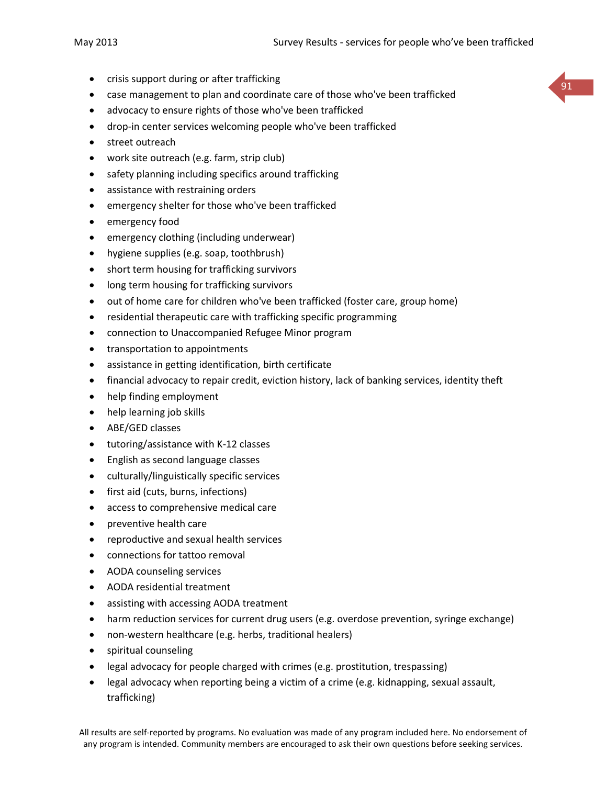- crisis support during or after trafficking
- case management to plan and coordinate care of those who've been trafficked
- advocacy to ensure rights of those who've been trafficked
- drop-in center services welcoming people who've been trafficked
- street outreach
- work site outreach (e.g. farm, strip club)
- safety planning including specifics around trafficking
- assistance with restraining orders
- emergency shelter for those who've been trafficked
- emergency food
- emergency clothing (including underwear)
- hygiene supplies (e.g. soap, toothbrush)
- short term housing for trafficking survivors
- long term housing for trafficking survivors
- out of home care for children who've been trafficked (foster care, group home)
- residential therapeutic care with trafficking specific programming
- connection to Unaccompanied Refugee Minor program
- transportation to appointments
- assistance in getting identification, birth certificate
- financial advocacy to repair credit, eviction history, lack of banking services, identity theft
- help finding employment
- help learning job skills
- ABE/GED classes
- tutoring/assistance with K-12 classes
- English as second language classes
- culturally/linguistically specific services
- first aid (cuts, burns, infections)
- access to comprehensive medical care
- preventive health care
- reproductive and sexual health services
- connections for tattoo removal
- AODA counseling services
- AODA residential treatment
- assisting with accessing AODA treatment
- harm reduction services for current drug users (e.g. overdose prevention, syringe exchange)
- non-western healthcare (e.g. herbs, traditional healers)
- spiritual counseling
- legal advocacy for people charged with crimes (e.g. prostitution, trespassing)
- legal advocacy when reporting being a victim of a crime (e.g. kidnapping, sexual assault, trafficking)

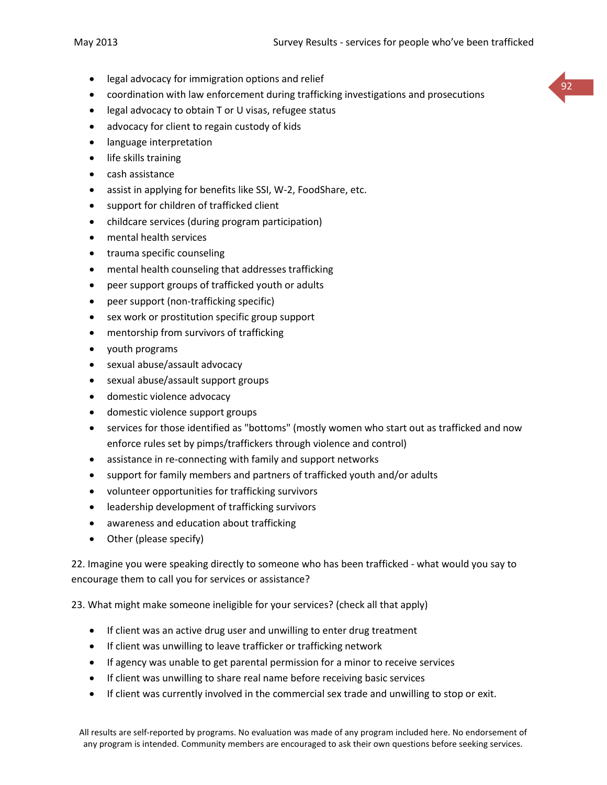- legal advocacy for immigration options and relief
- coordination with law enforcement during trafficking investigations and prosecutions
- legal advocacy to obtain T or U visas, refugee status
- advocacy for client to regain custody of kids
- **•** language interpretation
- life skills training
- cash assistance
- assist in applying for benefits like SSI, W-2, FoodShare, etc.
- support for children of trafficked client
- childcare services (during program participation)
- mental health services
- trauma specific counseling
- mental health counseling that addresses trafficking
- peer support groups of trafficked youth or adults
- peer support (non-trafficking specific)
- sex work or prostitution specific group support
- mentorship from survivors of trafficking
- youth programs
- sexual abuse/assault advocacy
- sexual abuse/assault support groups
- domestic violence advocacy
- domestic violence support groups
- services for those identified as "bottoms" (mostly women who start out as trafficked and now enforce rules set by pimps/traffickers through violence and control)
- assistance in re-connecting with family and support networks
- support for family members and partners of trafficked youth and/or adults
- volunteer opportunities for trafficking survivors
- leadership development of trafficking survivors
- awareness and education about trafficking
- Other (please specify)

22. Imagine you were speaking directly to someone who has been trafficked - what would you say to encourage them to call you for services or assistance?

23. What might make someone ineligible for your services? (check all that apply)

- If client was an active drug user and unwilling to enter drug treatment
- If client was unwilling to leave trafficker or trafficking network
- If agency was unable to get parental permission for a minor to receive services
- If client was unwilling to share real name before receiving basic services
- If client was currently involved in the commercial sex trade and unwilling to stop or exit.